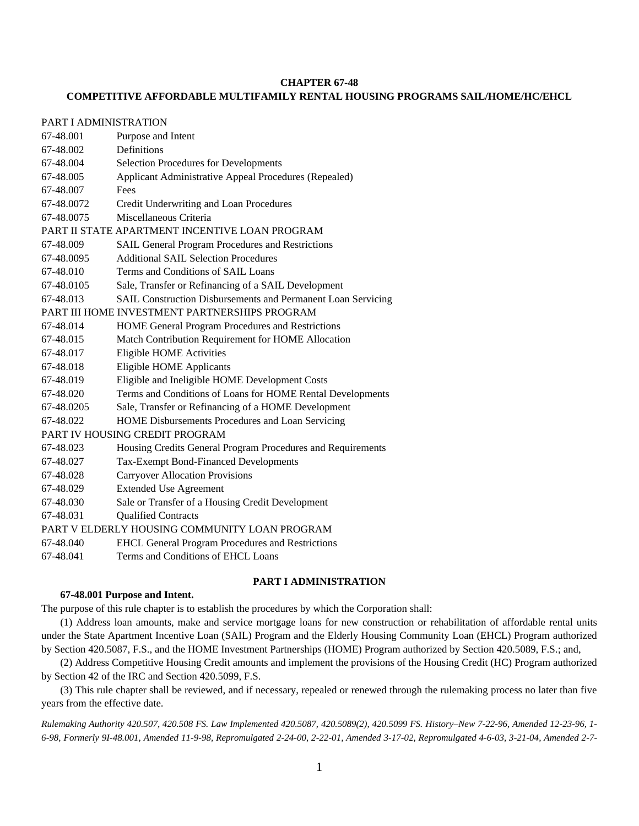#### **CHAPTER 67-48**

## **COMPETITIVE AFFORDABLE MULTIFAMILY RENTAL HOUSING PROGRAMS SAIL/HOME/HC/EHCL**

# PART I ADMINISTRATION

| 67-48.001                                      | Purpose and Intent                                           |
|------------------------------------------------|--------------------------------------------------------------|
| 67-48.002                                      | Definitions                                                  |
| 67-48.004                                      | <b>Selection Procedures for Developments</b>                 |
| 67-48.005                                      | Applicant Administrative Appeal Procedures (Repealed)        |
| 67-48.007                                      | Fees                                                         |
| 67-48.0072                                     | Credit Underwriting and Loan Procedures                      |
| 67-48.0075                                     | Miscellaneous Criteria                                       |
| PART II STATE APARTMENT INCENTIVE LOAN PROGRAM |                                                              |
| 67-48.009                                      | SAIL General Program Procedures and Restrictions             |
| 67-48.0095                                     | <b>Additional SAIL Selection Procedures</b>                  |
| 67-48.010                                      | Terms and Conditions of SAIL Loans                           |
| 67-48.0105                                     | Sale, Transfer or Refinancing of a SAIL Development          |
| 67-48.013                                      | SAIL Construction Disbursements and Permanent Loan Servicing |
| PART III HOME INVESTMENT PARTNERSHIPS PROGRAM  |                                                              |
| 67-48.014                                      | HOME General Program Procedures and Restrictions             |
| 67-48.015                                      | Match Contribution Requirement for HOME Allocation           |
| 67-48.017                                      | Eligible HOME Activities                                     |
| 67-48.018                                      | <b>Eligible HOME Applicants</b>                              |
| 67-48.019                                      | Eligible and Ineligible HOME Development Costs               |
| 67-48.020                                      | Terms and Conditions of Loans for HOME Rental Developments   |
| 67-48.0205                                     | Sale, Transfer or Refinancing of a HOME Development          |
| 67-48.022                                      | HOME Disbursements Procedures and Loan Servicing             |
| PART IV HOUSING CREDIT PROGRAM                 |                                                              |
| 67-48.023                                      | Housing Credits General Program Procedures and Requirements  |
| 67-48.027                                      | Tax-Exempt Bond-Financed Developments                        |
| 67-48.028                                      | <b>Carryover Allocation Provisions</b>                       |
| 67-48.029                                      | <b>Extended Use Agreement</b>                                |
| 67-48.030                                      | Sale or Transfer of a Housing Credit Development             |
| 67-48.031                                      | <b>Qualified Contracts</b>                                   |
| PART V ELDERLY HOUSING COMMUNITY LOAN PROGRAM  |                                                              |
| 67-48.040                                      | <b>EHCL General Program Procedures and Restrictions</b>      |
| 67-48.041                                      | Terms and Conditions of EHCL Loans                           |

## **PART I ADMINISTRATION**

### **67-48.001 Purpose and Intent.**

The purpose of this rule chapter is to establish the procedures by which the Corporation shall:

(1) Address loan amounts, make and service mortgage loans for new construction or rehabilitation of affordable rental units under the State Apartment Incentive Loan (SAIL) Program and the Elderly Housing Community Loan (EHCL) Program authorized by Section 420.5087, F.S., and the HOME Investment Partnerships (HOME) Program authorized by Section 420.5089, F.S.; and,

(2) Address Competitive Housing Credit amounts and implement the provisions of the Housing Credit (HC) Program authorized by Section 42 of the IRC and Section 420.5099, F.S.

(3) This rule chapter shall be reviewed, and if necessary, repealed or renewed through the rulemaking process no later than five years from the effective date.

*Rulemaking Authority 420.507, 420.508 FS. Law Implemented 420.5087, 420.5089(2), 420.5099 FS. History–New 7-22-96, Amended 12-23-96, 1- 6-98, Formerly 9I-48.001, Amended 11-9-98, Repromulgated 2-24-00, 2-22-01, Amended 3-17-02, Repromulgated 4-6-03, 3-21-04, Amended 2-7-*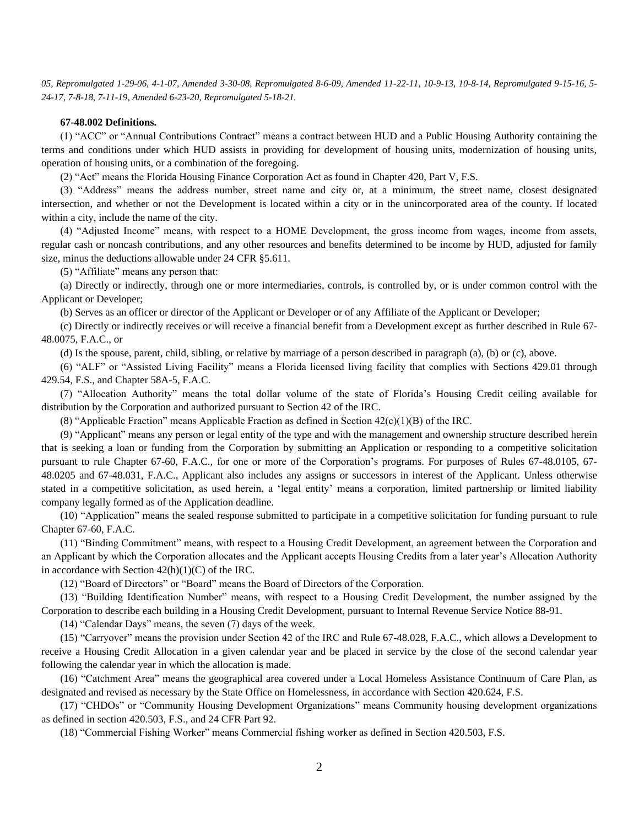*05, Repromulgated 1-29-06, 4-1-07, Amended 3-30-08, Repromulgated 8-6-09, Amended 11-22-11, 10-9-13, 10-8-14, Repromulgated 9-15-16, 5- 24-17, 7-8-18, 7-11-19, Amended 6-23-20, Repromulgated 5-18-21.*

## **67-48.002 Definitions.**

(1) "ACC" or "Annual Contributions Contract" means a contract between HUD and a Public Housing Authority containing the terms and conditions under which HUD assists in providing for development of housing units, modernization of housing units, operation of housing units, or a combination of the foregoing.

(2) "Act" means the Florida Housing Finance Corporation Act as found in Chapter 420, Part V, F.S.

(3) "Address" means the address number, street name and city or, at a minimum, the street name, closest designated intersection, and whether or not the Development is located within a city or in the unincorporated area of the county. If located within a city, include the name of the city.

(4) "Adjusted Income" means, with respect to a HOME Development, the gross income from wages, income from assets, regular cash or noncash contributions, and any other resources and benefits determined to be income by HUD, adjusted for family size, minus the deductions allowable under 24 CFR §5.611.

(5) "Affiliate" means any person that:

(a) Directly or indirectly, through one or more intermediaries, controls, is controlled by, or is under common control with the Applicant or Developer;

(b) Serves as an officer or director of the Applicant or Developer or of any Affiliate of the Applicant or Developer;

(c) Directly or indirectly receives or will receive a financial benefit from a Development except as further described in Rule 67- 48.0075, F.A.C., or

(d) Is the spouse, parent, child, sibling, or relative by marriage of a person described in paragraph (a), (b) or (c), above.

(6) "ALF" or "Assisted Living Facility" means a Florida licensed living facility that complies with Sections 429.01 through 429.54, F.S., and Chapter 58A-5, F.A.C.

(7) "Allocation Authority" means the total dollar volume of the state of Florida's Housing Credit ceiling available for distribution by the Corporation and authorized pursuant to Section 42 of the IRC.

(8) "Applicable Fraction" means Applicable Fraction as defined in Section  $42(c)(1)(B)$  of the IRC.

(9) "Applicant" means any person or legal entity of the type and with the management and ownership structure described herein that is seeking a loan or funding from the Corporation by submitting an Application or responding to a competitive solicitation pursuant to rule Chapter 67-60, F.A.C., for one or more of the Corporation's programs. For purposes of Rules 67-48.0105, 67- 48.0205 and 67-48.031, F.A.C., Applicant also includes any assigns or successors in interest of the Applicant. Unless otherwise stated in a competitive solicitation, as used herein, a 'legal entity' means a corporation, limited partnership or limited liability company legally formed as of the Application deadline.

(10) "Application" means the sealed response submitted to participate in a competitive solicitation for funding pursuant to rule Chapter 67-60, F.A.C.

(11) "Binding Commitment" means, with respect to a Housing Credit Development, an agreement between the Corporation and an Applicant by which the Corporation allocates and the Applicant accepts Housing Credits from a later year's Allocation Authority in accordance with Section  $42(h)(1)(C)$  of the IRC.

(12) "Board of Directors" or "Board" means the Board of Directors of the Corporation.

(13) "Building Identification Number" means, with respect to a Housing Credit Development, the number assigned by the Corporation to describe each building in a Housing Credit Development, pursuant to Internal Revenue Service Notice 88-91.

(14) "Calendar Days" means, the seven (7) days of the week.

(15) "Carryover" means the provision under Section 42 of the IRC and Rule 67-48.028, F.A.C., which allows a Development to receive a Housing Credit Allocation in a given calendar year and be placed in service by the close of the second calendar year following the calendar year in which the allocation is made.

(16) "Catchment Area" means the geographical area covered under a Local Homeless Assistance Continuum of Care Plan, as designated and revised as necessary by the State Office on Homelessness, in accordance with Section 420.624, F.S.

(17) "CHDOs" or "Community Housing Development Organizations" means Community housing development organizations as defined in section 420.503, F.S., and 24 CFR Part 92.

(18) "Commercial Fishing Worker" means Commercial fishing worker as defined in Section 420.503, F.S.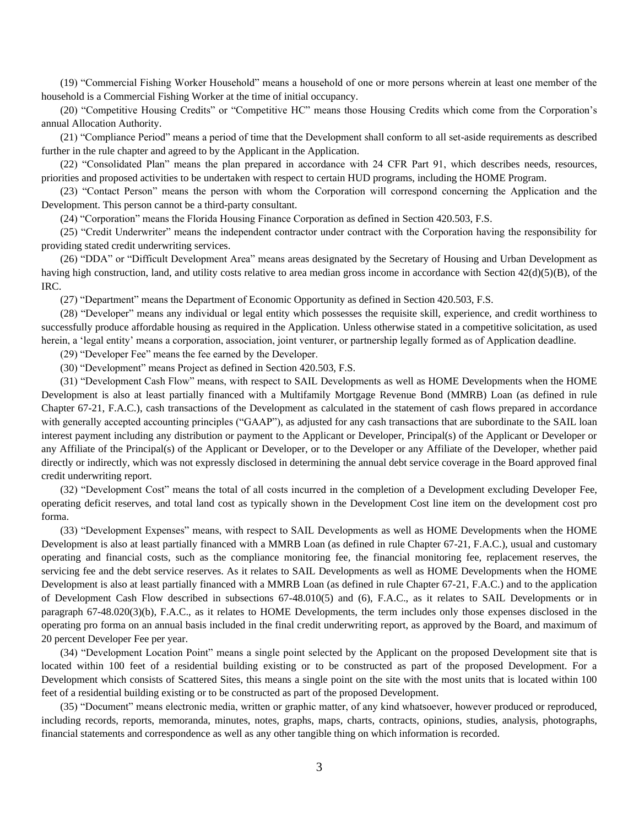(19) "Commercial Fishing Worker Household" means a household of one or more persons wherein at least one member of the household is a Commercial Fishing Worker at the time of initial occupancy.

(20) "Competitive Housing Credits" or "Competitive HC" means those Housing Credits which come from the Corporation's annual Allocation Authority.

(21) "Compliance Period" means a period of time that the Development shall conform to all set-aside requirements as described further in the rule chapter and agreed to by the Applicant in the Application.

(22) "Consolidated Plan" means the plan prepared in accordance with 24 CFR Part 91, which describes needs, resources, priorities and proposed activities to be undertaken with respect to certain HUD programs, including the HOME Program.

(23) "Contact Person" means the person with whom the Corporation will correspond concerning the Application and the Development. This person cannot be a third-party consultant.

(24) "Corporation" means the Florida Housing Finance Corporation as defined in Section 420.503, F.S.

(25) "Credit Underwriter" means the independent contractor under contract with the Corporation having the responsibility for providing stated credit underwriting services.

(26) "DDA" or "Difficult Development Area" means areas designated by the Secretary of Housing and Urban Development as having high construction, land, and utility costs relative to area median gross income in accordance with Section 42(d)(5)(B), of the IRC.

(27) "Department" means the Department of Economic Opportunity as defined in Section 420.503, F.S.

(28) "Developer" means any individual or legal entity which possesses the requisite skill, experience, and credit worthiness to successfully produce affordable housing as required in the Application. Unless otherwise stated in a competitive solicitation, as used herein, a 'legal entity' means a corporation, association, joint venturer, or partnership legally formed as of Application deadline.

(29) "Developer Fee" means the fee earned by the Developer.

(30) "Development" means Project as defined in Section 420.503, F.S.

(31) "Development Cash Flow" means, with respect to SAIL Developments as well as HOME Developments when the HOME Development is also at least partially financed with a Multifamily Mortgage Revenue Bond (MMRB) Loan (as defined in rule Chapter 67-21, F.A.C.), cash transactions of the Development as calculated in the statement of cash flows prepared in accordance with generally accepted accounting principles ("GAAP"), as adjusted for any cash transactions that are subordinate to the SAIL loan interest payment including any distribution or payment to the Applicant or Developer, Principal(s) of the Applicant or Developer or any Affiliate of the Principal(s) of the Applicant or Developer, or to the Developer or any Affiliate of the Developer, whether paid directly or indirectly, which was not expressly disclosed in determining the annual debt service coverage in the Board approved final credit underwriting report.

(32) "Development Cost" means the total of all costs incurred in the completion of a Development excluding Developer Fee, operating deficit reserves, and total land cost as typically shown in the Development Cost line item on the development cost pro forma.

(33) "Development Expenses" means, with respect to SAIL Developments as well as HOME Developments when the HOME Development is also at least partially financed with a MMRB Loan (as defined in rule Chapter 67-21, F.A.C.), usual and customary operating and financial costs, such as the compliance monitoring fee, the financial monitoring fee, replacement reserves, the servicing fee and the debt service reserves. As it relates to SAIL Developments as well as HOME Developments when the HOME Development is also at least partially financed with a MMRB Loan (as defined in rule Chapter 67-21, F.A.C.) and to the application of Development Cash Flow described in subsections 67-48.010(5) and (6), F.A.C., as it relates to SAIL Developments or in paragraph 67-48.020(3)(b), F.A.C., as it relates to HOME Developments, the term includes only those expenses disclosed in the operating pro forma on an annual basis included in the final credit underwriting report, as approved by the Board, and maximum of 20 percent Developer Fee per year.

(34) "Development Location Point" means a single point selected by the Applicant on the proposed Development site that is located within 100 feet of a residential building existing or to be constructed as part of the proposed Development. For a Development which consists of Scattered Sites, this means a single point on the site with the most units that is located within 100 feet of a residential building existing or to be constructed as part of the proposed Development.

(35) "Document" means electronic media, written or graphic matter, of any kind whatsoever, however produced or reproduced, including records, reports, memoranda, minutes, notes, graphs, maps, charts, contracts, opinions, studies, analysis, photographs, financial statements and correspondence as well as any other tangible thing on which information is recorded.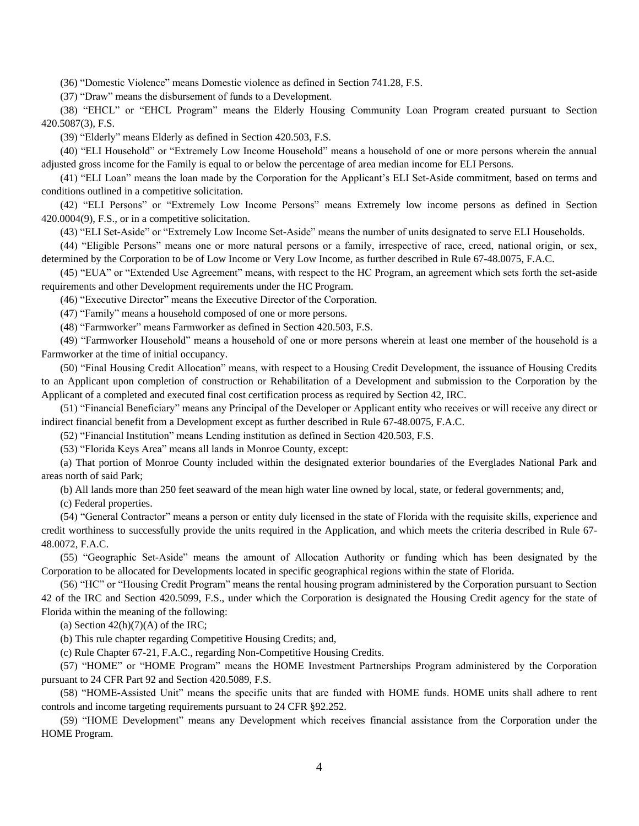(36) "Domestic Violence" means Domestic violence as defined in Section 741.28, F.S.

(37) "Draw" means the disbursement of funds to a Development.

(38) "EHCL" or "EHCL Program" means the Elderly Housing Community Loan Program created pursuant to Section 420.5087(3), F.S.

(39) "Elderly" means Elderly as defined in Section 420.503, F.S.

(40) "ELI Household" or "Extremely Low Income Household" means a household of one or more persons wherein the annual adjusted gross income for the Family is equal to or below the percentage of area median income for ELI Persons.

(41) "ELI Loan" means the loan made by the Corporation for the Applicant's ELI Set-Aside commitment, based on terms and conditions outlined in a competitive solicitation.

(42) "ELI Persons" or "Extremely Low Income Persons" means Extremely low income persons as defined in Section 420.0004(9), F.S., or in a competitive solicitation.

(43) "ELI Set-Aside" or "Extremely Low Income Set-Aside" means the number of units designated to serve ELI Households.

(44) "Eligible Persons" means one or more natural persons or a family, irrespective of race, creed, national origin, or sex, determined by the Corporation to be of Low Income or Very Low Income, as further described in Rule 67-48.0075, F.A.C.

(45) "EUA" or "Extended Use Agreement" means, with respect to the HC Program, an agreement which sets forth the set-aside requirements and other Development requirements under the HC Program.

(46) "Executive Director" means the Executive Director of the Corporation.

(47) "Family" means a household composed of one or more persons.

(48) "Farmworker" means Farmworker as defined in Section 420.503, F.S.

(49) "Farmworker Household" means a household of one or more persons wherein at least one member of the household is a Farmworker at the time of initial occupancy.

(50) "Final Housing Credit Allocation" means, with respect to a Housing Credit Development, the issuance of Housing Credits to an Applicant upon completion of construction or Rehabilitation of a Development and submission to the Corporation by the Applicant of a completed and executed final cost certification process as required by Section 42, IRC.

(51) "Financial Beneficiary" means any Principal of the Developer or Applicant entity who receives or will receive any direct or indirect financial benefit from a Development except as further described in Rule 67-48.0075, F.A.C.

(52) "Financial Institution" means Lending institution as defined in Section 420.503, F.S.

(53) "Florida Keys Area" means all lands in Monroe County, except:

(a) That portion of Monroe County included within the designated exterior boundaries of the Everglades National Park and areas north of said Park;

(b) All lands more than 250 feet seaward of the mean high water line owned by local, state, or federal governments; and,

(c) Federal properties.

(54) "General Contractor" means a person or entity duly licensed in the state of Florida with the requisite skills, experience and credit worthiness to successfully provide the units required in the Application, and which meets the criteria described in Rule 67- 48.0072, F.A.C.

(55) "Geographic Set-Aside" means the amount of Allocation Authority or funding which has been designated by the Corporation to be allocated for Developments located in specific geographical regions within the state of Florida.

(56) "HC" or "Housing Credit Program" means the rental housing program administered by the Corporation pursuant to Section 42 of the IRC and Section 420.5099, F.S., under which the Corporation is designated the Housing Credit agency for the state of Florida within the meaning of the following:

(a) Section  $42(h)(7)(A)$  of the IRC;

(b) This rule chapter regarding Competitive Housing Credits; and,

(c) Rule Chapter 67-21, F.A.C., regarding Non-Competitive Housing Credits.

(57) "HOME" or "HOME Program" means the HOME Investment Partnerships Program administered by the Corporation pursuant to 24 CFR Part 92 and Section 420.5089, F.S.

(58) "HOME-Assisted Unit" means the specific units that are funded with HOME funds. HOME units shall adhere to rent controls and income targeting requirements pursuant to 24 CFR §92.252.

(59) "HOME Development" means any Development which receives financial assistance from the Corporation under the HOME Program.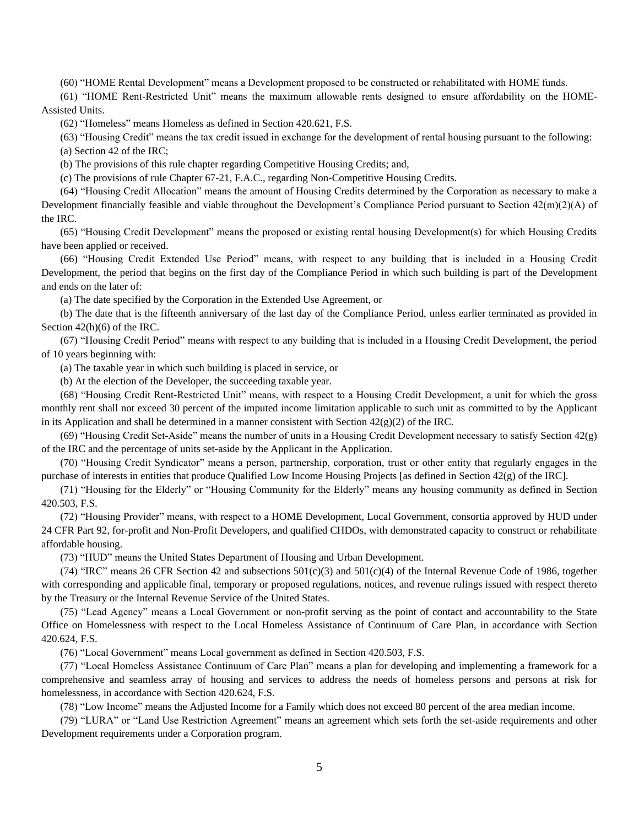(60) "HOME Rental Development" means a Development proposed to be constructed or rehabilitated with HOME funds.

(61) "HOME Rent-Restricted Unit" means the maximum allowable rents designed to ensure affordability on the HOME-Assisted Units.

(62) "Homeless" means Homeless as defined in Section 420.621, F.S.

(63) "Housing Credit" means the tax credit issued in exchange for the development of rental housing pursuant to the following: (a) Section 42 of the IRC;

(b) The provisions of this rule chapter regarding Competitive Housing Credits; and,

(c) The provisions of rule Chapter 67-21, F.A.C., regarding Non-Competitive Housing Credits.

(64) "Housing Credit Allocation" means the amount of Housing Credits determined by the Corporation as necessary to make a Development financially feasible and viable throughout the Development's Compliance Period pursuant to Section 42(m)(2)(A) of the IRC.

(65) "Housing Credit Development" means the proposed or existing rental housing Development(s) for which Housing Credits have been applied or received.

(66) "Housing Credit Extended Use Period" means, with respect to any building that is included in a Housing Credit Development, the period that begins on the first day of the Compliance Period in which such building is part of the Development and ends on the later of:

(a) The date specified by the Corporation in the Extended Use Agreement, or

(b) The date that is the fifteenth anniversary of the last day of the Compliance Period, unless earlier terminated as provided in Section 42(h)(6) of the IRC.

(67) "Housing Credit Period" means with respect to any building that is included in a Housing Credit Development, the period of 10 years beginning with:

(a) The taxable year in which such building is placed in service, or

(b) At the election of the Developer, the succeeding taxable year.

(68) "Housing Credit Rent-Restricted Unit" means, with respect to a Housing Credit Development, a unit for which the gross monthly rent shall not exceed 30 percent of the imputed income limitation applicable to such unit as committed to by the Applicant in its Application and shall be determined in a manner consistent with Section  $42(g)(2)$  of the IRC.

(69) "Housing Credit Set-Aside" means the number of units in a Housing Credit Development necessary to satisfy Section 42(g) of the IRC and the percentage of units set-aside by the Applicant in the Application.

(70) "Housing Credit Syndicator" means a person, partnership, corporation, trust or other entity that regularly engages in the purchase of interests in entities that produce Qualified Low Income Housing Projects [as defined in Section 42(g) of the IRC].

(71) "Housing for the Elderly" or "Housing Community for the Elderly" means any housing community as defined in Section 420.503, F.S.

(72) "Housing Provider" means, with respect to a HOME Development, Local Government, consortia approved by HUD under 24 CFR Part 92, for-profit and Non-Profit Developers, and qualified CHDOs, with demonstrated capacity to construct or rehabilitate affordable housing.

(73) "HUD" means the United States Department of Housing and Urban Development.

(74) "IRC" means 26 CFR Section 42 and subsections  $501(c)(3)$  and  $501(c)(4)$  of the Internal Revenue Code of 1986, together with corresponding and applicable final, temporary or proposed regulations, notices, and revenue rulings issued with respect thereto by the Treasury or the Internal Revenue Service of the United States.

(75) "Lead Agency" means a Local Government or non-profit serving as the point of contact and accountability to the State Office on Homelessness with respect to the Local Homeless Assistance of Continuum of Care Plan, in accordance with Section 420.624, F.S.

(76) "Local Government" means Local government as defined in Section 420.503, F.S.

(77) "Local Homeless Assistance Continuum of Care Plan" means a plan for developing and implementing a framework for a comprehensive and seamless array of housing and services to address the needs of homeless persons and persons at risk for homelessness, in accordance with Section 420.624, F.S.

(78) "Low Income" means the Adjusted Income for a Family which does not exceed 80 percent of the area median income.

(79) "LURA" or "Land Use Restriction Agreement" means an agreement which sets forth the set-aside requirements and other Development requirements under a Corporation program.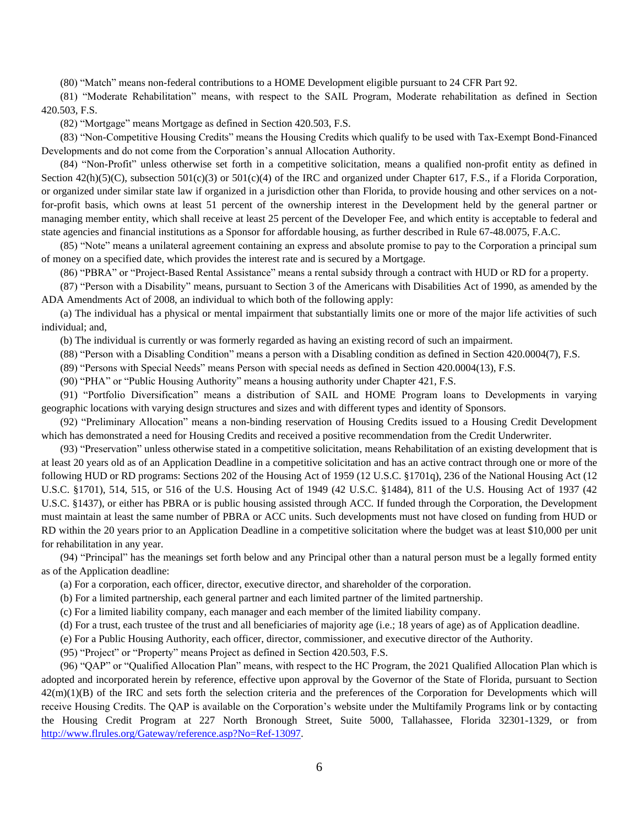(80) "Match" means non-federal contributions to a HOME Development eligible pursuant to 24 CFR Part 92.

(81) "Moderate Rehabilitation" means, with respect to the SAIL Program, Moderate rehabilitation as defined in Section 420.503, F.S.

(82) "Mortgage" means Mortgage as defined in Section 420.503, F.S.

(83) "Non-Competitive Housing Credits" means the Housing Credits which qualify to be used with Tax-Exempt Bond-Financed Developments and do not come from the Corporation's annual Allocation Authority.

(84) "Non-Profit" unless otherwise set forth in a competitive solicitation, means a qualified non-profit entity as defined in Section 42(h)(5)(C), subsection 501(c)(3) or 501(c)(4) of the IRC and organized under Chapter 617, F.S., if a Florida Corporation, or organized under similar state law if organized in a jurisdiction other than Florida, to provide housing and other services on a notfor-profit basis, which owns at least 51 percent of the ownership interest in the Development held by the general partner or managing member entity, which shall receive at least 25 percent of the Developer Fee, and which entity is acceptable to federal and state agencies and financial institutions as a Sponsor for affordable housing, as further described in Rule 67-48.0075, F.A.C.

(85) "Note" means a unilateral agreement containing an express and absolute promise to pay to the Corporation a principal sum of money on a specified date, which provides the interest rate and is secured by a Mortgage.

(86) "PBRA" or "Project-Based Rental Assistance" means a rental subsidy through a contract with HUD or RD for a property.

(87) "Person with a Disability" means, pursuant to Section 3 of the Americans with Disabilities Act of 1990, as amended by the ADA Amendments Act of 2008, an individual to which both of the following apply:

(a) The individual has a physical or mental impairment that substantially limits one or more of the major life activities of such individual; and,

(b) The individual is currently or was formerly regarded as having an existing record of such an impairment.

(88) "Person with a Disabling Condition" means a person with a Disabling condition as defined in Section 420.0004(7), F.S.

(89) "Persons with Special Needs" means Person with special needs as defined in Section 420.0004(13), F.S.

(90) "PHA" or "Public Housing Authority" means a housing authority under Chapter 421, F.S.

(91) "Portfolio Diversification" means a distribution of SAIL and HOME Program loans to Developments in varying geographic locations with varying design structures and sizes and with different types and identity of Sponsors.

(92) "Preliminary Allocation" means a non-binding reservation of Housing Credits issued to a Housing Credit Development which has demonstrated a need for Housing Credits and received a positive recommendation from the Credit Underwriter.

(93) "Preservation" unless otherwise stated in a competitive solicitation, means Rehabilitation of an existing development that is at least 20 years old as of an Application Deadline in a competitive solicitation and has an active contract through one or more of the following HUD or RD programs: Sections 202 of the Housing Act of 1959 (12 U.S.C. §1701q), 236 of the National Housing Act (12 U.S.C. §1701), 514, 515, or 516 of the U.S. Housing Act of 1949 (42 U.S.C. §1484), 811 of the U.S. Housing Act of 1937 (42 U.S.C. §1437), or either has PBRA or is public housing assisted through ACC. If funded through the Corporation, the Development must maintain at least the same number of PBRA or ACC units. Such developments must not have closed on funding from HUD or RD within the 20 years prior to an Application Deadline in a competitive solicitation where the budget was at least \$10,000 per unit for rehabilitation in any year.

(94) "Principal" has the meanings set forth below and any Principal other than a natural person must be a legally formed entity as of the Application deadline:

(a) For a corporation, each officer, director, executive director, and shareholder of the corporation.

(b) For a limited partnership, each general partner and each limited partner of the limited partnership.

(c) For a limited liability company, each manager and each member of the limited liability company.

(d) For a trust, each trustee of the trust and all beneficiaries of majority age (i.e.; 18 years of age) as of Application deadline.

(e) For a Public Housing Authority, each officer, director, commissioner, and executive director of the Authority.

(95) "Project" or "Property" means Project as defined in Section 420.503, F.S.

(96) "QAP" or "Qualified Allocation Plan" means, with respect to the HC Program, the 2021 Qualified Allocation Plan which is adopted and incorporated herein by reference, effective upon approval by the Governor of the State of Florida, pursuant to Section 42(m)(1)(B) of the IRC and sets forth the selection criteria and the preferences of the Corporation for Developments which will receive Housing Credits. The QAP is available on the Corporation's website under the Multifamily Programs link or by contacting the Housing Credit Program at 227 North Bronough Street, Suite 5000, Tallahassee, Florida 32301-1329, or from [http://www.flrules.org/Gateway/reference.asp?No=Ref-13097.](http://www.flrules.org/Gateway/reference.asp?No=Ref-13097)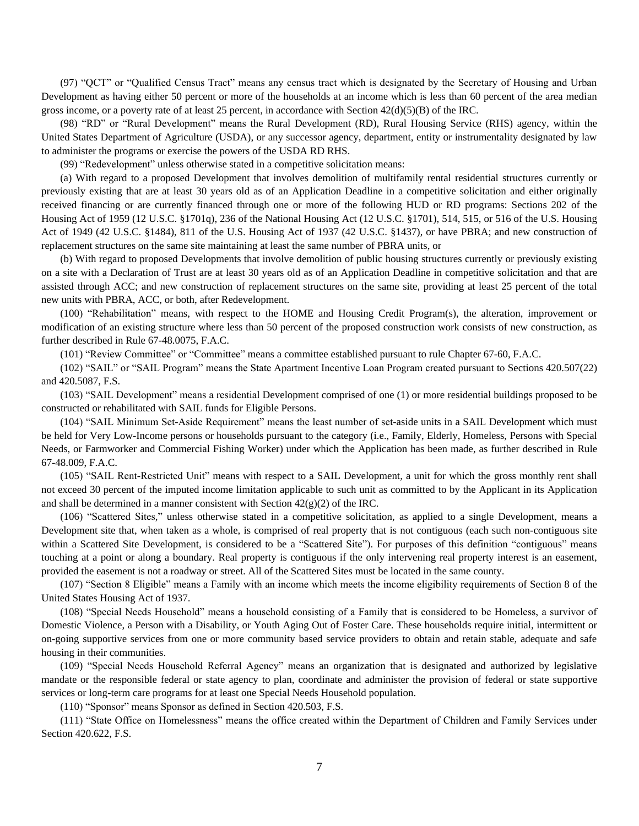(97) "QCT" or "Qualified Census Tract" means any census tract which is designated by the Secretary of Housing and Urban Development as having either 50 percent or more of the households at an income which is less than 60 percent of the area median gross income, or a poverty rate of at least 25 percent, in accordance with Section  $42(d)(5)(B)$  of the IRC.

(98) "RD" or "Rural Development" means the Rural Development (RD), Rural Housing Service (RHS) agency, within the United States Department of Agriculture (USDA), or any successor agency, department, entity or instrumentality designated by law to administer the programs or exercise the powers of the USDA RD RHS.

(99) "Redevelopment" unless otherwise stated in a competitive solicitation means:

(a) With regard to a proposed Development that involves demolition of multifamily rental residential structures currently or previously existing that are at least 30 years old as of an Application Deadline in a competitive solicitation and either originally received financing or are currently financed through one or more of the following HUD or RD programs: Sections 202 of the Housing Act of 1959 (12 U.S.C. §1701q), 236 of the National Housing Act (12 U.S.C. §1701), 514, 515, or 516 of the U.S. Housing Act of 1949 (42 U.S.C. §1484), 811 of the U.S. Housing Act of 1937 (42 U.S.C. §1437), or have PBRA; and new construction of replacement structures on the same site maintaining at least the same number of PBRA units, or

(b) With regard to proposed Developments that involve demolition of public housing structures currently or previously existing on a site with a Declaration of Trust are at least 30 years old as of an Application Deadline in competitive solicitation and that are assisted through ACC; and new construction of replacement structures on the same site, providing at least 25 percent of the total new units with PBRA, ACC, or both, after Redevelopment.

(100) "Rehabilitation" means, with respect to the HOME and Housing Credit Program(s), the alteration, improvement or modification of an existing structure where less than 50 percent of the proposed construction work consists of new construction, as further described in Rule 67-48.0075, F.A.C.

(101) "Review Committee" or "Committee" means a committee established pursuant to rule Chapter 67-60, F.A.C.

(102) "SAIL" or "SAIL Program" means the State Apartment Incentive Loan Program created pursuant to Sections 420.507(22) and 420.5087, F.S.

(103) "SAIL Development" means a residential Development comprised of one (1) or more residential buildings proposed to be constructed or rehabilitated with SAIL funds for Eligible Persons.

(104) "SAIL Minimum Set-Aside Requirement" means the least number of set-aside units in a SAIL Development which must be held for Very Low-Income persons or households pursuant to the category (i.e., Family, Elderly, Homeless, Persons with Special Needs, or Farmworker and Commercial Fishing Worker) under which the Application has been made, as further described in Rule 67-48.009, F.A.C.

(105) "SAIL Rent-Restricted Unit" means with respect to a SAIL Development, a unit for which the gross monthly rent shall not exceed 30 percent of the imputed income limitation applicable to such unit as committed to by the Applicant in its Application and shall be determined in a manner consistent with Section  $42(g)(2)$  of the IRC.

(106) "Scattered Sites," unless otherwise stated in a competitive solicitation, as applied to a single Development, means a Development site that, when taken as a whole, is comprised of real property that is not contiguous (each such non-contiguous site within a Scattered Site Development, is considered to be a "Scattered Site"). For purposes of this definition "contiguous" means touching at a point or along a boundary. Real property is contiguous if the only intervening real property interest is an easement, provided the easement is not a roadway or street. All of the Scattered Sites must be located in the same county.

(107) "Section 8 Eligible" means a Family with an income which meets the income eligibility requirements of Section 8 of the United States Housing Act of 1937.

(108) "Special Needs Household" means a household consisting of a Family that is considered to be Homeless, a survivor of Domestic Violence, a Person with a Disability, or Youth Aging Out of Foster Care. These households require initial, intermittent or on-going supportive services from one or more community based service providers to obtain and retain stable, adequate and safe housing in their communities.

(109) "Special Needs Household Referral Agency" means an organization that is designated and authorized by legislative mandate or the responsible federal or state agency to plan, coordinate and administer the provision of federal or state supportive services or long-term care programs for at least one Special Needs Household population.

(110) "Sponsor" means Sponsor as defined in Section 420.503, F.S.

(111) "State Office on Homelessness" means the office created within the Department of Children and Family Services under Section 420.622, F.S.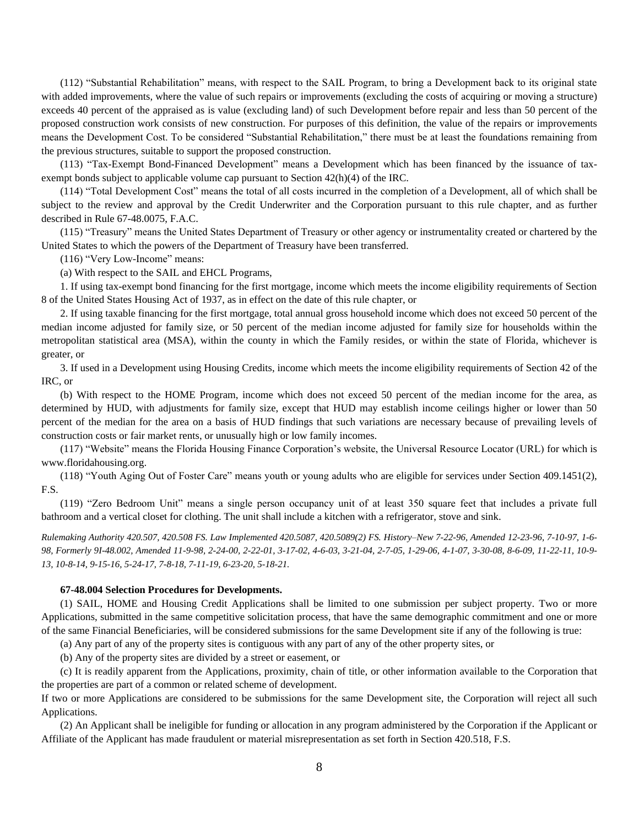(112) "Substantial Rehabilitation" means, with respect to the SAIL Program, to bring a Development back to its original state with added improvements, where the value of such repairs or improvements (excluding the costs of acquiring or moving a structure) exceeds 40 percent of the appraised as is value (excluding land) of such Development before repair and less than 50 percent of the proposed construction work consists of new construction. For purposes of this definition, the value of the repairs or improvements means the Development Cost. To be considered "Substantial Rehabilitation," there must be at least the foundations remaining from the previous structures, suitable to support the proposed construction.

(113) "Tax-Exempt Bond-Financed Development" means a Development which has been financed by the issuance of taxexempt bonds subject to applicable volume cap pursuant to Section 42(h)(4) of the IRC.

(114) "Total Development Cost" means the total of all costs incurred in the completion of a Development, all of which shall be subject to the review and approval by the Credit Underwriter and the Corporation pursuant to this rule chapter, and as further described in Rule 67-48.0075, F.A.C.

(115) "Treasury" means the United States Department of Treasury or other agency or instrumentality created or chartered by the United States to which the powers of the Department of Treasury have been transferred.

(116) "Very Low-Income" means:

(a) With respect to the SAIL and EHCL Programs,

1. If using tax-exempt bond financing for the first mortgage, income which meets the income eligibility requirements of Section 8 of the United States Housing Act of 1937, as in effect on the date of this rule chapter, or

2. If using taxable financing for the first mortgage, total annual gross household income which does not exceed 50 percent of the median income adjusted for family size, or 50 percent of the median income adjusted for family size for households within the metropolitan statistical area (MSA), within the county in which the Family resides, or within the state of Florida, whichever is greater, or

3. If used in a Development using Housing Credits, income which meets the income eligibility requirements of Section 42 of the IRC, or

(b) With respect to the HOME Program, income which does not exceed 50 percent of the median income for the area, as determined by HUD, with adjustments for family size, except that HUD may establish income ceilings higher or lower than 50 percent of the median for the area on a basis of HUD findings that such variations are necessary because of prevailing levels of construction costs or fair market rents, or unusually high or low family incomes.

(117) "Website" means the Florida Housing Finance Corporation's website, the Universal Resource Locator (URL) for which is www.floridahousing.org.

(118) "Youth Aging Out of Foster Care" means youth or young adults who are eligible for services under Section 409.1451(2), F.S.

(119) "Zero Bedroom Unit" means a single person occupancy unit of at least 350 square feet that includes a private full bathroom and a vertical closet for clothing. The unit shall include a kitchen with a refrigerator, stove and sink.

*Rulemaking Authority 420.507, 420.508 FS. Law Implemented 420.5087, 420.5089(2) FS. History–New 7-22-96, Amended 12-23-96, 7-10-97, 1-6- 98, Formerly 9I-48.002, Amended 11-9-98, 2-24-00, 2-22-01, 3-17-02, 4-6-03, 3-21-04, 2-7-05, 1-29-06, 4-1-07, 3-30-08, 8-6-09, 11-22-11, 10-9- 13, 10-8-14, 9-15-16, 5-24-17, 7-8-18, 7-11-19, 6-23-20, 5-18-21.*

## **67-48.004 Selection Procedures for Developments.**

(1) SAIL, HOME and Housing Credit Applications shall be limited to one submission per subject property. Two or more Applications, submitted in the same competitive solicitation process, that have the same demographic commitment and one or more of the same Financial Beneficiaries, will be considered submissions for the same Development site if any of the following is true:

(a) Any part of any of the property sites is contiguous with any part of any of the other property sites, or

(b) Any of the property sites are divided by a street or easement, or

(c) It is readily apparent from the Applications, proximity, chain of title, or other information available to the Corporation that the properties are part of a common or related scheme of development.

If two or more Applications are considered to be submissions for the same Development site, the Corporation will reject all such Applications.

(2) An Applicant shall be ineligible for funding or allocation in any program administered by the Corporation if the Applicant or Affiliate of the Applicant has made fraudulent or material misrepresentation as set forth in Section 420.518, F.S.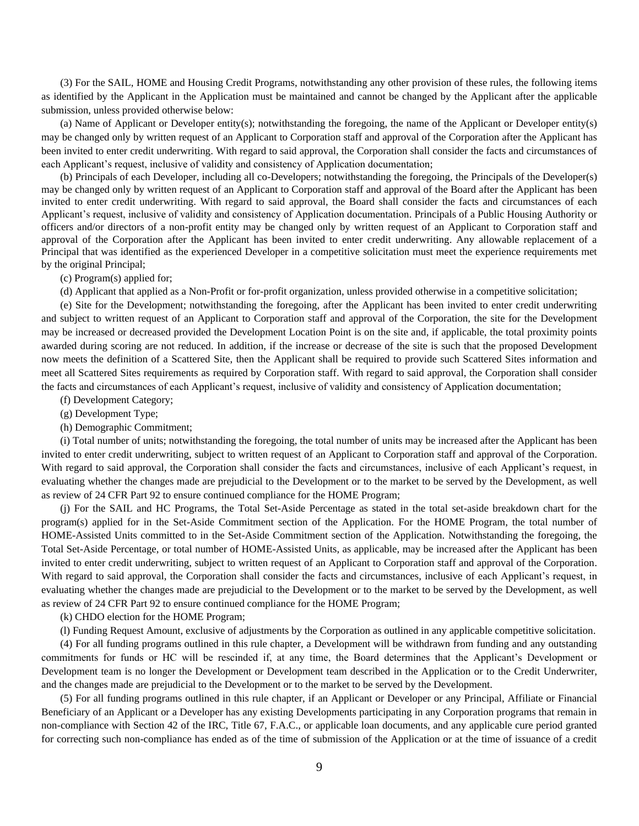(3) For the SAIL, HOME and Housing Credit Programs, notwithstanding any other provision of these rules, the following items as identified by the Applicant in the Application must be maintained and cannot be changed by the Applicant after the applicable submission, unless provided otherwise below:

(a) Name of Applicant or Developer entity(s); notwithstanding the foregoing, the name of the Applicant or Developer entity(s) may be changed only by written request of an Applicant to Corporation staff and approval of the Corporation after the Applicant has been invited to enter credit underwriting. With regard to said approval, the Corporation shall consider the facts and circumstances of each Applicant's request, inclusive of validity and consistency of Application documentation;

(b) Principals of each Developer, including all co-Developers; notwithstanding the foregoing, the Principals of the Developer(s) may be changed only by written request of an Applicant to Corporation staff and approval of the Board after the Applicant has been invited to enter credit underwriting. With regard to said approval, the Board shall consider the facts and circumstances of each Applicant's request, inclusive of validity and consistency of Application documentation. Principals of a Public Housing Authority or officers and/or directors of a non-profit entity may be changed only by written request of an Applicant to Corporation staff and approval of the Corporation after the Applicant has been invited to enter credit underwriting. Any allowable replacement of a Principal that was identified as the experienced Developer in a competitive solicitation must meet the experience requirements met by the original Principal;

(c) Program(s) applied for;

(d) Applicant that applied as a Non-Profit or for-profit organization, unless provided otherwise in a competitive solicitation;

(e) Site for the Development; notwithstanding the foregoing, after the Applicant has been invited to enter credit underwriting and subject to written request of an Applicant to Corporation staff and approval of the Corporation, the site for the Development may be increased or decreased provided the Development Location Point is on the site and, if applicable, the total proximity points awarded during scoring are not reduced. In addition, if the increase or decrease of the site is such that the proposed Development now meets the definition of a Scattered Site, then the Applicant shall be required to provide such Scattered Sites information and meet all Scattered Sites requirements as required by Corporation staff. With regard to said approval, the Corporation shall consider the facts and circumstances of each Applicant's request, inclusive of validity and consistency of Application documentation;

(f) Development Category;

(g) Development Type;

(h) Demographic Commitment;

(i) Total number of units; notwithstanding the foregoing, the total number of units may be increased after the Applicant has been invited to enter credit underwriting, subject to written request of an Applicant to Corporation staff and approval of the Corporation. With regard to said approval, the Corporation shall consider the facts and circumstances, inclusive of each Applicant's request, in evaluating whether the changes made are prejudicial to the Development or to the market to be served by the Development, as well as review of 24 CFR Part 92 to ensure continued compliance for the HOME Program;

(j) For the SAIL and HC Programs, the Total Set-Aside Percentage as stated in the total set-aside breakdown chart for the program(s) applied for in the Set-Aside Commitment section of the Application. For the HOME Program, the total number of HOME-Assisted Units committed to in the Set-Aside Commitment section of the Application. Notwithstanding the foregoing, the Total Set-Aside Percentage, or total number of HOME-Assisted Units, as applicable, may be increased after the Applicant has been invited to enter credit underwriting, subject to written request of an Applicant to Corporation staff and approval of the Corporation. With regard to said approval, the Corporation shall consider the facts and circumstances, inclusive of each Applicant's request, in evaluating whether the changes made are prejudicial to the Development or to the market to be served by the Development, as well as review of 24 CFR Part 92 to ensure continued compliance for the HOME Program;

(k) CHDO election for the HOME Program;

(l) Funding Request Amount, exclusive of adjustments by the Corporation as outlined in any applicable competitive solicitation.

(4) For all funding programs outlined in this rule chapter, a Development will be withdrawn from funding and any outstanding commitments for funds or HC will be rescinded if, at any time, the Board determines that the Applicant's Development or Development team is no longer the Development or Development team described in the Application or to the Credit Underwriter, and the changes made are prejudicial to the Development or to the market to be served by the Development.

(5) For all funding programs outlined in this rule chapter, if an Applicant or Developer or any Principal, Affiliate or Financial Beneficiary of an Applicant or a Developer has any existing Developments participating in any Corporation programs that remain in non-compliance with Section 42 of the IRC, Title 67, F.A.C., or applicable loan documents, and any applicable cure period granted for correcting such non-compliance has ended as of the time of submission of the Application or at the time of issuance of a credit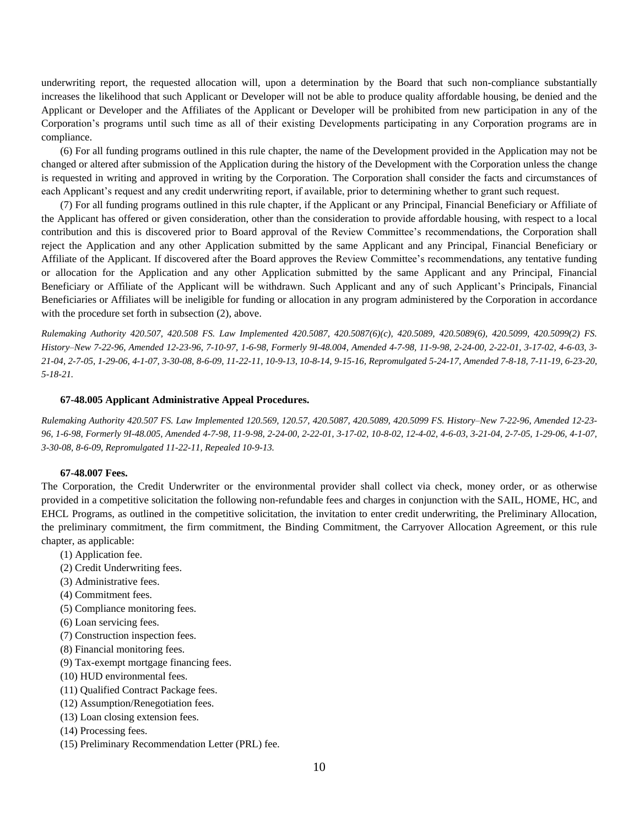underwriting report, the requested allocation will, upon a determination by the Board that such non-compliance substantially increases the likelihood that such Applicant or Developer will not be able to produce quality affordable housing, be denied and the Applicant or Developer and the Affiliates of the Applicant or Developer will be prohibited from new participation in any of the Corporation's programs until such time as all of their existing Developments participating in any Corporation programs are in compliance.

(6) For all funding programs outlined in this rule chapter, the name of the Development provided in the Application may not be changed or altered after submission of the Application during the history of the Development with the Corporation unless the change is requested in writing and approved in writing by the Corporation. The Corporation shall consider the facts and circumstances of each Applicant's request and any credit underwriting report, if available, prior to determining whether to grant such request.

(7) For all funding programs outlined in this rule chapter, if the Applicant or any Principal, Financial Beneficiary or Affiliate of the Applicant has offered or given consideration, other than the consideration to provide affordable housing, with respect to a local contribution and this is discovered prior to Board approval of the Review Committee's recommendations, the Corporation shall reject the Application and any other Application submitted by the same Applicant and any Principal, Financial Beneficiary or Affiliate of the Applicant. If discovered after the Board approves the Review Committee's recommendations, any tentative funding or allocation for the Application and any other Application submitted by the same Applicant and any Principal, Financial Beneficiary or Affiliate of the Applicant will be withdrawn. Such Applicant and any of such Applicant's Principals, Financial Beneficiaries or Affiliates will be ineligible for funding or allocation in any program administered by the Corporation in accordance with the procedure set forth in subsection  $(2)$ , above.

*Rulemaking Authority 420.507, 420.508 FS. Law Implemented 420.5087, 420.5087(6)(c), 420.5089, 420.5089(6), 420.5099, 420.5099(2) FS. History–New 7-22-96, Amended 12-23-96, 7-10-97, 1-6-98, Formerly 9I-48.004, Amended 4-7-98, 11-9-98, 2-24-00, 2-22-01, 3-17-02, 4-6-03, 3- 21-04, 2-7-05, 1-29-06, 4-1-07, 3-30-08, 8-6-09, 11-22-11, 10-9-13, 10-8-14, 9-15-16, Repromulgated 5-24-17, Amended 7-8-18, 7-11-19, 6-23-20, 5-18-21.*

## **67-48.005 Applicant Administrative Appeal Procedures.**

*Rulemaking Authority 420.507 FS. Law Implemented 120.569, 120.57, 420.5087, 420.5089, 420.5099 FS. History–New 7-22-96, Amended 12-23- 96, 1-6-98, Formerly 9I-48.005, Amended 4-7-98, 11-9-98, 2-24-00, 2-22-01, 3-17-02, 10-8-02, 12-4-02, 4-6-03, 3-21-04, 2-7-05, 1-29-06, 4-1-07, 3-30-08, 8-6-09, Repromulgated 11-22-11, Repealed 10-9-13.*

#### **67-48.007 Fees.**

The Corporation, the Credit Underwriter or the environmental provider shall collect via check, money order, or as otherwise provided in a competitive solicitation the following non-refundable fees and charges in conjunction with the SAIL, HOME, HC, and EHCL Programs, as outlined in the competitive solicitation, the invitation to enter credit underwriting, the Preliminary Allocation, the preliminary commitment, the firm commitment, the Binding Commitment, the Carryover Allocation Agreement, or this rule chapter, as applicable:

- (1) Application fee.
- (2) Credit Underwriting fees.
- (3) Administrative fees.
- (4) Commitment fees.
- (5) Compliance monitoring fees.
- (6) Loan servicing fees.
- (7) Construction inspection fees.
- (8) Financial monitoring fees.
- (9) Tax-exempt mortgage financing fees.
- (10) HUD environmental fees.
- (11) Qualified Contract Package fees.
- (12) Assumption/Renegotiation fees.
- (13) Loan closing extension fees.
- (14) Processing fees.
- (15) Preliminary Recommendation Letter (PRL) fee.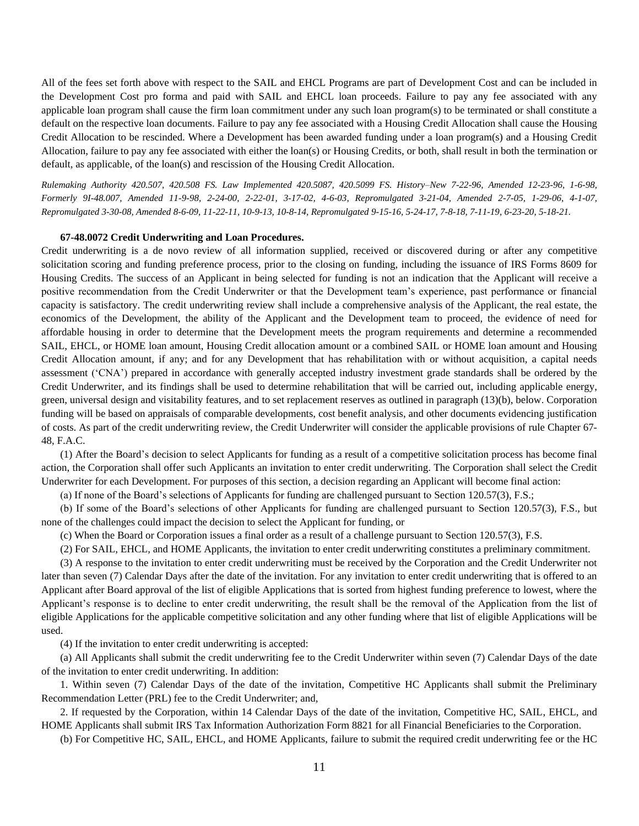All of the fees set forth above with respect to the SAIL and EHCL Programs are part of Development Cost and can be included in the Development Cost pro forma and paid with SAIL and EHCL loan proceeds. Failure to pay any fee associated with any applicable loan program shall cause the firm loan commitment under any such loan program(s) to be terminated or shall constitute a default on the respective loan documents. Failure to pay any fee associated with a Housing Credit Allocation shall cause the Housing Credit Allocation to be rescinded. Where a Development has been awarded funding under a loan program(s) and a Housing Credit Allocation, failure to pay any fee associated with either the loan(s) or Housing Credits, or both, shall result in both the termination or default, as applicable, of the loan(s) and rescission of the Housing Credit Allocation.

*Rulemaking Authority 420.507, 420.508 FS. Law Implemented 420.5087, 420.5099 FS. History–New 7-22-96, Amended 12-23-96, 1-6-98, Formerly 9I-48.007, Amended 11-9-98, 2-24-00, 2-22-01, 3-17-02, 4-6-03, Repromulgated 3-21-04, Amended 2-7-05, 1-29-06, 4-1-07, Repromulgated 3-30-08, Amended 8-6-09, 11-22-11, 10-9-13, 10-8-14, Repromulgated 9-15-16, 5-24-17, 7-8-18, 7-11-19, 6-23-20, 5-18-21.*

#### **67-48.0072 Credit Underwriting and Loan Procedures.**

Credit underwriting is a de novo review of all information supplied, received or discovered during or after any competitive solicitation scoring and funding preference process, prior to the closing on funding, including the issuance of IRS Forms 8609 for Housing Credits. The success of an Applicant in being selected for funding is not an indication that the Applicant will receive a positive recommendation from the Credit Underwriter or that the Development team's experience, past performance or financial capacity is satisfactory. The credit underwriting review shall include a comprehensive analysis of the Applicant, the real estate, the economics of the Development, the ability of the Applicant and the Development team to proceed, the evidence of need for affordable housing in order to determine that the Development meets the program requirements and determine a recommended SAIL, EHCL, or HOME loan amount, Housing Credit allocation amount or a combined SAIL or HOME loan amount and Housing Credit Allocation amount, if any; and for any Development that has rehabilitation with or without acquisition, a capital needs assessment ('CNA') prepared in accordance with generally accepted industry investment grade standards shall be ordered by the Credit Underwriter, and its findings shall be used to determine rehabilitation that will be carried out, including applicable energy, green, universal design and visitability features, and to set replacement reserves as outlined in paragraph (13)(b), below. Corporation funding will be based on appraisals of comparable developments, cost benefit analysis, and other documents evidencing justification of costs. As part of the credit underwriting review, the Credit Underwriter will consider the applicable provisions of rule Chapter 67- 48, F.A.C.

(1) After the Board's decision to select Applicants for funding as a result of a competitive solicitation process has become final action, the Corporation shall offer such Applicants an invitation to enter credit underwriting. The Corporation shall select the Credit Underwriter for each Development. For purposes of this section, a decision regarding an Applicant will become final action:

(a) If none of the Board's selections of Applicants for funding are challenged pursuant to Section 120.57(3), F.S.;

(b) If some of the Board's selections of other Applicants for funding are challenged pursuant to Section 120.57(3), F.S., but none of the challenges could impact the decision to select the Applicant for funding, or

(c) When the Board or Corporation issues a final order as a result of a challenge pursuant to Section 120.57(3), F.S.

(2) For SAIL, EHCL, and HOME Applicants, the invitation to enter credit underwriting constitutes a preliminary commitment.

(3) A response to the invitation to enter credit underwriting must be received by the Corporation and the Credit Underwriter not later than seven (7) Calendar Days after the date of the invitation. For any invitation to enter credit underwriting that is offered to an Applicant after Board approval of the list of eligible Applications that is sorted from highest funding preference to lowest, where the Applicant's response is to decline to enter credit underwriting, the result shall be the removal of the Application from the list of eligible Applications for the applicable competitive solicitation and any other funding where that list of eligible Applications will be used.

(4) If the invitation to enter credit underwriting is accepted:

(a) All Applicants shall submit the credit underwriting fee to the Credit Underwriter within seven (7) Calendar Days of the date of the invitation to enter credit underwriting. In addition:

1. Within seven (7) Calendar Days of the date of the invitation, Competitive HC Applicants shall submit the Preliminary Recommendation Letter (PRL) fee to the Credit Underwriter; and,

2. If requested by the Corporation, within 14 Calendar Days of the date of the invitation, Competitive HC, SAIL, EHCL, and HOME Applicants shall submit IRS Tax Information Authorization Form 8821 for all Financial Beneficiaries to the Corporation.

(b) For Competitive HC, SAIL, EHCL, and HOME Applicants, failure to submit the required credit underwriting fee or the HC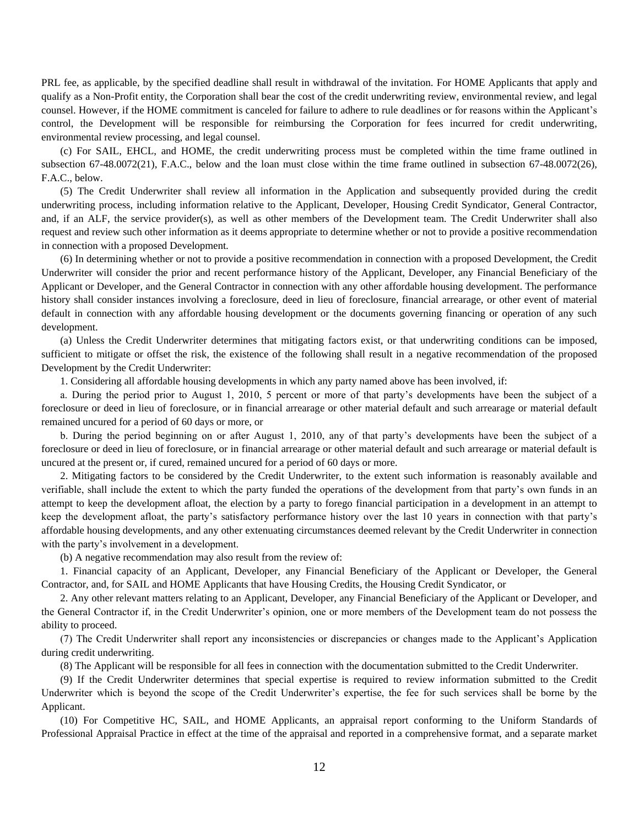PRL fee, as applicable, by the specified deadline shall result in withdrawal of the invitation. For HOME Applicants that apply and qualify as a Non-Profit entity, the Corporation shall bear the cost of the credit underwriting review, environmental review, and legal counsel. However, if the HOME commitment is canceled for failure to adhere to rule deadlines or for reasons within the Applicant's control, the Development will be responsible for reimbursing the Corporation for fees incurred for credit underwriting, environmental review processing, and legal counsel.

(c) For SAIL, EHCL, and HOME, the credit underwriting process must be completed within the time frame outlined in subsection 67-48.0072(21), F.A.C., below and the loan must close within the time frame outlined in subsection 67-48.0072(26), F.A.C., below.

(5) The Credit Underwriter shall review all information in the Application and subsequently provided during the credit underwriting process, including information relative to the Applicant, Developer, Housing Credit Syndicator, General Contractor, and, if an ALF, the service provider(s), as well as other members of the Development team. The Credit Underwriter shall also request and review such other information as it deems appropriate to determine whether or not to provide a positive recommendation in connection with a proposed Development.

(6) In determining whether or not to provide a positive recommendation in connection with a proposed Development, the Credit Underwriter will consider the prior and recent performance history of the Applicant, Developer, any Financial Beneficiary of the Applicant or Developer, and the General Contractor in connection with any other affordable housing development. The performance history shall consider instances involving a foreclosure, deed in lieu of foreclosure, financial arrearage, or other event of material default in connection with any affordable housing development or the documents governing financing or operation of any such development.

(a) Unless the Credit Underwriter determines that mitigating factors exist, or that underwriting conditions can be imposed, sufficient to mitigate or offset the risk, the existence of the following shall result in a negative recommendation of the proposed Development by the Credit Underwriter:

1. Considering all affordable housing developments in which any party named above has been involved, if:

a. During the period prior to August 1, 2010, 5 percent or more of that party's developments have been the subject of a foreclosure or deed in lieu of foreclosure, or in financial arrearage or other material default and such arrearage or material default remained uncured for a period of 60 days or more, or

b. During the period beginning on or after August 1, 2010, any of that party's developments have been the subject of a foreclosure or deed in lieu of foreclosure, or in financial arrearage or other material default and such arrearage or material default is uncured at the present or, if cured, remained uncured for a period of 60 days or more.

2. Mitigating factors to be considered by the Credit Underwriter, to the extent such information is reasonably available and verifiable, shall include the extent to which the party funded the operations of the development from that party's own funds in an attempt to keep the development afloat, the election by a party to forego financial participation in a development in an attempt to keep the development afloat, the party's satisfactory performance history over the last 10 years in connection with that party's affordable housing developments, and any other extenuating circumstances deemed relevant by the Credit Underwriter in connection with the party's involvement in a development.

(b) A negative recommendation may also result from the review of:

1. Financial capacity of an Applicant, Developer, any Financial Beneficiary of the Applicant or Developer, the General Contractor, and, for SAIL and HOME Applicants that have Housing Credits, the Housing Credit Syndicator, or

2. Any other relevant matters relating to an Applicant, Developer, any Financial Beneficiary of the Applicant or Developer, and the General Contractor if, in the Credit Underwriter's opinion, one or more members of the Development team do not possess the ability to proceed.

(7) The Credit Underwriter shall report any inconsistencies or discrepancies or changes made to the Applicant's Application during credit underwriting.

(8) The Applicant will be responsible for all fees in connection with the documentation submitted to the Credit Underwriter.

(9) If the Credit Underwriter determines that special expertise is required to review information submitted to the Credit Underwriter which is beyond the scope of the Credit Underwriter's expertise, the fee for such services shall be borne by the Applicant.

(10) For Competitive HC, SAIL, and HOME Applicants, an appraisal report conforming to the Uniform Standards of Professional Appraisal Practice in effect at the time of the appraisal and reported in a comprehensive format, and a separate market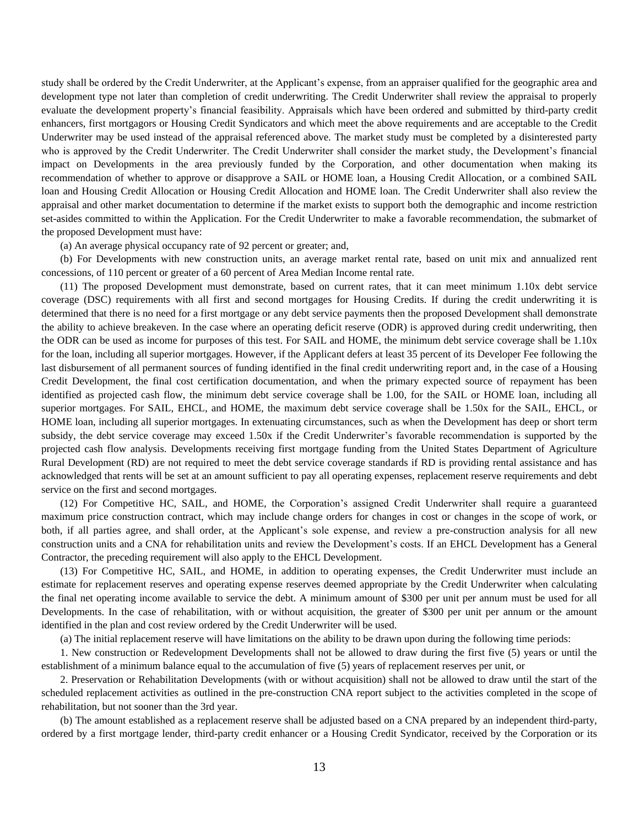study shall be ordered by the Credit Underwriter, at the Applicant's expense, from an appraiser qualified for the geographic area and development type not later than completion of credit underwriting. The Credit Underwriter shall review the appraisal to properly evaluate the development property's financial feasibility. Appraisals which have been ordered and submitted by third-party credit enhancers, first mortgagors or Housing Credit Syndicators and which meet the above requirements and are acceptable to the Credit Underwriter may be used instead of the appraisal referenced above. The market study must be completed by a disinterested party who is approved by the Credit Underwriter. The Credit Underwriter shall consider the market study, the Development's financial impact on Developments in the area previously funded by the Corporation, and other documentation when making its recommendation of whether to approve or disapprove a SAIL or HOME loan, a Housing Credit Allocation, or a combined SAIL loan and Housing Credit Allocation or Housing Credit Allocation and HOME loan. The Credit Underwriter shall also review the appraisal and other market documentation to determine if the market exists to support both the demographic and income restriction set-asides committed to within the Application. For the Credit Underwriter to make a favorable recommendation, the submarket of the proposed Development must have:

(a) An average physical occupancy rate of 92 percent or greater; and,

(b) For Developments with new construction units, an average market rental rate, based on unit mix and annualized rent concessions, of 110 percent or greater of a 60 percent of Area Median Income rental rate.

(11) The proposed Development must demonstrate, based on current rates, that it can meet minimum 1.10x debt service coverage (DSC) requirements with all first and second mortgages for Housing Credits. If during the credit underwriting it is determined that there is no need for a first mortgage or any debt service payments then the proposed Development shall demonstrate the ability to achieve breakeven. In the case where an operating deficit reserve (ODR) is approved during credit underwriting, then the ODR can be used as income for purposes of this test. For SAIL and HOME, the minimum debt service coverage shall be 1.10x for the loan, including all superior mortgages. However, if the Applicant defers at least 35 percent of its Developer Fee following the last disbursement of all permanent sources of funding identified in the final credit underwriting report and, in the case of a Housing Credit Development, the final cost certification documentation, and when the primary expected source of repayment has been identified as projected cash flow, the minimum debt service coverage shall be 1.00, for the SAIL or HOME loan, including all superior mortgages. For SAIL, EHCL, and HOME, the maximum debt service coverage shall be 1.50x for the SAIL, EHCL, or HOME loan, including all superior mortgages. In extenuating circumstances, such as when the Development has deep or short term subsidy, the debt service coverage may exceed 1.50x if the Credit Underwriter's favorable recommendation is supported by the projected cash flow analysis. Developments receiving first mortgage funding from the United States Department of Agriculture Rural Development (RD) are not required to meet the debt service coverage standards if RD is providing rental assistance and has acknowledged that rents will be set at an amount sufficient to pay all operating expenses, replacement reserve requirements and debt service on the first and second mortgages.

(12) For Competitive HC, SAIL, and HOME, the Corporation's assigned Credit Underwriter shall require a guaranteed maximum price construction contract, which may include change orders for changes in cost or changes in the scope of work, or both, if all parties agree, and shall order, at the Applicant's sole expense, and review a pre-construction analysis for all new construction units and a CNA for rehabilitation units and review the Development's costs. If an EHCL Development has a General Contractor, the preceding requirement will also apply to the EHCL Development.

(13) For Competitive HC, SAIL, and HOME, in addition to operating expenses, the Credit Underwriter must include an estimate for replacement reserves and operating expense reserves deemed appropriate by the Credit Underwriter when calculating the final net operating income available to service the debt. A minimum amount of \$300 per unit per annum must be used for all Developments. In the case of rehabilitation, with or without acquisition, the greater of \$300 per unit per annum or the amount identified in the plan and cost review ordered by the Credit Underwriter will be used.

(a) The initial replacement reserve will have limitations on the ability to be drawn upon during the following time periods:

1. New construction or Redevelopment Developments shall not be allowed to draw during the first five (5) years or until the establishment of a minimum balance equal to the accumulation of five (5) years of replacement reserves per unit, or

2. Preservation or Rehabilitation Developments (with or without acquisition) shall not be allowed to draw until the start of the scheduled replacement activities as outlined in the pre-construction CNA report subject to the activities completed in the scope of rehabilitation, but not sooner than the 3rd year.

(b) The amount established as a replacement reserve shall be adjusted based on a CNA prepared by an independent third-party, ordered by a first mortgage lender, third-party credit enhancer or a Housing Credit Syndicator, received by the Corporation or its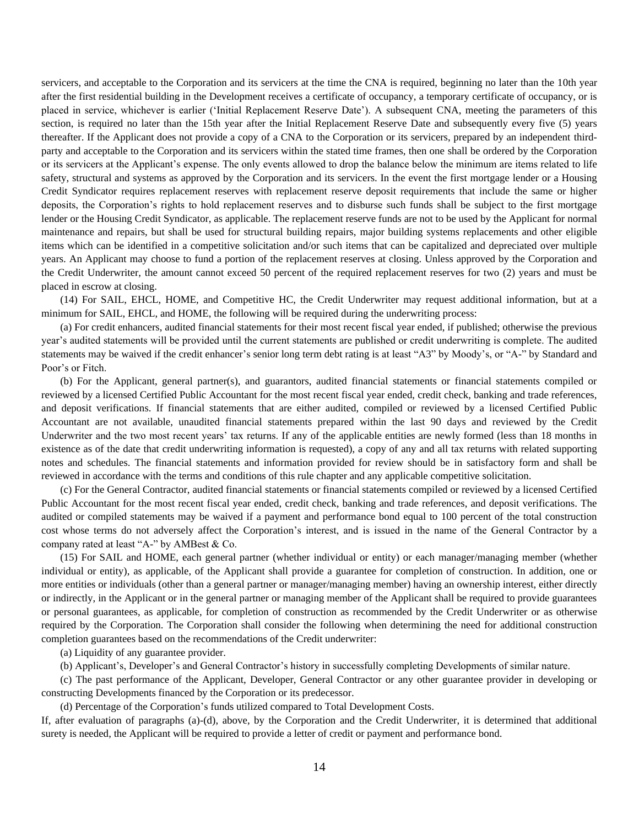servicers, and acceptable to the Corporation and its servicers at the time the CNA is required, beginning no later than the 10th year after the first residential building in the Development receives a certificate of occupancy, a temporary certificate of occupancy, or is placed in service, whichever is earlier ('Initial Replacement Reserve Date'). A subsequent CNA, meeting the parameters of this section, is required no later than the 15th year after the Initial Replacement Reserve Date and subsequently every five (5) years thereafter. If the Applicant does not provide a copy of a CNA to the Corporation or its servicers, prepared by an independent thirdparty and acceptable to the Corporation and its servicers within the stated time frames, then one shall be ordered by the Corporation or its servicers at the Applicant's expense. The only events allowed to drop the balance below the minimum are items related to life safety, structural and systems as approved by the Corporation and its servicers. In the event the first mortgage lender or a Housing Credit Syndicator requires replacement reserves with replacement reserve deposit requirements that include the same or higher deposits, the Corporation's rights to hold replacement reserves and to disburse such funds shall be subject to the first mortgage lender or the Housing Credit Syndicator, as applicable. The replacement reserve funds are not to be used by the Applicant for normal maintenance and repairs, but shall be used for structural building repairs, major building systems replacements and other eligible items which can be identified in a competitive solicitation and/or such items that can be capitalized and depreciated over multiple years. An Applicant may choose to fund a portion of the replacement reserves at closing. Unless approved by the Corporation and the Credit Underwriter, the amount cannot exceed 50 percent of the required replacement reserves for two (2) years and must be placed in escrow at closing.

(14) For SAIL, EHCL, HOME, and Competitive HC, the Credit Underwriter may request additional information, but at a minimum for SAIL, EHCL, and HOME, the following will be required during the underwriting process:

(a) For credit enhancers, audited financial statements for their most recent fiscal year ended, if published; otherwise the previous year's audited statements will be provided until the current statements are published or credit underwriting is complete. The audited statements may be waived if the credit enhancer's senior long term debt rating is at least "A3" by Moody's, or "A-" by Standard and Poor's or Fitch.

(b) For the Applicant, general partner(s), and guarantors, audited financial statements or financial statements compiled or reviewed by a licensed Certified Public Accountant for the most recent fiscal year ended, credit check, banking and trade references, and deposit verifications. If financial statements that are either audited, compiled or reviewed by a licensed Certified Public Accountant are not available, unaudited financial statements prepared within the last 90 days and reviewed by the Credit Underwriter and the two most recent years' tax returns. If any of the applicable entities are newly formed (less than 18 months in existence as of the date that credit underwriting information is requested), a copy of any and all tax returns with related supporting notes and schedules. The financial statements and information provided for review should be in satisfactory form and shall be reviewed in accordance with the terms and conditions of this rule chapter and any applicable competitive solicitation.

(c) For the General Contractor, audited financial statements or financial statements compiled or reviewed by a licensed Certified Public Accountant for the most recent fiscal year ended, credit check, banking and trade references, and deposit verifications. The audited or compiled statements may be waived if a payment and performance bond equal to 100 percent of the total construction cost whose terms do not adversely affect the Corporation's interest, and is issued in the name of the General Contractor by a company rated at least "A-" by AMBest & Co.

(15) For SAIL and HOME, each general partner (whether individual or entity) or each manager/managing member (whether individual or entity), as applicable, of the Applicant shall provide a guarantee for completion of construction. In addition, one or more entities or individuals (other than a general partner or manager/managing member) having an ownership interest, either directly or indirectly, in the Applicant or in the general partner or managing member of the Applicant shall be required to provide guarantees or personal guarantees, as applicable, for completion of construction as recommended by the Credit Underwriter or as otherwise required by the Corporation. The Corporation shall consider the following when determining the need for additional construction completion guarantees based on the recommendations of the Credit underwriter:

(a) Liquidity of any guarantee provider.

(b) Applicant's, Developer's and General Contractor's history in successfully completing Developments of similar nature.

(c) The past performance of the Applicant, Developer, General Contractor or any other guarantee provider in developing or constructing Developments financed by the Corporation or its predecessor.

(d) Percentage of the Corporation's funds utilized compared to Total Development Costs.

If, after evaluation of paragraphs (a)-(d), above, by the Corporation and the Credit Underwriter, it is determined that additional surety is needed, the Applicant will be required to provide a letter of credit or payment and performance bond.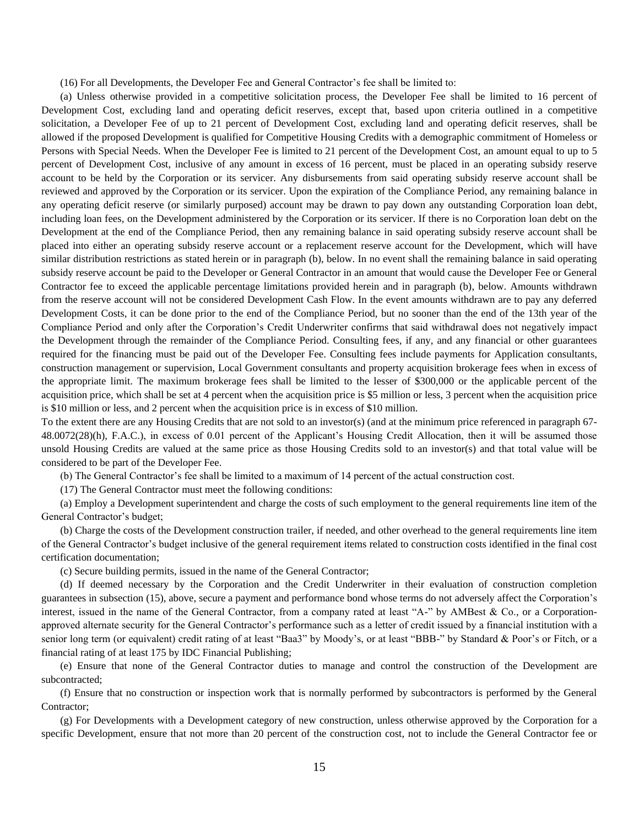(16) For all Developments, the Developer Fee and General Contractor's fee shall be limited to:

(a) Unless otherwise provided in a competitive solicitation process, the Developer Fee shall be limited to 16 percent of Development Cost, excluding land and operating deficit reserves, except that, based upon criteria outlined in a competitive solicitation, a Developer Fee of up to 21 percent of Development Cost, excluding land and operating deficit reserves, shall be allowed if the proposed Development is qualified for Competitive Housing Credits with a demographic commitment of Homeless or Persons with Special Needs. When the Developer Fee is limited to 21 percent of the Development Cost, an amount equal to up to 5 percent of Development Cost, inclusive of any amount in excess of 16 percent, must be placed in an operating subsidy reserve account to be held by the Corporation or its servicer. Any disbursements from said operating subsidy reserve account shall be reviewed and approved by the Corporation or its servicer. Upon the expiration of the Compliance Period, any remaining balance in any operating deficit reserve (or similarly purposed) account may be drawn to pay down any outstanding Corporation loan debt, including loan fees, on the Development administered by the Corporation or its servicer. If there is no Corporation loan debt on the Development at the end of the Compliance Period, then any remaining balance in said operating subsidy reserve account shall be placed into either an operating subsidy reserve account or a replacement reserve account for the Development, which will have similar distribution restrictions as stated herein or in paragraph (b), below. In no event shall the remaining balance in said operating subsidy reserve account be paid to the Developer or General Contractor in an amount that would cause the Developer Fee or General Contractor fee to exceed the applicable percentage limitations provided herein and in paragraph (b), below. Amounts withdrawn from the reserve account will not be considered Development Cash Flow. In the event amounts withdrawn are to pay any deferred Development Costs, it can be done prior to the end of the Compliance Period, but no sooner than the end of the 13th year of the Compliance Period and only after the Corporation's Credit Underwriter confirms that said withdrawal does not negatively impact the Development through the remainder of the Compliance Period. Consulting fees, if any, and any financial or other guarantees required for the financing must be paid out of the Developer Fee. Consulting fees include payments for Application consultants, construction management or supervision, Local Government consultants and property acquisition brokerage fees when in excess of the appropriate limit. The maximum brokerage fees shall be limited to the lesser of \$300,000 or the applicable percent of the acquisition price, which shall be set at 4 percent when the acquisition price is \$5 million or less, 3 percent when the acquisition price is \$10 million or less, and 2 percent when the acquisition price is in excess of \$10 million.

To the extent there are any Housing Credits that are not sold to an investor(s) (and at the minimum price referenced in paragraph 67- 48.0072(28)(h), F.A.C.), in excess of 0.01 percent of the Applicant's Housing Credit Allocation, then it will be assumed those unsold Housing Credits are valued at the same price as those Housing Credits sold to an investor(s) and that total value will be considered to be part of the Developer Fee.

(b) The General Contractor's fee shall be limited to a maximum of 14 percent of the actual construction cost.

(17) The General Contractor must meet the following conditions:

(a) Employ a Development superintendent and charge the costs of such employment to the general requirements line item of the General Contractor's budget;

(b) Charge the costs of the Development construction trailer, if needed, and other overhead to the general requirements line item of the General Contractor's budget inclusive of the general requirement items related to construction costs identified in the final cost certification documentation;

(c) Secure building permits, issued in the name of the General Contractor;

(d) If deemed necessary by the Corporation and the Credit Underwriter in their evaluation of construction completion guarantees in subsection (15), above, secure a payment and performance bond whose terms do not adversely affect the Corporation's interest, issued in the name of the General Contractor, from a company rated at least "A-" by AMBest & Co., or a Corporationapproved alternate security for the General Contractor's performance such as a letter of credit issued by a financial institution with a senior long term (or equivalent) credit rating of at least "Baa3" by Moody's, or at least "BBB-" by Standard & Poor's or Fitch, or a financial rating of at least 175 by IDC Financial Publishing;

(e) Ensure that none of the General Contractor duties to manage and control the construction of the Development are subcontracted;

(f) Ensure that no construction or inspection work that is normally performed by subcontractors is performed by the General Contractor;

(g) For Developments with a Development category of new construction, unless otherwise approved by the Corporation for a specific Development, ensure that not more than 20 percent of the construction cost, not to include the General Contractor fee or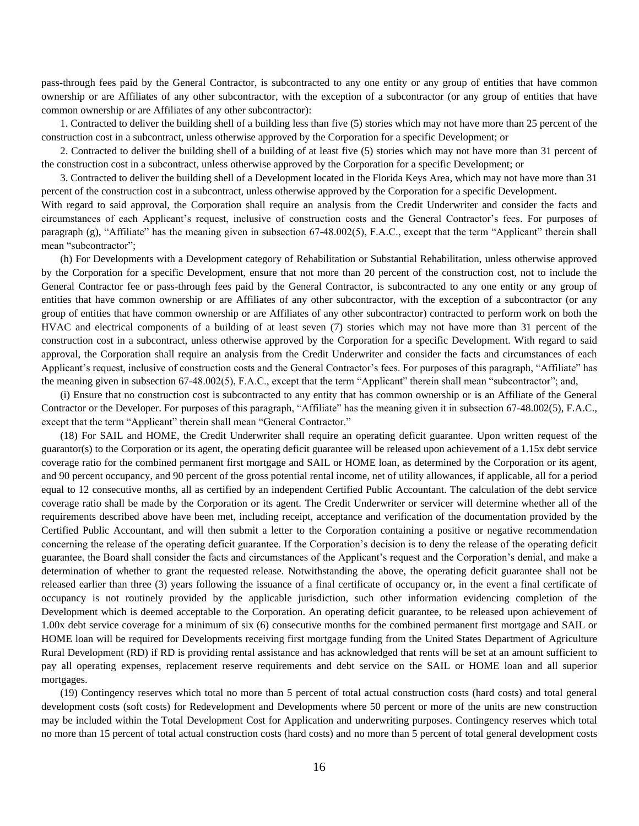pass-through fees paid by the General Contractor, is subcontracted to any one entity or any group of entities that have common ownership or are Affiliates of any other subcontractor, with the exception of a subcontractor (or any group of entities that have common ownership or are Affiliates of any other subcontractor):

1. Contracted to deliver the building shell of a building less than five (5) stories which may not have more than 25 percent of the construction cost in a subcontract, unless otherwise approved by the Corporation for a specific Development; or

2. Contracted to deliver the building shell of a building of at least five (5) stories which may not have more than 31 percent of the construction cost in a subcontract, unless otherwise approved by the Corporation for a specific Development; or

3. Contracted to deliver the building shell of a Development located in the Florida Keys Area, which may not have more than 31 percent of the construction cost in a subcontract, unless otherwise approved by the Corporation for a specific Development.

With regard to said approval, the Corporation shall require an analysis from the Credit Underwriter and consider the facts and circumstances of each Applicant's request, inclusive of construction costs and the General Contractor's fees. For purposes of paragraph (g), "Affiliate" has the meaning given in subsection 67-48.002(5), F.A.C., except that the term "Applicant" therein shall mean "subcontractor";

(h) For Developments with a Development category of Rehabilitation or Substantial Rehabilitation, unless otherwise approved by the Corporation for a specific Development, ensure that not more than 20 percent of the construction cost, not to include the General Contractor fee or pass-through fees paid by the General Contractor, is subcontracted to any one entity or any group of entities that have common ownership or are Affiliates of any other subcontractor, with the exception of a subcontractor (or any group of entities that have common ownership or are Affiliates of any other subcontractor) contracted to perform work on both the HVAC and electrical components of a building of at least seven (7) stories which may not have more than 31 percent of the construction cost in a subcontract, unless otherwise approved by the Corporation for a specific Development. With regard to said approval, the Corporation shall require an analysis from the Credit Underwriter and consider the facts and circumstances of each Applicant's request, inclusive of construction costs and the General Contractor's fees. For purposes of this paragraph, "Affiliate" has the meaning given in subsection 67-48.002(5), F.A.C., except that the term "Applicant" therein shall mean "subcontractor"; and,

(i) Ensure that no construction cost is subcontracted to any entity that has common ownership or is an Affiliate of the General Contractor or the Developer. For purposes of this paragraph, "Affiliate" has the meaning given it in subsection 67-48.002(5), F.A.C., except that the term "Applicant" therein shall mean "General Contractor."

(18) For SAIL and HOME, the Credit Underwriter shall require an operating deficit guarantee. Upon written request of the guarantor(s) to the Corporation or its agent, the operating deficit guarantee will be released upon achievement of a 1.15x debt service coverage ratio for the combined permanent first mortgage and SAIL or HOME loan, as determined by the Corporation or its agent, and 90 percent occupancy, and 90 percent of the gross potential rental income, net of utility allowances, if applicable, all for a period equal to 12 consecutive months, all as certified by an independent Certified Public Accountant. The calculation of the debt service coverage ratio shall be made by the Corporation or its agent. The Credit Underwriter or servicer will determine whether all of the requirements described above have been met, including receipt, acceptance and verification of the documentation provided by the Certified Public Accountant, and will then submit a letter to the Corporation containing a positive or negative recommendation concerning the release of the operating deficit guarantee. If the Corporation's decision is to deny the release of the operating deficit guarantee, the Board shall consider the facts and circumstances of the Applicant's request and the Corporation's denial, and make a determination of whether to grant the requested release. Notwithstanding the above, the operating deficit guarantee shall not be released earlier than three (3) years following the issuance of a final certificate of occupancy or, in the event a final certificate of occupancy is not routinely provided by the applicable jurisdiction, such other information evidencing completion of the Development which is deemed acceptable to the Corporation. An operating deficit guarantee, to be released upon achievement of 1.00x debt service coverage for a minimum of six (6) consecutive months for the combined permanent first mortgage and SAIL or HOME loan will be required for Developments receiving first mortgage funding from the United States Department of Agriculture Rural Development (RD) if RD is providing rental assistance and has acknowledged that rents will be set at an amount sufficient to pay all operating expenses, replacement reserve requirements and debt service on the SAIL or HOME loan and all superior mortgages.

(19) Contingency reserves which total no more than 5 percent of total actual construction costs (hard costs) and total general development costs (soft costs) for Redevelopment and Developments where 50 percent or more of the units are new construction may be included within the Total Development Cost for Application and underwriting purposes. Contingency reserves which total no more than 15 percent of total actual construction costs (hard costs) and no more than 5 percent of total general development costs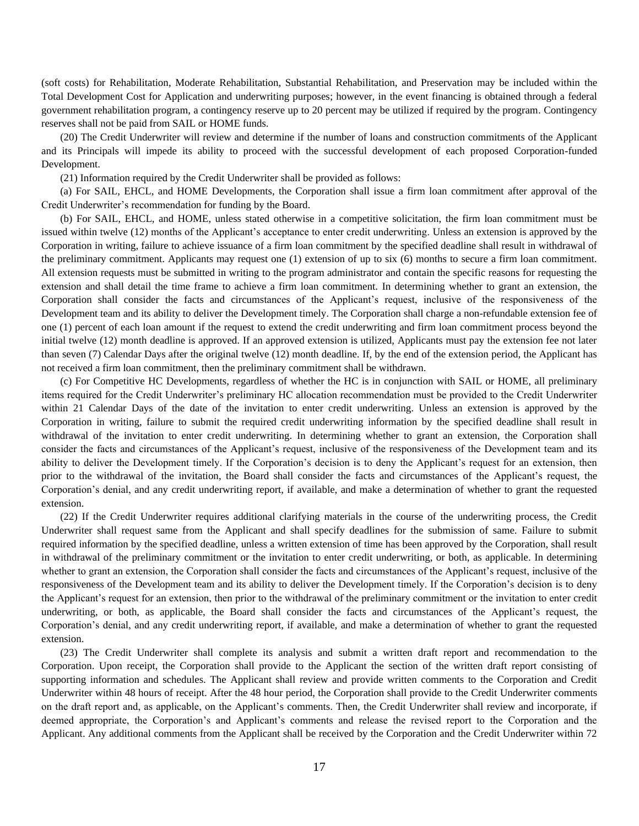(soft costs) for Rehabilitation, Moderate Rehabilitation, Substantial Rehabilitation, and Preservation may be included within the Total Development Cost for Application and underwriting purposes; however, in the event financing is obtained through a federal government rehabilitation program, a contingency reserve up to 20 percent may be utilized if required by the program. Contingency reserves shall not be paid from SAIL or HOME funds.

(20) The Credit Underwriter will review and determine if the number of loans and construction commitments of the Applicant and its Principals will impede its ability to proceed with the successful development of each proposed Corporation-funded Development.

(21) Information required by the Credit Underwriter shall be provided as follows:

(a) For SAIL, EHCL, and HOME Developments, the Corporation shall issue a firm loan commitment after approval of the Credit Underwriter's recommendation for funding by the Board.

(b) For SAIL, EHCL, and HOME, unless stated otherwise in a competitive solicitation, the firm loan commitment must be issued within twelve (12) months of the Applicant's acceptance to enter credit underwriting. Unless an extension is approved by the Corporation in writing, failure to achieve issuance of a firm loan commitment by the specified deadline shall result in withdrawal of the preliminary commitment. Applicants may request one (1) extension of up to six (6) months to secure a firm loan commitment. All extension requests must be submitted in writing to the program administrator and contain the specific reasons for requesting the extension and shall detail the time frame to achieve a firm loan commitment. In determining whether to grant an extension, the Corporation shall consider the facts and circumstances of the Applicant's request, inclusive of the responsiveness of the Development team and its ability to deliver the Development timely. The Corporation shall charge a non-refundable extension fee of one (1) percent of each loan amount if the request to extend the credit underwriting and firm loan commitment process beyond the initial twelve (12) month deadline is approved. If an approved extension is utilized, Applicants must pay the extension fee not later than seven (7) Calendar Days after the original twelve (12) month deadline. If, by the end of the extension period, the Applicant has not received a firm loan commitment, then the preliminary commitment shall be withdrawn.

(c) For Competitive HC Developments, regardless of whether the HC is in conjunction with SAIL or HOME, all preliminary items required for the Credit Underwriter's preliminary HC allocation recommendation must be provided to the Credit Underwriter within 21 Calendar Days of the date of the invitation to enter credit underwriting. Unless an extension is approved by the Corporation in writing, failure to submit the required credit underwriting information by the specified deadline shall result in withdrawal of the invitation to enter credit underwriting. In determining whether to grant an extension, the Corporation shall consider the facts and circumstances of the Applicant's request, inclusive of the responsiveness of the Development team and its ability to deliver the Development timely. If the Corporation's decision is to deny the Applicant's request for an extension, then prior to the withdrawal of the invitation, the Board shall consider the facts and circumstances of the Applicant's request, the Corporation's denial, and any credit underwriting report, if available, and make a determination of whether to grant the requested extension.

(22) If the Credit Underwriter requires additional clarifying materials in the course of the underwriting process, the Credit Underwriter shall request same from the Applicant and shall specify deadlines for the submission of same. Failure to submit required information by the specified deadline, unless a written extension of time has been approved by the Corporation, shall result in withdrawal of the preliminary commitment or the invitation to enter credit underwriting, or both, as applicable. In determining whether to grant an extension, the Corporation shall consider the facts and circumstances of the Applicant's request, inclusive of the responsiveness of the Development team and its ability to deliver the Development timely. If the Corporation's decision is to deny the Applicant's request for an extension, then prior to the withdrawal of the preliminary commitment or the invitation to enter credit underwriting, or both, as applicable, the Board shall consider the facts and circumstances of the Applicant's request, the Corporation's denial, and any credit underwriting report, if available, and make a determination of whether to grant the requested extension.

(23) The Credit Underwriter shall complete its analysis and submit a written draft report and recommendation to the Corporation. Upon receipt, the Corporation shall provide to the Applicant the section of the written draft report consisting of supporting information and schedules. The Applicant shall review and provide written comments to the Corporation and Credit Underwriter within 48 hours of receipt. After the 48 hour period, the Corporation shall provide to the Credit Underwriter comments on the draft report and, as applicable, on the Applicant's comments. Then, the Credit Underwriter shall review and incorporate, if deemed appropriate, the Corporation's and Applicant's comments and release the revised report to the Corporation and the Applicant. Any additional comments from the Applicant shall be received by the Corporation and the Credit Underwriter within 72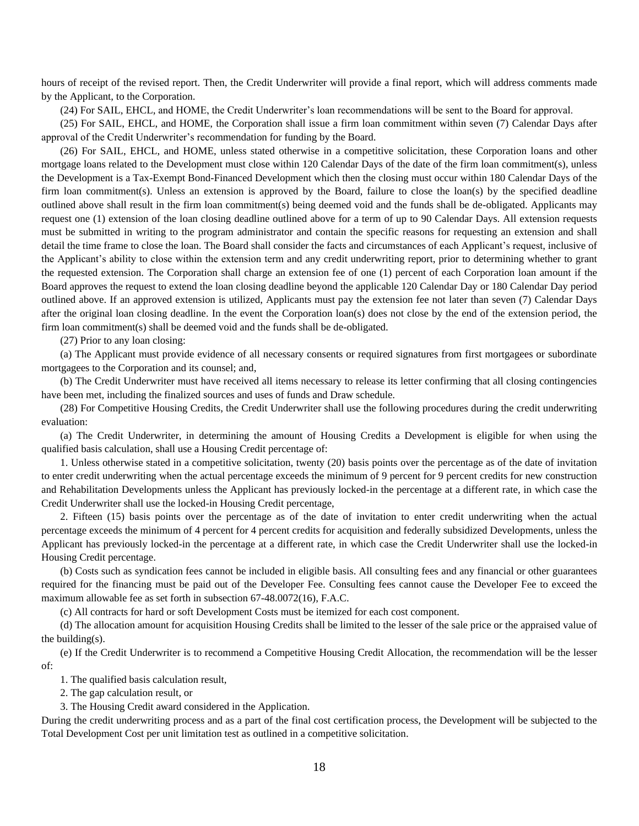hours of receipt of the revised report. Then, the Credit Underwriter will provide a final report, which will address comments made by the Applicant, to the Corporation.

(24) For SAIL, EHCL, and HOME, the Credit Underwriter's loan recommendations will be sent to the Board for approval.

(25) For SAIL, EHCL, and HOME, the Corporation shall issue a firm loan commitment within seven (7) Calendar Days after approval of the Credit Underwriter's recommendation for funding by the Board.

(26) For SAIL, EHCL, and HOME, unless stated otherwise in a competitive solicitation, these Corporation loans and other mortgage loans related to the Development must close within 120 Calendar Days of the date of the firm loan commitment(s), unless the Development is a Tax-Exempt Bond-Financed Development which then the closing must occur within 180 Calendar Days of the firm loan commitment(s). Unless an extension is approved by the Board, failure to close the loan(s) by the specified deadline outlined above shall result in the firm loan commitment(s) being deemed void and the funds shall be de-obligated. Applicants may request one (1) extension of the loan closing deadline outlined above for a term of up to 90 Calendar Days. All extension requests must be submitted in writing to the program administrator and contain the specific reasons for requesting an extension and shall detail the time frame to close the loan. The Board shall consider the facts and circumstances of each Applicant's request, inclusive of the Applicant's ability to close within the extension term and any credit underwriting report, prior to determining whether to grant the requested extension. The Corporation shall charge an extension fee of one (1) percent of each Corporation loan amount if the Board approves the request to extend the loan closing deadline beyond the applicable 120 Calendar Day or 180 Calendar Day period outlined above. If an approved extension is utilized, Applicants must pay the extension fee not later than seven (7) Calendar Days after the original loan closing deadline. In the event the Corporation loan(s) does not close by the end of the extension period, the firm loan commitment(s) shall be deemed void and the funds shall be de-obligated.

(27) Prior to any loan closing:

(a) The Applicant must provide evidence of all necessary consents or required signatures from first mortgagees or subordinate mortgagees to the Corporation and its counsel; and,

(b) The Credit Underwriter must have received all items necessary to release its letter confirming that all closing contingencies have been met, including the finalized sources and uses of funds and Draw schedule.

(28) For Competitive Housing Credits, the Credit Underwriter shall use the following procedures during the credit underwriting evaluation:

(a) The Credit Underwriter, in determining the amount of Housing Credits a Development is eligible for when using the qualified basis calculation, shall use a Housing Credit percentage of:

1. Unless otherwise stated in a competitive solicitation, twenty (20) basis points over the percentage as of the date of invitation to enter credit underwriting when the actual percentage exceeds the minimum of 9 percent for 9 percent credits for new construction and Rehabilitation Developments unless the Applicant has previously locked-in the percentage at a different rate, in which case the Credit Underwriter shall use the locked-in Housing Credit percentage,

2. Fifteen (15) basis points over the percentage as of the date of invitation to enter credit underwriting when the actual percentage exceeds the minimum of 4 percent for 4 percent credits for acquisition and federally subsidized Developments, unless the Applicant has previously locked-in the percentage at a different rate, in which case the Credit Underwriter shall use the locked-in Housing Credit percentage.

(b) Costs such as syndication fees cannot be included in eligible basis. All consulting fees and any financial or other guarantees required for the financing must be paid out of the Developer Fee. Consulting fees cannot cause the Developer Fee to exceed the maximum allowable fee as set forth in subsection 67-48.0072(16), F.A.C.

(c) All contracts for hard or soft Development Costs must be itemized for each cost component.

(d) The allocation amount for acquisition Housing Credits shall be limited to the lesser of the sale price or the appraised value of the building(s).

(e) If the Credit Underwriter is to recommend a Competitive Housing Credit Allocation, the recommendation will be the lesser of:

1. The qualified basis calculation result,

2. The gap calculation result, or

3. The Housing Credit award considered in the Application.

During the credit underwriting process and as a part of the final cost certification process, the Development will be subjected to the Total Development Cost per unit limitation test as outlined in a competitive solicitation.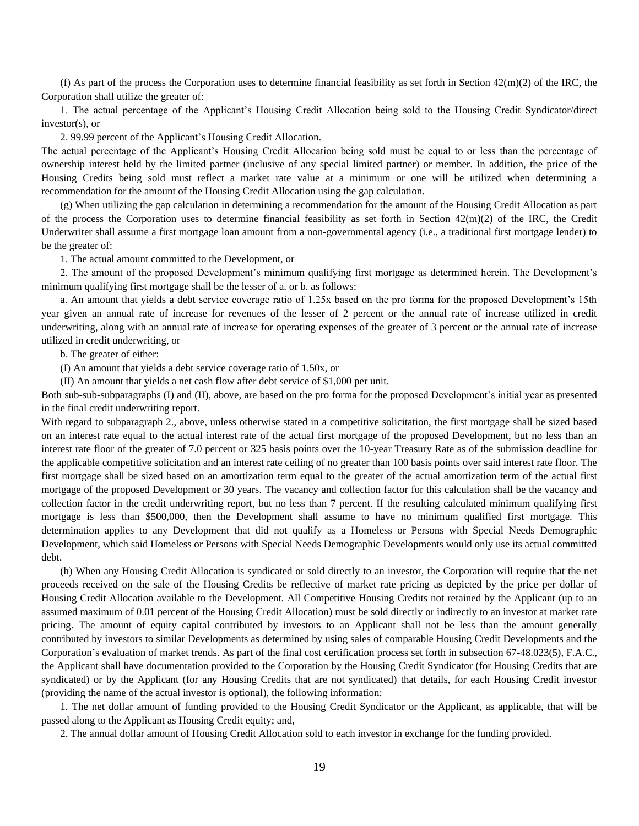(f) As part of the process the Corporation uses to determine financial feasibility as set forth in Section  $42(m)(2)$  of the IRC, the Corporation shall utilize the greater of:

1. The actual percentage of the Applicant's Housing Credit Allocation being sold to the Housing Credit Syndicator/direct investor(s), or

2. 99.99 percent of the Applicant's Housing Credit Allocation.

The actual percentage of the Applicant's Housing Credit Allocation being sold must be equal to or less than the percentage of ownership interest held by the limited partner (inclusive of any special limited partner) or member. In addition, the price of the Housing Credits being sold must reflect a market rate value at a minimum or one will be utilized when determining a recommendation for the amount of the Housing Credit Allocation using the gap calculation.

(g) When utilizing the gap calculation in determining a recommendation for the amount of the Housing Credit Allocation as part of the process the Corporation uses to determine financial feasibility as set forth in Section  $42(m)(2)$  of the IRC, the Credit Underwriter shall assume a first mortgage loan amount from a non-governmental agency (i.e., a traditional first mortgage lender) to be the greater of:

1. The actual amount committed to the Development, or

2. The amount of the proposed Development's minimum qualifying first mortgage as determined herein. The Development's minimum qualifying first mortgage shall be the lesser of a. or b. as follows:

a. An amount that yields a debt service coverage ratio of 1.25x based on the pro forma for the proposed Development's 15th year given an annual rate of increase for revenues of the lesser of 2 percent or the annual rate of increase utilized in credit underwriting, along with an annual rate of increase for operating expenses of the greater of 3 percent or the annual rate of increase utilized in credit underwriting, or

b. The greater of either:

(I) An amount that yields a debt service coverage ratio of 1.50x, or

(II) An amount that yields a net cash flow after debt service of \$1,000 per unit.

Both sub-sub-subparagraphs (I) and (II), above, are based on the pro forma for the proposed Development's initial year as presented in the final credit underwriting report.

With regard to subparagraph 2., above, unless otherwise stated in a competitive solicitation, the first mortgage shall be sized based on an interest rate equal to the actual interest rate of the actual first mortgage of the proposed Development, but no less than an interest rate floor of the greater of 7.0 percent or 325 basis points over the 10-year Treasury Rate as of the submission deadline for the applicable competitive solicitation and an interest rate ceiling of no greater than 100 basis points over said interest rate floor. The first mortgage shall be sized based on an amortization term equal to the greater of the actual amortization term of the actual first mortgage of the proposed Development or 30 years. The vacancy and collection factor for this calculation shall be the vacancy and collection factor in the credit underwriting report, but no less than 7 percent. If the resulting calculated minimum qualifying first mortgage is less than \$500,000, then the Development shall assume to have no minimum qualified first mortgage. This determination applies to any Development that did not qualify as a Homeless or Persons with Special Needs Demographic Development, which said Homeless or Persons with Special Needs Demographic Developments would only use its actual committed debt.

(h) When any Housing Credit Allocation is syndicated or sold directly to an investor, the Corporation will require that the net proceeds received on the sale of the Housing Credits be reflective of market rate pricing as depicted by the price per dollar of Housing Credit Allocation available to the Development. All Competitive Housing Credits not retained by the Applicant (up to an assumed maximum of 0.01 percent of the Housing Credit Allocation) must be sold directly or indirectly to an investor at market rate pricing. The amount of equity capital contributed by investors to an Applicant shall not be less than the amount generally contributed by investors to similar Developments as determined by using sales of comparable Housing Credit Developments and the Corporation's evaluation of market trends. As part of the final cost certification process set forth in subsection 67-48.023(5), F.A.C., the Applicant shall have documentation provided to the Corporation by the Housing Credit Syndicator (for Housing Credits that are syndicated) or by the Applicant (for any Housing Credits that are not syndicated) that details, for each Housing Credit investor (providing the name of the actual investor is optional), the following information:

1. The net dollar amount of funding provided to the Housing Credit Syndicator or the Applicant, as applicable, that will be passed along to the Applicant as Housing Credit equity; and,

2. The annual dollar amount of Housing Credit Allocation sold to each investor in exchange for the funding provided.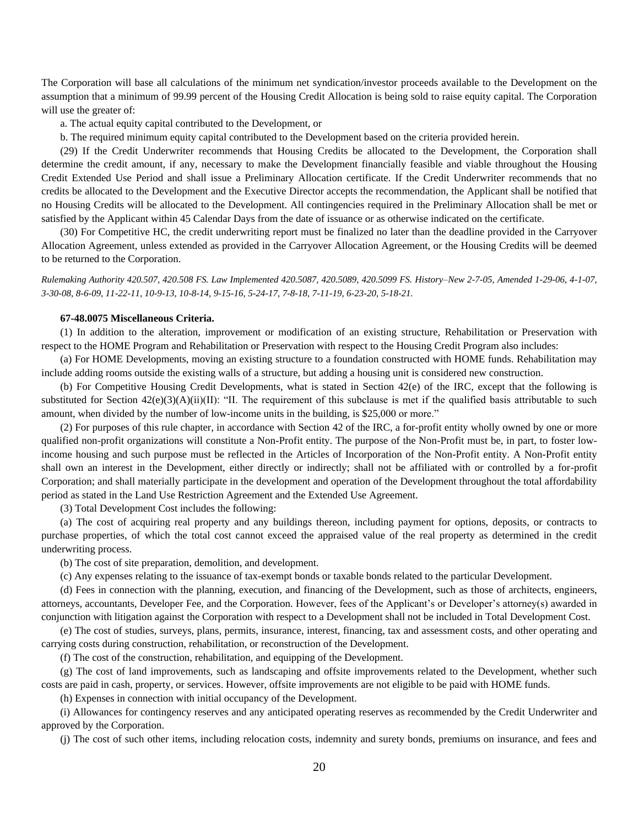The Corporation will base all calculations of the minimum net syndication/investor proceeds available to the Development on the assumption that a minimum of 99.99 percent of the Housing Credit Allocation is being sold to raise equity capital. The Corporation will use the greater of:

a. The actual equity capital contributed to the Development, or

b. The required minimum equity capital contributed to the Development based on the criteria provided herein.

(29) If the Credit Underwriter recommends that Housing Credits be allocated to the Development, the Corporation shall determine the credit amount, if any, necessary to make the Development financially feasible and viable throughout the Housing Credit Extended Use Period and shall issue a Preliminary Allocation certificate. If the Credit Underwriter recommends that no credits be allocated to the Development and the Executive Director accepts the recommendation, the Applicant shall be notified that no Housing Credits will be allocated to the Development. All contingencies required in the Preliminary Allocation shall be met or satisfied by the Applicant within 45 Calendar Days from the date of issuance or as otherwise indicated on the certificate.

(30) For Competitive HC, the credit underwriting report must be finalized no later than the deadline provided in the Carryover Allocation Agreement, unless extended as provided in the Carryover Allocation Agreement, or the Housing Credits will be deemed to be returned to the Corporation.

*Rulemaking Authority 420.507, 420.508 FS. Law Implemented 420.5087, 420.5089, 420.5099 FS. History–New 2-7-05, Amended 1-29-06, 4-1-07, 3-30-08, 8-6-09, 11-22-11, 10-9-13, 10-8-14, 9-15-16, 5-24-17, 7-8-18, 7-11-19, 6-23-20, 5-18-21.*

### **67-48.0075 Miscellaneous Criteria.**

(1) In addition to the alteration, improvement or modification of an existing structure, Rehabilitation or Preservation with respect to the HOME Program and Rehabilitation or Preservation with respect to the Housing Credit Program also includes:

(a) For HOME Developments, moving an existing structure to a foundation constructed with HOME funds. Rehabilitation may include adding rooms outside the existing walls of a structure, but adding a housing unit is considered new construction.

(b) For Competitive Housing Credit Developments, what is stated in Section 42(e) of the IRC, except that the following is substituted for Section  $42(e)(3)(A)(ii)(II)$ : "II. The requirement of this subclause is met if the qualified basis attributable to such amount, when divided by the number of low-income units in the building, is \$25,000 or more."

(2) For purposes of this rule chapter, in accordance with Section 42 of the IRC, a for-profit entity wholly owned by one or more qualified non-profit organizations will constitute a Non-Profit entity. The purpose of the Non-Profit must be, in part, to foster lowincome housing and such purpose must be reflected in the Articles of Incorporation of the Non-Profit entity. A Non-Profit entity shall own an interest in the Development, either directly or indirectly; shall not be affiliated with or controlled by a for-profit Corporation; and shall materially participate in the development and operation of the Development throughout the total affordability period as stated in the Land Use Restriction Agreement and the Extended Use Agreement.

(3) Total Development Cost includes the following:

(a) The cost of acquiring real property and any buildings thereon, including payment for options, deposits, or contracts to purchase properties, of which the total cost cannot exceed the appraised value of the real property as determined in the credit underwriting process.

(b) The cost of site preparation, demolition, and development.

(c) Any expenses relating to the issuance of tax-exempt bonds or taxable bonds related to the particular Development.

(d) Fees in connection with the planning, execution, and financing of the Development, such as those of architects, engineers, attorneys, accountants, Developer Fee, and the Corporation. However, fees of the Applicant's or Developer's attorney(s) awarded in conjunction with litigation against the Corporation with respect to a Development shall not be included in Total Development Cost.

(e) The cost of studies, surveys, plans, permits, insurance, interest, financing, tax and assessment costs, and other operating and carrying costs during construction, rehabilitation, or reconstruction of the Development.

(f) The cost of the construction, rehabilitation, and equipping of the Development.

(g) The cost of land improvements, such as landscaping and offsite improvements related to the Development, whether such costs are paid in cash, property, or services. However, offsite improvements are not eligible to be paid with HOME funds.

(h) Expenses in connection with initial occupancy of the Development.

(i) Allowances for contingency reserves and any anticipated operating reserves as recommended by the Credit Underwriter and approved by the Corporation.

(j) The cost of such other items, including relocation costs, indemnity and surety bonds, premiums on insurance, and fees and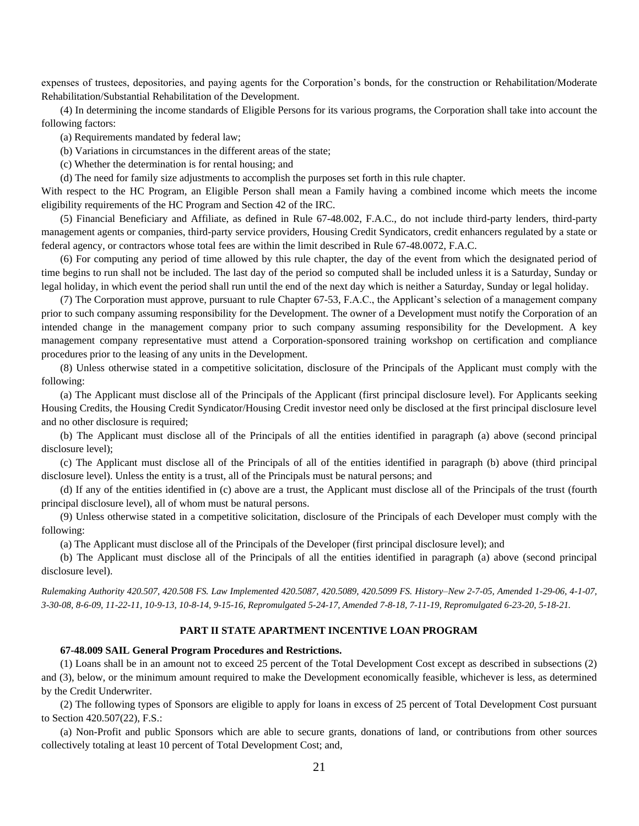expenses of trustees, depositories, and paying agents for the Corporation's bonds, for the construction or Rehabilitation/Moderate Rehabilitation/Substantial Rehabilitation of the Development.

(4) In determining the income standards of Eligible Persons for its various programs, the Corporation shall take into account the following factors:

(a) Requirements mandated by federal law;

(b) Variations in circumstances in the different areas of the state;

(c) Whether the determination is for rental housing; and

(d) The need for family size adjustments to accomplish the purposes set forth in this rule chapter.

With respect to the HC Program, an Eligible Person shall mean a Family having a combined income which meets the income eligibility requirements of the HC Program and Section 42 of the IRC.

(5) Financial Beneficiary and Affiliate, as defined in Rule 67-48.002, F.A.C., do not include third-party lenders, third-party management agents or companies, third-party service providers, Housing Credit Syndicators, credit enhancers regulated by a state or federal agency, or contractors whose total fees are within the limit described in Rule 67-48.0072, F.A.C.

(6) For computing any period of time allowed by this rule chapter, the day of the event from which the designated period of time begins to run shall not be included. The last day of the period so computed shall be included unless it is a Saturday, Sunday or legal holiday, in which event the period shall run until the end of the next day which is neither a Saturday, Sunday or legal holiday.

(7) The Corporation must approve, pursuant to rule Chapter 67-53, F.A.C., the Applicant's selection of a management company prior to such company assuming responsibility for the Development. The owner of a Development must notify the Corporation of an intended change in the management company prior to such company assuming responsibility for the Development. A key management company representative must attend a Corporation-sponsored training workshop on certification and compliance procedures prior to the leasing of any units in the Development.

(8) Unless otherwise stated in a competitive solicitation, disclosure of the Principals of the Applicant must comply with the following:

(a) The Applicant must disclose all of the Principals of the Applicant (first principal disclosure level). For Applicants seeking Housing Credits, the Housing Credit Syndicator/Housing Credit investor need only be disclosed at the first principal disclosure level and no other disclosure is required;

(b) The Applicant must disclose all of the Principals of all the entities identified in paragraph (a) above (second principal disclosure level);

(c) The Applicant must disclose all of the Principals of all of the entities identified in paragraph (b) above (third principal disclosure level). Unless the entity is a trust, all of the Principals must be natural persons; and

(d) If any of the entities identified in (c) above are a trust, the Applicant must disclose all of the Principals of the trust (fourth principal disclosure level), all of whom must be natural persons.

(9) Unless otherwise stated in a competitive solicitation, disclosure of the Principals of each Developer must comply with the following:

(a) The Applicant must disclose all of the Principals of the Developer (first principal disclosure level); and

(b) The Applicant must disclose all of the Principals of all the entities identified in paragraph (a) above (second principal disclosure level).

*Rulemaking Authority 420.507, 420.508 FS. Law Implemented 420.5087, 420.5089, 420.5099 FS. History–New 2-7-05, Amended 1-29-06, 4-1-07, 3-30-08, 8-6-09, 11-22-11, 10-9-13, 10-8-14, 9-15-16, Repromulgated 5-24-17, Amended 7-8-18, 7-11-19, Repromulgated 6-23-20, 5-18-21.*

# **PART II STATE APARTMENT INCENTIVE LOAN PROGRAM**

#### **67-48.009 SAIL General Program Procedures and Restrictions.**

(1) Loans shall be in an amount not to exceed 25 percent of the Total Development Cost except as described in subsections (2) and (3), below, or the minimum amount required to make the Development economically feasible, whichever is less, as determined by the Credit Underwriter.

(2) The following types of Sponsors are eligible to apply for loans in excess of 25 percent of Total Development Cost pursuant to Section 420.507(22), F.S.:

(a) Non-Profit and public Sponsors which are able to secure grants, donations of land, or contributions from other sources collectively totaling at least 10 percent of Total Development Cost; and,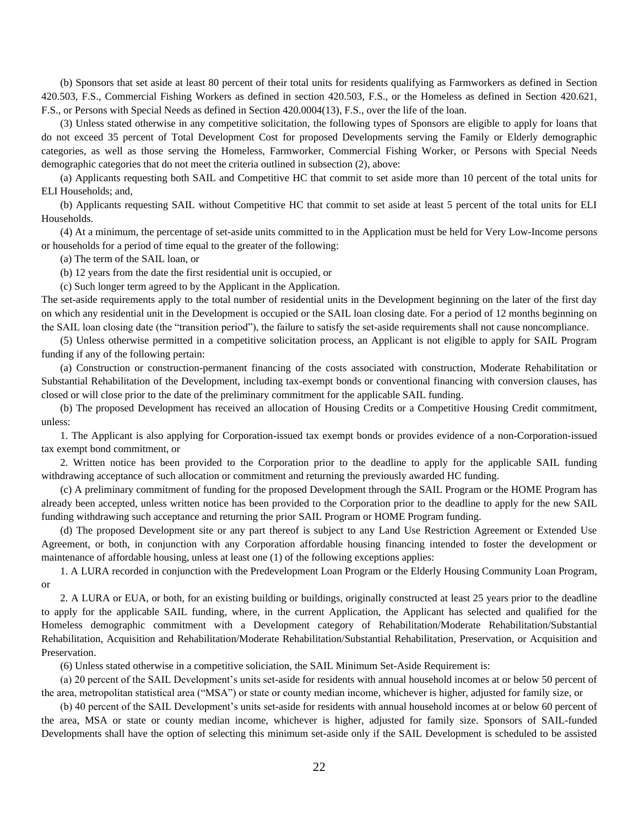(b) Sponsors that set aside at least 80 percent of their total units for residents qualifying as Farmworkers as defined in Section 420.503, F.S., Commercial Fishing Workers as defined in section 420.503, F.S., or the Homeless as defined in Section 420.621, F.S., or Persons with Special Needs as defined in Section 420.0004(13), F.S., over the life of the loan.

(3) Unless stated otherwise in any competitive solicitation, the following types of Sponsors are eligible to apply for loans that do not exceed 35 percent of Total Development Cost for proposed Developments serving the Family or Elderly demographic categories, as well as those serving the Homeless, Farmworker, Commercial Fishing Worker, or Persons with Special Needs demographic categories that do not meet the criteria outlined in subsection (2), above:

(a) Applicants requesting both SAIL and Competitive HC that commit to set aside more than 10 percent of the total units for ELI Households; and,

(b) Applicants requesting SAIL without Competitive HC that commit to set aside at least 5 percent of the total units for ELI Households.

(4) At a minimum, the percentage of set-aside units committed to in the Application must be held for Very Low-Income persons or households for a period of time equal to the greater of the following:

(a) The term of the SAIL loan, or

(b) 12 years from the date the first residential unit is occupied, or

(c) Such longer term agreed to by the Applicant in the Application.

The set-aside requirements apply to the total number of residential units in the Development beginning on the later of the first day on which any residential unit in the Development is occupied or the SAIL loan closing date. For a period of 12 months beginning on the SAIL loan closing date (the "transition period"), the failure to satisfy the set-aside requirements shall not cause noncompliance.

(5) Unless otherwise permitted in a competitive solicitation process, an Applicant is not eligible to apply for SAIL Program funding if any of the following pertain:

(a) Construction or construction-permanent financing of the costs associated with construction, Moderate Rehabilitation or Substantial Rehabilitation of the Development, including tax-exempt bonds or conventional financing with conversion clauses, has closed or will close prior to the date of the preliminary commitment for the applicable SAIL funding.

(b) The proposed Development has received an allocation of Housing Credits or a Competitive Housing Credit commitment, unless:

1. The Applicant is also applying for Corporation-issued tax exempt bonds or provides evidence of a non-Corporation-issued tax exempt bond commitment, or

2. Written notice has been provided to the Corporation prior to the deadline to apply for the applicable SAIL funding withdrawing acceptance of such allocation or commitment and returning the previously awarded HC funding.

(c) A preliminary commitment of funding for the proposed Development through the SAIL Program or the HOME Program has already been accepted, unless written notice has been provided to the Corporation prior to the deadline to apply for the new SAIL funding withdrawing such acceptance and returning the prior SAIL Program or HOME Program funding.

(d) The proposed Development site or any part thereof is subject to any Land Use Restriction Agreement or Extended Use Agreement, or both, in conjunction with any Corporation affordable housing financing intended to foster the development or maintenance of affordable housing, unless at least one (1) of the following exceptions applies:

1. A LURA recorded in conjunction with the Predevelopment Loan Program or the Elderly Housing Community Loan Program, or

2. A LURA or EUA, or both, for an existing building or buildings, originally constructed at least 25 years prior to the deadline to apply for the applicable SAIL funding, where, in the current Application, the Applicant has selected and qualified for the Homeless demographic commitment with a Development category of Rehabilitation/Moderate Rehabilitation/Substantial Rehabilitation, Acquisition and Rehabilitation/Moderate Rehabilitation/Substantial Rehabilitation, Preservation, or Acquisition and Preservation.

(6) Unless stated otherwise in a competitive soliciation, the SAIL Minimum Set-Aside Requirement is:

(a) 20 percent of the SAIL Development's units set-aside for residents with annual household incomes at or below 50 percent of the area, metropolitan statistical area ("MSA") or state or county median income, whichever is higher, adjusted for family size, or

(b) 40 percent of the SAIL Development's units set-aside for residents with annual household incomes at or below 60 percent of the area, MSA or state or county median income, whichever is higher, adjusted for family size. Sponsors of SAIL-funded Developments shall have the option of selecting this minimum set-aside only if the SAIL Development is scheduled to be assisted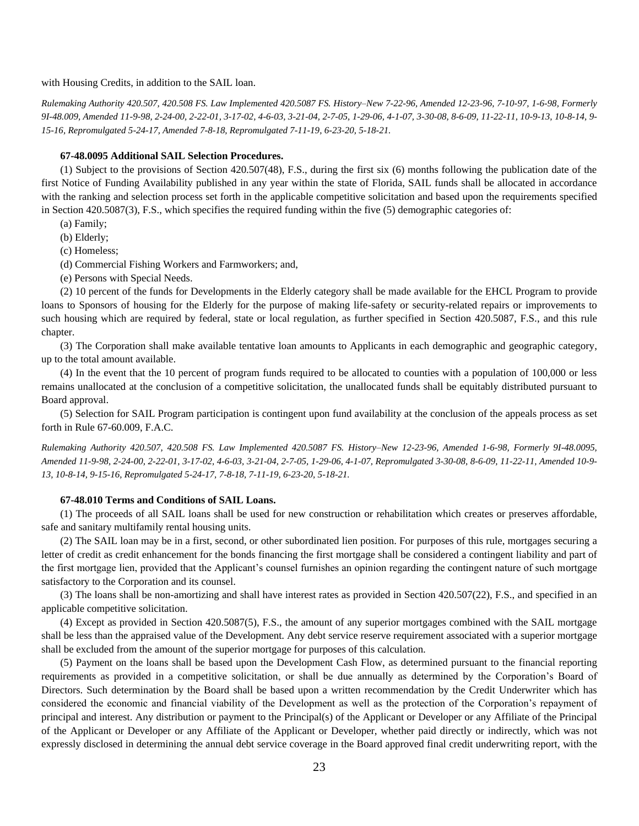with Housing Credits, in addition to the SAIL loan.

*Rulemaking Authority 420.507, 420.508 FS. Law Implemented 420.5087 FS. History–New 7-22-96, Amended 12-23-96, 7-10-97, 1-6-98, Formerly 9I-48.009, Amended 11-9-98, 2-24-00, 2-22-01, 3-17-02, 4-6-03, 3-21-04, 2-7-05, 1-29-06, 4-1-07, 3-30-08, 8-6-09, 11-22-11, 10-9-13, 10-8-14, 9- 15-16, Repromulgated 5-24-17, Amended 7-8-18, Repromulgated 7-11-19, 6-23-20, 5-18-21.*

### **67-48.0095 Additional SAIL Selection Procedures.**

(1) Subject to the provisions of Section 420.507(48), F.S., during the first six (6) months following the publication date of the first Notice of Funding Availability published in any year within the state of Florida, SAIL funds shall be allocated in accordance with the ranking and selection process set forth in the applicable competitive solicitation and based upon the requirements specified in Section 420.5087(3), F.S., which specifies the required funding within the five (5) demographic categories of:

(a) Family;

(b) Elderly;

(c) Homeless;

- (d) Commercial Fishing Workers and Farmworkers; and,
- (e) Persons with Special Needs.

(2) 10 percent of the funds for Developments in the Elderly category shall be made available for the EHCL Program to provide loans to Sponsors of housing for the Elderly for the purpose of making life-safety or security-related repairs or improvements to such housing which are required by federal, state or local regulation, as further specified in Section 420.5087, F.S., and this rule chapter.

(3) The Corporation shall make available tentative loan amounts to Applicants in each demographic and geographic category, up to the total amount available.

(4) In the event that the 10 percent of program funds required to be allocated to counties with a population of 100,000 or less remains unallocated at the conclusion of a competitive solicitation, the unallocated funds shall be equitably distributed pursuant to Board approval.

(5) Selection for SAIL Program participation is contingent upon fund availability at the conclusion of the appeals process as set forth in Rule 67-60.009, F.A.C.

*Rulemaking Authority 420.507, 420.508 FS. Law Implemented 420.5087 FS. History–New 12-23-96, Amended 1-6-98, Formerly 9I-48.0095, Amended 11-9-98, 2-24-00, 2-22-01, 3-17-02, 4-6-03, 3-21-04, 2-7-05, 1-29-06, 4-1-07, Repromulgated 3-30-08, 8-6-09, 11-22-11, Amended 10-9- 13, 10-8-14, 9-15-16, Repromulgated 5-24-17, 7-8-18, 7-11-19, 6-23-20, 5-18-21.*

#### **67-48.010 Terms and Conditions of SAIL Loans.**

(1) The proceeds of all SAIL loans shall be used for new construction or rehabilitation which creates or preserves affordable, safe and sanitary multifamily rental housing units.

(2) The SAIL loan may be in a first, second, or other subordinated lien position. For purposes of this rule, mortgages securing a letter of credit as credit enhancement for the bonds financing the first mortgage shall be considered a contingent liability and part of the first mortgage lien, provided that the Applicant's counsel furnishes an opinion regarding the contingent nature of such mortgage satisfactory to the Corporation and its counsel.

(3) The loans shall be non-amortizing and shall have interest rates as provided in Section 420.507(22), F.S., and specified in an applicable competitive solicitation.

(4) Except as provided in Section 420.5087(5), F.S., the amount of any superior mortgages combined with the SAIL mortgage shall be less than the appraised value of the Development. Any debt service reserve requirement associated with a superior mortgage shall be excluded from the amount of the superior mortgage for purposes of this calculation.

(5) Payment on the loans shall be based upon the Development Cash Flow, as determined pursuant to the financial reporting requirements as provided in a competitive solicitation, or shall be due annually as determined by the Corporation's Board of Directors. Such determination by the Board shall be based upon a written recommendation by the Credit Underwriter which has considered the economic and financial viability of the Development as well as the protection of the Corporation's repayment of principal and interest. Any distribution or payment to the Principal(s) of the Applicant or Developer or any Affiliate of the Principal of the Applicant or Developer or any Affiliate of the Applicant or Developer, whether paid directly or indirectly, which was not expressly disclosed in determining the annual debt service coverage in the Board approved final credit underwriting report, with the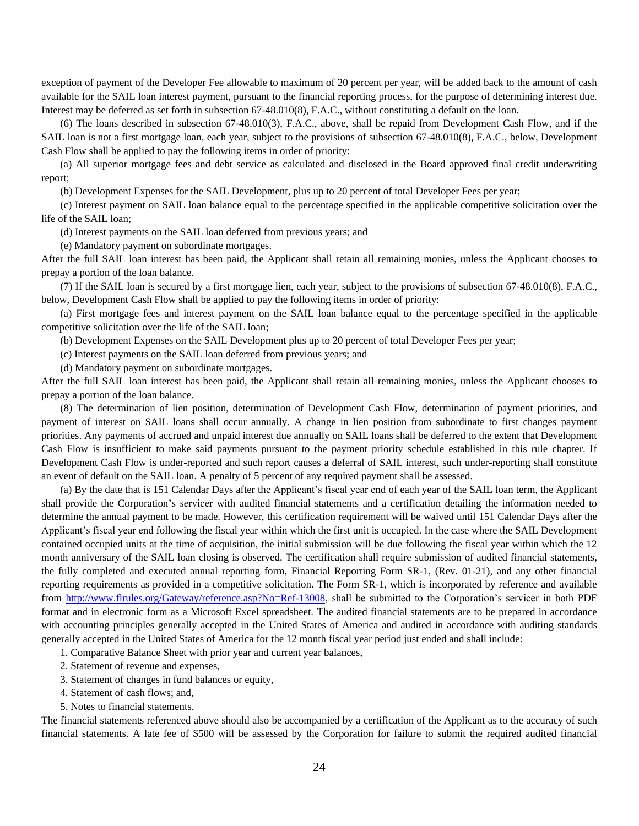exception of payment of the Developer Fee allowable to maximum of 20 percent per year, will be added back to the amount of cash available for the SAIL loan interest payment, pursuant to the financial reporting process, for the purpose of determining interest due. Interest may be deferred as set forth in subsection 67-48.010(8), F.A.C., without constituting a default on the loan.

(6) The loans described in subsection 67-48.010(3), F.A.C., above, shall be repaid from Development Cash Flow, and if the SAIL loan is not a first mortgage loan, each year, subject to the provisions of subsection 67-48.010(8), F.A.C., below, Development Cash Flow shall be applied to pay the following items in order of priority:

(a) All superior mortgage fees and debt service as calculated and disclosed in the Board approved final credit underwriting report;

(b) Development Expenses for the SAIL Development, plus up to 20 percent of total Developer Fees per year;

(c) Interest payment on SAIL loan balance equal to the percentage specified in the applicable competitive solicitation over the life of the SAIL loan;

(d) Interest payments on the SAIL loan deferred from previous years; and

(e) Mandatory payment on subordinate mortgages.

After the full SAIL loan interest has been paid, the Applicant shall retain all remaining monies, unless the Applicant chooses to prepay a portion of the loan balance.

(7) If the SAIL loan is secured by a first mortgage lien, each year, subject to the provisions of subsection 67-48.010(8), F.A.C., below, Development Cash Flow shall be applied to pay the following items in order of priority:

(a) First mortgage fees and interest payment on the SAIL loan balance equal to the percentage specified in the applicable competitive solicitation over the life of the SAIL loan;

(b) Development Expenses on the SAIL Development plus up to 20 percent of total Developer Fees per year;

(c) Interest payments on the SAIL loan deferred from previous years; and

(d) Mandatory payment on subordinate mortgages.

After the full SAIL loan interest has been paid, the Applicant shall retain all remaining monies, unless the Applicant chooses to prepay a portion of the loan balance.

(8) The determination of lien position, determination of Development Cash Flow, determination of payment priorities, and payment of interest on SAIL loans shall occur annually. A change in lien position from subordinate to first changes payment priorities. Any payments of accrued and unpaid interest due annually on SAIL loans shall be deferred to the extent that Development Cash Flow is insufficient to make said payments pursuant to the payment priority schedule established in this rule chapter. If Development Cash Flow is under-reported and such report causes a deferral of SAIL interest, such under-reporting shall constitute an event of default on the SAIL loan. A penalty of 5 percent of any required payment shall be assessed.

(a) By the date that is 151 Calendar Days after the Applicant's fiscal year end of each year of the SAIL loan term, the Applicant shall provide the Corporation's servicer with audited financial statements and a certification detailing the information needed to determine the annual payment to be made. However, this certification requirement will be waived until 151 Calendar Days after the Applicant's fiscal year end following the fiscal year within which the first unit is occupied. In the case where the SAIL Development contained occupied units at the time of acquisition, the initial submission will be due following the fiscal year within which the 12 month anniversary of the SAIL loan closing is observed. The certification shall require submission of audited financial statements, the fully completed and executed annual reporting form, Financial Reporting Form SR-1, (Rev. 01-21), and any other financial reporting requirements as provided in a competitive solicitation. The Form SR-1, which is incorporated by reference and available from [http://www.flrules.org/Gateway/reference.asp?No=Ref-13008,](http://www.flrules.org/Gateway/reference.asp?No=Ref-13008) shall be submitted to the Corporation's servicer in both PDF format and in electronic form as a Microsoft Excel spreadsheet. The audited financial statements are to be prepared in accordance with accounting principles generally accepted in the United States of America and audited in accordance with auditing standards generally accepted in the United States of America for the 12 month fiscal year period just ended and shall include:

1. Comparative Balance Sheet with prior year and current year balances,

2. Statement of revenue and expenses,

- 3. Statement of changes in fund balances or equity,
- 4. Statement of cash flows; and,
- 5. Notes to financial statements.

The financial statements referenced above should also be accompanied by a certification of the Applicant as to the accuracy of such financial statements. A late fee of \$500 will be assessed by the Corporation for failure to submit the required audited financial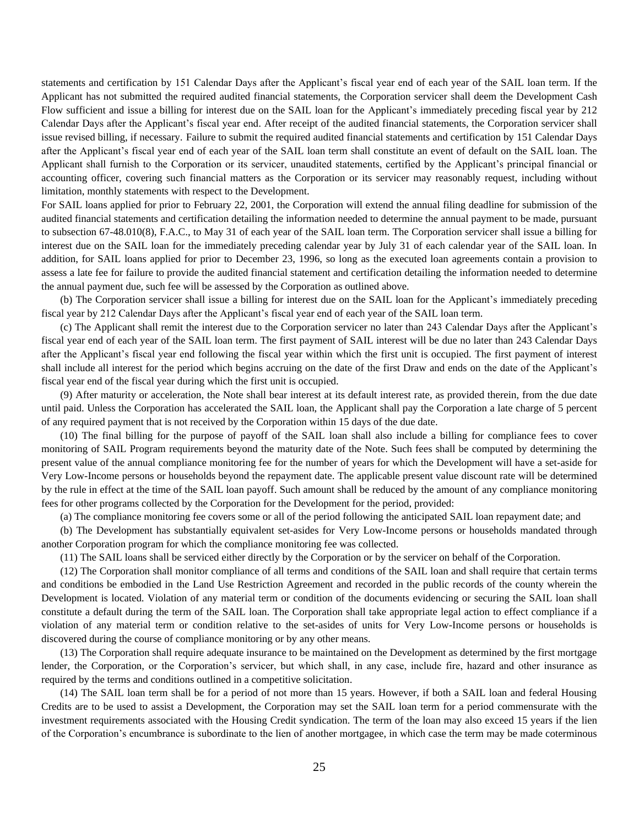statements and certification by 151 Calendar Days after the Applicant's fiscal year end of each year of the SAIL loan term. If the Applicant has not submitted the required audited financial statements, the Corporation servicer shall deem the Development Cash Flow sufficient and issue a billing for interest due on the SAIL loan for the Applicant's immediately preceding fiscal year by 212 Calendar Days after the Applicant's fiscal year end. After receipt of the audited financial statements, the Corporation servicer shall issue revised billing, if necessary. Failure to submit the required audited financial statements and certification by 151 Calendar Days after the Applicant's fiscal year end of each year of the SAIL loan term shall constitute an event of default on the SAIL loan. The Applicant shall furnish to the Corporation or its servicer, unaudited statements, certified by the Applicant's principal financial or accounting officer, covering such financial matters as the Corporation or its servicer may reasonably request, including without limitation, monthly statements with respect to the Development.

For SAIL loans applied for prior to February 22, 2001, the Corporation will extend the annual filing deadline for submission of the audited financial statements and certification detailing the information needed to determine the annual payment to be made, pursuant to subsection 67-48.010(8), F.A.C., to May 31 of each year of the SAIL loan term. The Corporation servicer shall issue a billing for interest due on the SAIL loan for the immediately preceding calendar year by July 31 of each calendar year of the SAIL loan. In addition, for SAIL loans applied for prior to December 23, 1996, so long as the executed loan agreements contain a provision to assess a late fee for failure to provide the audited financial statement and certification detailing the information needed to determine the annual payment due, such fee will be assessed by the Corporation as outlined above.

(b) The Corporation servicer shall issue a billing for interest due on the SAIL loan for the Applicant's immediately preceding fiscal year by 212 Calendar Days after the Applicant's fiscal year end of each year of the SAIL loan term.

(c) The Applicant shall remit the interest due to the Corporation servicer no later than 243 Calendar Days after the Applicant's fiscal year end of each year of the SAIL loan term. The first payment of SAIL interest will be due no later than 243 Calendar Days after the Applicant's fiscal year end following the fiscal year within which the first unit is occupied. The first payment of interest shall include all interest for the period which begins accruing on the date of the first Draw and ends on the date of the Applicant's fiscal year end of the fiscal year during which the first unit is occupied.

(9) After maturity or acceleration, the Note shall bear interest at its default interest rate, as provided therein, from the due date until paid. Unless the Corporation has accelerated the SAIL loan, the Applicant shall pay the Corporation a late charge of 5 percent of any required payment that is not received by the Corporation within 15 days of the due date.

(10) The final billing for the purpose of payoff of the SAIL loan shall also include a billing for compliance fees to cover monitoring of SAIL Program requirements beyond the maturity date of the Note. Such fees shall be computed by determining the present value of the annual compliance monitoring fee for the number of years for which the Development will have a set-aside for Very Low-Income persons or households beyond the repayment date. The applicable present value discount rate will be determined by the rule in effect at the time of the SAIL loan payoff. Such amount shall be reduced by the amount of any compliance monitoring fees for other programs collected by the Corporation for the Development for the period, provided:

(a) The compliance monitoring fee covers some or all of the period following the anticipated SAIL loan repayment date; and

(b) The Development has substantially equivalent set-asides for Very Low-Income persons or households mandated through another Corporation program for which the compliance monitoring fee was collected.

(11) The SAIL loans shall be serviced either directly by the Corporation or by the servicer on behalf of the Corporation.

(12) The Corporation shall monitor compliance of all terms and conditions of the SAIL loan and shall require that certain terms and conditions be embodied in the Land Use Restriction Agreement and recorded in the public records of the county wherein the Development is located. Violation of any material term or condition of the documents evidencing or securing the SAIL loan shall constitute a default during the term of the SAIL loan. The Corporation shall take appropriate legal action to effect compliance if a violation of any material term or condition relative to the set-asides of units for Very Low-Income persons or households is discovered during the course of compliance monitoring or by any other means.

(13) The Corporation shall require adequate insurance to be maintained on the Development as determined by the first mortgage lender, the Corporation, or the Corporation's servicer, but which shall, in any case, include fire, hazard and other insurance as required by the terms and conditions outlined in a competitive solicitation.

(14) The SAIL loan term shall be for a period of not more than 15 years. However, if both a SAIL loan and federal Housing Credits are to be used to assist a Development, the Corporation may set the SAIL loan term for a period commensurate with the investment requirements associated with the Housing Credit syndication. The term of the loan may also exceed 15 years if the lien of the Corporation's encumbrance is subordinate to the lien of another mortgagee, in which case the term may be made coterminous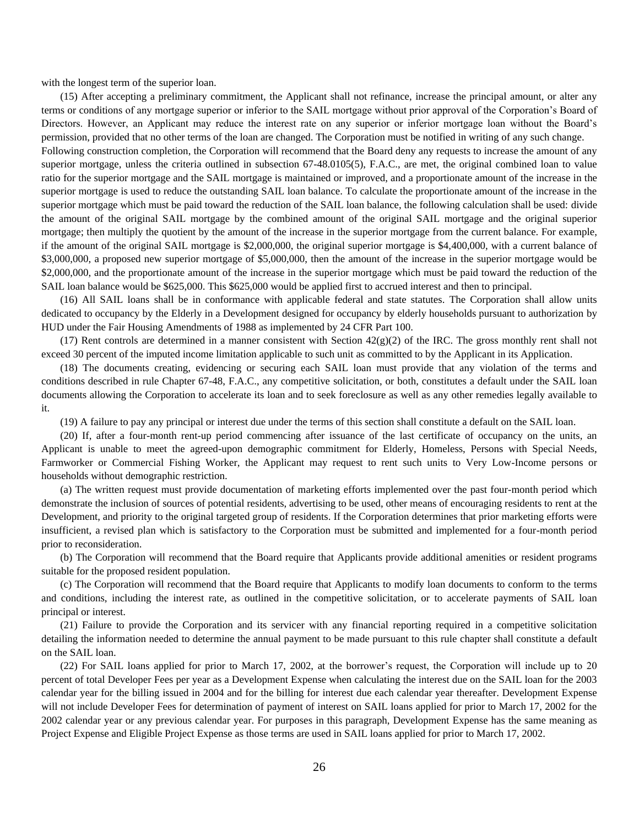with the longest term of the superior loan.

(15) After accepting a preliminary commitment, the Applicant shall not refinance, increase the principal amount, or alter any terms or conditions of any mortgage superior or inferior to the SAIL mortgage without prior approval of the Corporation's Board of Directors. However, an Applicant may reduce the interest rate on any superior or inferior mortgage loan without the Board's permission, provided that no other terms of the loan are changed. The Corporation must be notified in writing of any such change.

Following construction completion, the Corporation will recommend that the Board deny any requests to increase the amount of any superior mortgage, unless the criteria outlined in subsection 67-48.0105(5), F.A.C., are met, the original combined loan to value ratio for the superior mortgage and the SAIL mortgage is maintained or improved, and a proportionate amount of the increase in the superior mortgage is used to reduce the outstanding SAIL loan balance. To calculate the proportionate amount of the increase in the superior mortgage which must be paid toward the reduction of the SAIL loan balance, the following calculation shall be used: divide the amount of the original SAIL mortgage by the combined amount of the original SAIL mortgage and the original superior mortgage; then multiply the quotient by the amount of the increase in the superior mortgage from the current balance. For example, if the amount of the original SAIL mortgage is \$2,000,000, the original superior mortgage is \$4,400,000, with a current balance of \$3,000,000, a proposed new superior mortgage of \$5,000,000, then the amount of the increase in the superior mortgage would be \$2,000,000, and the proportionate amount of the increase in the superior mortgage which must be paid toward the reduction of the SAIL loan balance would be \$625,000. This \$625,000 would be applied first to accrued interest and then to principal.

(16) All SAIL loans shall be in conformance with applicable federal and state statutes. The Corporation shall allow units dedicated to occupancy by the Elderly in a Development designed for occupancy by elderly households pursuant to authorization by HUD under the Fair Housing Amendments of 1988 as implemented by 24 CFR Part 100.

(17) Rent controls are determined in a manner consistent with Section  $42(g)(2)$  of the IRC. The gross monthly rent shall not exceed 30 percent of the imputed income limitation applicable to such unit as committed to by the Applicant in its Application.

(18) The documents creating, evidencing or securing each SAIL loan must provide that any violation of the terms and conditions described in rule Chapter 67-48, F.A.C., any competitive solicitation, or both, constitutes a default under the SAIL loan documents allowing the Corporation to accelerate its loan and to seek foreclosure as well as any other remedies legally available to it.

(19) A failure to pay any principal or interest due under the terms of this section shall constitute a default on the SAIL loan.

(20) If, after a four-month rent-up period commencing after issuance of the last certificate of occupancy on the units, an Applicant is unable to meet the agreed-upon demographic commitment for Elderly, Homeless, Persons with Special Needs, Farmworker or Commercial Fishing Worker, the Applicant may request to rent such units to Very Low-Income persons or households without demographic restriction.

(a) The written request must provide documentation of marketing efforts implemented over the past four-month period which demonstrate the inclusion of sources of potential residents, advertising to be used, other means of encouraging residents to rent at the Development, and priority to the original targeted group of residents. If the Corporation determines that prior marketing efforts were insufficient, a revised plan which is satisfactory to the Corporation must be submitted and implemented for a four-month period prior to reconsideration.

(b) The Corporation will recommend that the Board require that Applicants provide additional amenities or resident programs suitable for the proposed resident population.

(c) The Corporation will recommend that the Board require that Applicants to modify loan documents to conform to the terms and conditions, including the interest rate, as outlined in the competitive solicitation, or to accelerate payments of SAIL loan principal or interest.

(21) Failure to provide the Corporation and its servicer with any financial reporting required in a competitive solicitation detailing the information needed to determine the annual payment to be made pursuant to this rule chapter shall constitute a default on the SAIL loan.

(22) For SAIL loans applied for prior to March 17, 2002, at the borrower's request, the Corporation will include up to 20 percent of total Developer Fees per year as a Development Expense when calculating the interest due on the SAIL loan for the 2003 calendar year for the billing issued in 2004 and for the billing for interest due each calendar year thereafter. Development Expense will not include Developer Fees for determination of payment of interest on SAIL loans applied for prior to March 17, 2002 for the 2002 calendar year or any previous calendar year. For purposes in this paragraph, Development Expense has the same meaning as Project Expense and Eligible Project Expense as those terms are used in SAIL loans applied for prior to March 17, 2002.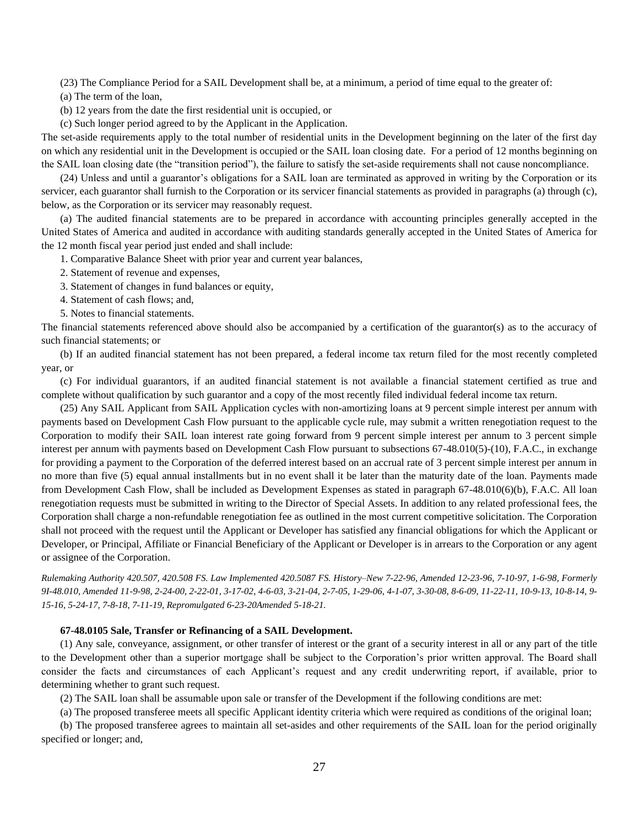(23) The Compliance Period for a SAIL Development shall be, at a minimum, a period of time equal to the greater of:

(a) The term of the loan,

(b) 12 years from the date the first residential unit is occupied, or

(c) Such longer period agreed to by the Applicant in the Application.

The set-aside requirements apply to the total number of residential units in the Development beginning on the later of the first day on which any residential unit in the Development is occupied or the SAIL loan closing date. For a period of 12 months beginning on the SAIL loan closing date (the "transition period"), the failure to satisfy the set-aside requirements shall not cause noncompliance.

(24) Unless and until a guarantor's obligations for a SAIL loan are terminated as approved in writing by the Corporation or its servicer, each guarantor shall furnish to the Corporation or its servicer financial statements as provided in paragraphs (a) through (c), below, as the Corporation or its servicer may reasonably request.

(a) The audited financial statements are to be prepared in accordance with accounting principles generally accepted in the United States of America and audited in accordance with auditing standards generally accepted in the United States of America for the 12 month fiscal year period just ended and shall include:

1. Comparative Balance Sheet with prior year and current year balances,

2. Statement of revenue and expenses,

3. Statement of changes in fund balances or equity,

- 4. Statement of cash flows; and,
- 5. Notes to financial statements.

The financial statements referenced above should also be accompanied by a certification of the guarantor(s) as to the accuracy of such financial statements; or

(b) If an audited financial statement has not been prepared, a federal income tax return filed for the most recently completed year, or

(c) For individual guarantors, if an audited financial statement is not available a financial statement certified as true and complete without qualification by such guarantor and a copy of the most recently filed individual federal income tax return.

(25) Any SAIL Applicant from SAIL Application cycles with non-amortizing loans at 9 percent simple interest per annum with payments based on Development Cash Flow pursuant to the applicable cycle rule, may submit a written renegotiation request to the Corporation to modify their SAIL loan interest rate going forward from 9 percent simple interest per annum to 3 percent simple interest per annum with payments based on Development Cash Flow pursuant to subsections 67-48.010(5)-(10), F.A.C., in exchange for providing a payment to the Corporation of the deferred interest based on an accrual rate of 3 percent simple interest per annum in no more than five (5) equal annual installments but in no event shall it be later than the maturity date of the loan. Payments made from Development Cash Flow, shall be included as Development Expenses as stated in paragraph 67-48.010(6)(b), F.A.C. All loan renegotiation requests must be submitted in writing to the Director of Special Assets. In addition to any related professional fees, the Corporation shall charge a non-refundable renegotiation fee as outlined in the most current competitive solicitation. The Corporation shall not proceed with the request until the Applicant or Developer has satisfied any financial obligations for which the Applicant or Developer, or Principal, Affiliate or Financial Beneficiary of the Applicant or Developer is in arrears to the Corporation or any agent or assignee of the Corporation.

*Rulemaking Authority 420.507, 420.508 FS. Law Implemented 420.5087 FS. History–New 7-22-96, Amended 12-23-96, 7-10-97, 1-6-98, Formerly 9I-48.010, Amended 11-9-98, 2-24-00, 2-22-01, 3-17-02, 4-6-03, 3-21-04, 2-7-05, 1-29-06, 4-1-07, 3-30-08, 8-6-09, 11-22-11, 10-9-13, 10-8-14, 9- 15-16, 5-24-17, 7-8-18, 7-11-19, Repromulgated 6-23-20Amended 5-18-21.*

## **67-48.0105 Sale, Transfer or Refinancing of a SAIL Development.**

(1) Any sale, conveyance, assignment, or other transfer of interest or the grant of a security interest in all or any part of the title to the Development other than a superior mortgage shall be subject to the Corporation's prior written approval. The Board shall consider the facts and circumstances of each Applicant's request and any credit underwriting report, if available, prior to determining whether to grant such request.

(2) The SAIL loan shall be assumable upon sale or transfer of the Development if the following conditions are met:

(a) The proposed transferee meets all specific Applicant identity criteria which were required as conditions of the original loan;

(b) The proposed transferee agrees to maintain all set-asides and other requirements of the SAIL loan for the period originally specified or longer; and,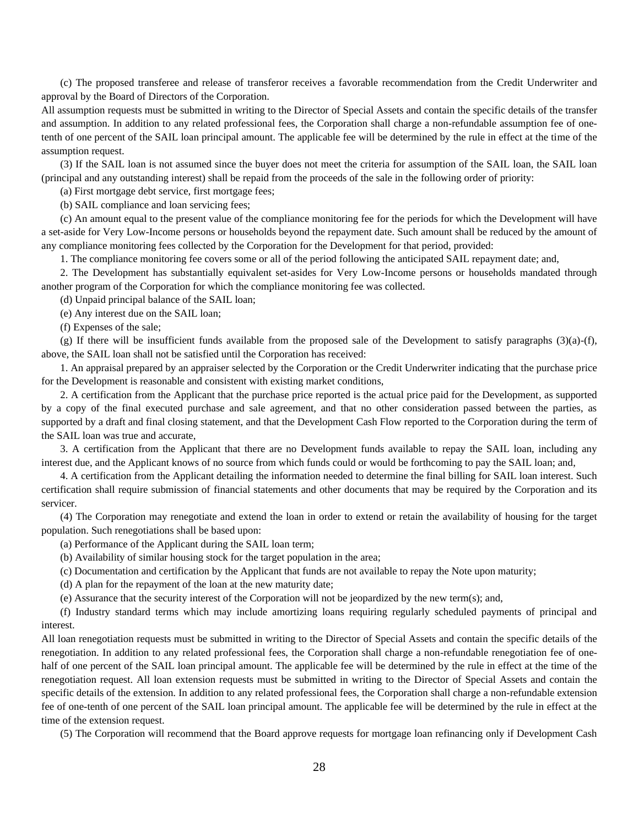(c) The proposed transferee and release of transferor receives a favorable recommendation from the Credit Underwriter and approval by the Board of Directors of the Corporation.

All assumption requests must be submitted in writing to the Director of Special Assets and contain the specific details of the transfer and assumption. In addition to any related professional fees, the Corporation shall charge a non-refundable assumption fee of onetenth of one percent of the SAIL loan principal amount. The applicable fee will be determined by the rule in effect at the time of the assumption request.

(3) If the SAIL loan is not assumed since the buyer does not meet the criteria for assumption of the SAIL loan, the SAIL loan (principal and any outstanding interest) shall be repaid from the proceeds of the sale in the following order of priority:

(a) First mortgage debt service, first mortgage fees;

(b) SAIL compliance and loan servicing fees;

(c) An amount equal to the present value of the compliance monitoring fee for the periods for which the Development will have a set-aside for Very Low-Income persons or households beyond the repayment date. Such amount shall be reduced by the amount of any compliance monitoring fees collected by the Corporation for the Development for that period, provided:

1. The compliance monitoring fee covers some or all of the period following the anticipated SAIL repayment date; and,

2. The Development has substantially equivalent set-asides for Very Low-Income persons or households mandated through another program of the Corporation for which the compliance monitoring fee was collected.

(d) Unpaid principal balance of the SAIL loan;

(e) Any interest due on the SAIL loan;

(f) Expenses of the sale;

(g) If there will be insufficient funds available from the proposed sale of the Development to satisfy paragraphs  $(3)(a)-(f)$ , above, the SAIL loan shall not be satisfied until the Corporation has received:

1. An appraisal prepared by an appraiser selected by the Corporation or the Credit Underwriter indicating that the purchase price for the Development is reasonable and consistent with existing market conditions,

2. A certification from the Applicant that the purchase price reported is the actual price paid for the Development, as supported by a copy of the final executed purchase and sale agreement, and that no other consideration passed between the parties, as supported by a draft and final closing statement, and that the Development Cash Flow reported to the Corporation during the term of the SAIL loan was true and accurate,

3. A certification from the Applicant that there are no Development funds available to repay the SAIL loan, including any interest due, and the Applicant knows of no source from which funds could or would be forthcoming to pay the SAIL loan; and,

4. A certification from the Applicant detailing the information needed to determine the final billing for SAIL loan interest. Such certification shall require submission of financial statements and other documents that may be required by the Corporation and its servicer.

(4) The Corporation may renegotiate and extend the loan in order to extend or retain the availability of housing for the target population. Such renegotiations shall be based upon:

(a) Performance of the Applicant during the SAIL loan term;

(b) Availability of similar housing stock for the target population in the area;

(c) Documentation and certification by the Applicant that funds are not available to repay the Note upon maturity;

(d) A plan for the repayment of the loan at the new maturity date;

(e) Assurance that the security interest of the Corporation will not be jeopardized by the new term(s); and,

(f) Industry standard terms which may include amortizing loans requiring regularly scheduled payments of principal and interest.

All loan renegotiation requests must be submitted in writing to the Director of Special Assets and contain the specific details of the renegotiation. In addition to any related professional fees, the Corporation shall charge a non-refundable renegotiation fee of onehalf of one percent of the SAIL loan principal amount. The applicable fee will be determined by the rule in effect at the time of the renegotiation request. All loan extension requests must be submitted in writing to the Director of Special Assets and contain the specific details of the extension. In addition to any related professional fees, the Corporation shall charge a non-refundable extension fee of one-tenth of one percent of the SAIL loan principal amount. The applicable fee will be determined by the rule in effect at the time of the extension request.

(5) The Corporation will recommend that the Board approve requests for mortgage loan refinancing only if Development Cash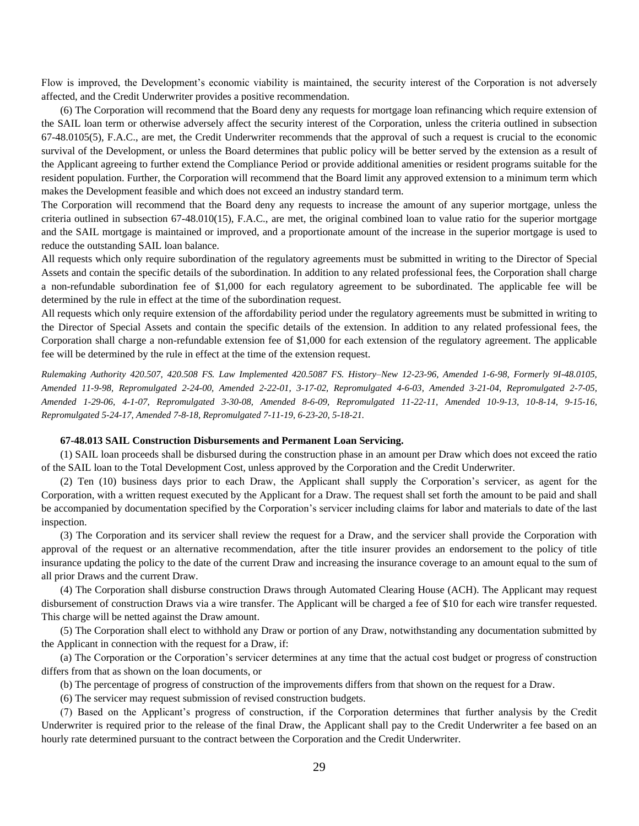Flow is improved, the Development's economic viability is maintained, the security interest of the Corporation is not adversely affected, and the Credit Underwriter provides a positive recommendation.

(6) The Corporation will recommend that the Board deny any requests for mortgage loan refinancing which require extension of the SAIL loan term or otherwise adversely affect the security interest of the Corporation, unless the criteria outlined in subsection 67-48.0105(5), F.A.C., are met, the Credit Underwriter recommends that the approval of such a request is crucial to the economic survival of the Development, or unless the Board determines that public policy will be better served by the extension as a result of the Applicant agreeing to further extend the Compliance Period or provide additional amenities or resident programs suitable for the resident population. Further, the Corporation will recommend that the Board limit any approved extension to a minimum term which makes the Development feasible and which does not exceed an industry standard term.

The Corporation will recommend that the Board deny any requests to increase the amount of any superior mortgage, unless the criteria outlined in subsection 67-48.010(15), F.A.C., are met, the original combined loan to value ratio for the superior mortgage and the SAIL mortgage is maintained or improved, and a proportionate amount of the increase in the superior mortgage is used to reduce the outstanding SAIL loan balance.

All requests which only require subordination of the regulatory agreements must be submitted in writing to the Director of Special Assets and contain the specific details of the subordination. In addition to any related professional fees, the Corporation shall charge a non-refundable subordination fee of \$1,000 for each regulatory agreement to be subordinated. The applicable fee will be determined by the rule in effect at the time of the subordination request.

All requests which only require extension of the affordability period under the regulatory agreements must be submitted in writing to the Director of Special Assets and contain the specific details of the extension. In addition to any related professional fees, the Corporation shall charge a non-refundable extension fee of \$1,000 for each extension of the regulatory agreement. The applicable fee will be determined by the rule in effect at the time of the extension request.

*Rulemaking Authority 420.507, 420.508 FS. Law Implemented 420.5087 FS. History–New 12-23-96, Amended 1-6-98, Formerly 9I-48.0105, Amended 11-9-98, Repromulgated 2-24-00, Amended 2-22-01, 3-17-02, Repromulgated 4-6-03, Amended 3-21-04, Repromulgated 2-7-05, Amended 1-29-06, 4-1-07, Repromulgated 3-30-08, Amended 8-6-09, Repromulgated 11-22-11, Amended 10-9-13, 10-8-14, 9-15-16, Repromulgated 5-24-17, Amended 7-8-18, Repromulgated 7-11-19, 6-23-20, 5-18-21.*

## **67-48.013 SAIL Construction Disbursements and Permanent Loan Servicing.**

(1) SAIL loan proceeds shall be disbursed during the construction phase in an amount per Draw which does not exceed the ratio of the SAIL loan to the Total Development Cost, unless approved by the Corporation and the Credit Underwriter.

(2) Ten (10) business days prior to each Draw, the Applicant shall supply the Corporation's servicer, as agent for the Corporation, with a written request executed by the Applicant for a Draw. The request shall set forth the amount to be paid and shall be accompanied by documentation specified by the Corporation's servicer including claims for labor and materials to date of the last inspection.

(3) The Corporation and its servicer shall review the request for a Draw, and the servicer shall provide the Corporation with approval of the request or an alternative recommendation, after the title insurer provides an endorsement to the policy of title insurance updating the policy to the date of the current Draw and increasing the insurance coverage to an amount equal to the sum of all prior Draws and the current Draw.

(4) The Corporation shall disburse construction Draws through Automated Clearing House (ACH). The Applicant may request disbursement of construction Draws via a wire transfer. The Applicant will be charged a fee of \$10 for each wire transfer requested. This charge will be netted against the Draw amount.

(5) The Corporation shall elect to withhold any Draw or portion of any Draw, notwithstanding any documentation submitted by the Applicant in connection with the request for a Draw, if:

(a) The Corporation or the Corporation's servicer determines at any time that the actual cost budget or progress of construction differs from that as shown on the loan documents, or

(b) The percentage of progress of construction of the improvements differs from that shown on the request for a Draw.

(6) The servicer may request submission of revised construction budgets.

(7) Based on the Applicant's progress of construction, if the Corporation determines that further analysis by the Credit Underwriter is required prior to the release of the final Draw, the Applicant shall pay to the Credit Underwriter a fee based on an hourly rate determined pursuant to the contract between the Corporation and the Credit Underwriter.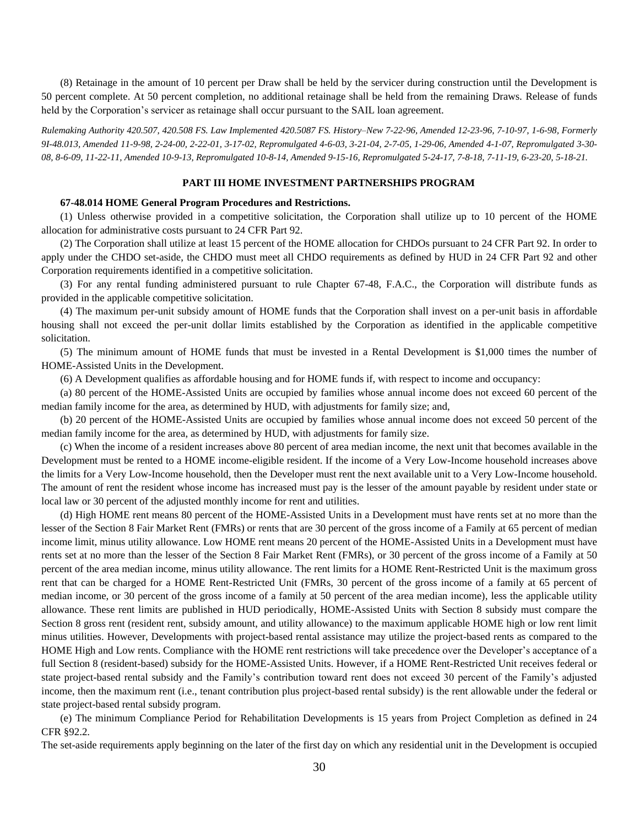(8) Retainage in the amount of 10 percent per Draw shall be held by the servicer during construction until the Development is 50 percent complete. At 50 percent completion, no additional retainage shall be held from the remaining Draws. Release of funds held by the Corporation's servicer as retainage shall occur pursuant to the SAIL loan agreement.

*Rulemaking Authority 420.507, 420.508 FS. Law Implemented 420.5087 FS. History–New 7-22-96, Amended 12-23-96, 7-10-97, 1-6-98, Formerly 9I-48.013, Amended 11-9-98, 2-24-00, 2-22-01, 3-17-02, Repromulgated 4-6-03, 3-21-04, 2-7-05, 1-29-06, Amended 4-1-07, Repromulgated 3-30- 08, 8-6-09, 11-22-11, Amended 10-9-13, Repromulgated 10-8-14, Amended 9-15-16, Repromulgated 5-24-17, 7-8-18, 7-11-19, 6-23-20, 5-18-21.*

## **PART III HOME INVESTMENT PARTNERSHIPS PROGRAM**

### **67-48.014 HOME General Program Procedures and Restrictions.**

(1) Unless otherwise provided in a competitive solicitation, the Corporation shall utilize up to 10 percent of the HOME allocation for administrative costs pursuant to 24 CFR Part 92.

(2) The Corporation shall utilize at least 15 percent of the HOME allocation for CHDOs pursuant to 24 CFR Part 92. In order to apply under the CHDO set-aside, the CHDO must meet all CHDO requirements as defined by HUD in 24 CFR Part 92 and other Corporation requirements identified in a competitive solicitation.

(3) For any rental funding administered pursuant to rule Chapter 67-48, F.A.C., the Corporation will distribute funds as provided in the applicable competitive solicitation.

(4) The maximum per-unit subsidy amount of HOME funds that the Corporation shall invest on a per-unit basis in affordable housing shall not exceed the per-unit dollar limits established by the Corporation as identified in the applicable competitive solicitation.

(5) The minimum amount of HOME funds that must be invested in a Rental Development is \$1,000 times the number of HOME-Assisted Units in the Development.

(6) A Development qualifies as affordable housing and for HOME funds if, with respect to income and occupancy:

(a) 80 percent of the HOME-Assisted Units are occupied by families whose annual income does not exceed 60 percent of the median family income for the area, as determined by HUD, with adjustments for family size; and,

(b) 20 percent of the HOME-Assisted Units are occupied by families whose annual income does not exceed 50 percent of the median family income for the area, as determined by HUD, with adjustments for family size.

(c) When the income of a resident increases above 80 percent of area median income, the next unit that becomes available in the Development must be rented to a HOME income-eligible resident. If the income of a Very Low-Income household increases above the limits for a Very Low-Income household, then the Developer must rent the next available unit to a Very Low-Income household. The amount of rent the resident whose income has increased must pay is the lesser of the amount payable by resident under state or local law or 30 percent of the adjusted monthly income for rent and utilities.

(d) High HOME rent means 80 percent of the HOME-Assisted Units in a Development must have rents set at no more than the lesser of the Section 8 Fair Market Rent (FMRs) or rents that are 30 percent of the gross income of a Family at 65 percent of median income limit, minus utility allowance. Low HOME rent means 20 percent of the HOME-Assisted Units in a Development must have rents set at no more than the lesser of the Section 8 Fair Market Rent (FMRs), or 30 percent of the gross income of a Family at 50 percent of the area median income, minus utility allowance. The rent limits for a HOME Rent-Restricted Unit is the maximum gross rent that can be charged for a HOME Rent-Restricted Unit (FMRs, 30 percent of the gross income of a family at 65 percent of median income, or 30 percent of the gross income of a family at 50 percent of the area median income), less the applicable utility allowance. These rent limits are published in HUD periodically, HOME-Assisted Units with Section 8 subsidy must compare the Section 8 gross rent (resident rent, subsidy amount, and utility allowance) to the maximum applicable HOME high or low rent limit minus utilities. However, Developments with project-based rental assistance may utilize the project-based rents as compared to the HOME High and Low rents. Compliance with the HOME rent restrictions will take precedence over the Developer's acceptance of a full Section 8 (resident-based) subsidy for the HOME-Assisted Units. However, if a HOME Rent-Restricted Unit receives federal or state project-based rental subsidy and the Family's contribution toward rent does not exceed 30 percent of the Family's adjusted income, then the maximum rent (i.e., tenant contribution plus project-based rental subsidy) is the rent allowable under the federal or state project-based rental subsidy program.

(e) The minimum Compliance Period for Rehabilitation Developments is 15 years from Project Completion as defined in 24 CFR §92.2.

The set-aside requirements apply beginning on the later of the first day on which any residential unit in the Development is occupied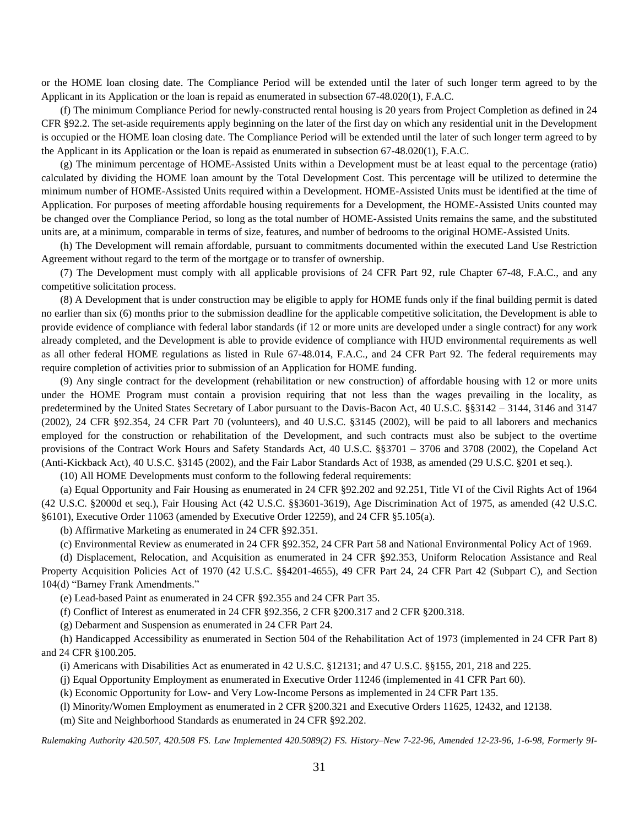or the HOME loan closing date. The Compliance Period will be extended until the later of such longer term agreed to by the Applicant in its Application or the loan is repaid as enumerated in subsection 67-48.020(1), F.A.C.

(f) The minimum Compliance Period for newly-constructed rental housing is 20 years from Project Completion as defined in 24 CFR §92.2. The set-aside requirements apply beginning on the later of the first day on which any residential unit in the Development is occupied or the HOME loan closing date. The Compliance Period will be extended until the later of such longer term agreed to by the Applicant in its Application or the loan is repaid as enumerated in subsection 67-48.020(1), F.A.C.

(g) The minimum percentage of HOME-Assisted Units within a Development must be at least equal to the percentage (ratio) calculated by dividing the HOME loan amount by the Total Development Cost. This percentage will be utilized to determine the minimum number of HOME-Assisted Units required within a Development. HOME-Assisted Units must be identified at the time of Application. For purposes of meeting affordable housing requirements for a Development, the HOME-Assisted Units counted may be changed over the Compliance Period, so long as the total number of HOME-Assisted Units remains the same, and the substituted units are, at a minimum, comparable in terms of size, features, and number of bedrooms to the original HOME-Assisted Units.

(h) The Development will remain affordable, pursuant to commitments documented within the executed Land Use Restriction Agreement without regard to the term of the mortgage or to transfer of ownership.

(7) The Development must comply with all applicable provisions of 24 CFR Part 92, rule Chapter 67-48, F.A.C., and any competitive solicitation process.

(8) A Development that is under construction may be eligible to apply for HOME funds only if the final building permit is dated no earlier than six (6) months prior to the submission deadline for the applicable competitive solicitation, the Development is able to provide evidence of compliance with federal labor standards (if 12 or more units are developed under a single contract) for any work already completed, and the Development is able to provide evidence of compliance with HUD environmental requirements as well as all other federal HOME regulations as listed in Rule 67-48.014, F.A.C., and 24 CFR Part 92. The federal requirements may require completion of activities prior to submission of an Application for HOME funding.

(9) Any single contract for the development (rehabilitation or new construction) of affordable housing with 12 or more units under the HOME Program must contain a provision requiring that not less than the wages prevailing in the locality, as predetermined by the United States Secretary of Labor pursuant to the Davis-Bacon Act, 40 U.S.C. §§3142 – 3144, 3146 and 3147 (2002), 24 CFR §92.354, 24 CFR Part 70 (volunteers), and 40 U.S.C. §3145 (2002), will be paid to all laborers and mechanics employed for the construction or rehabilitation of the Development, and such contracts must also be subject to the overtime provisions of the Contract Work Hours and Safety Standards Act, 40 U.S.C. §§3701 – 3706 and 3708 (2002), the Copeland Act (Anti-Kickback Act), 40 U.S.C. §3145 (2002), and the Fair Labor Standards Act of 1938, as amended (29 U.S.C. §201 et seq.).

(10) All HOME Developments must conform to the following federal requirements:

(a) Equal Opportunity and Fair Housing as enumerated in 24 CFR §92.202 and 92.251, Title VI of the Civil Rights Act of 1964 (42 U.S.C. §2000d et seq.), Fair Housing Act (42 U.S.C. §§3601-3619), Age Discrimination Act of 1975, as amended (42 U.S.C. §6101), Executive Order 11063 (amended by Executive Order 12259), and 24 CFR §5.105(a).

(b) Affirmative Marketing as enumerated in 24 CFR §92.351.

(c) Environmental Review as enumerated in 24 CFR §92.352, 24 CFR Part 58 and National Environmental Policy Act of 1969.

(d) Displacement, Relocation, and Acquisition as enumerated in 24 CFR §92.353, Uniform Relocation Assistance and Real Property Acquisition Policies Act of 1970 (42 U.S.C. §§4201-4655), 49 CFR Part 24, 24 CFR Part 42 (Subpart C), and Section 104(d) "Barney Frank Amendments."

(e) Lead-based Paint as enumerated in 24 CFR §92.355 and 24 CFR Part 35.

(f) Conflict of Interest as enumerated in 24 CFR §92.356, 2 CFR §200.317 and 2 CFR §200.318.

(g) Debarment and Suspension as enumerated in 24 CFR Part 24.

(h) Handicapped Accessibility as enumerated in Section 504 of the Rehabilitation Act of 1973 (implemented in 24 CFR Part 8) and 24 CFR §100.205.

(i) Americans with Disabilities Act as enumerated in 42 U.S.C. §12131; and 47 U.S.C. §§155, 201, 218 and 225.

(j) Equal Opportunity Employment as enumerated in Executive Order 11246 (implemented in 41 CFR Part 60).

(k) Economic Opportunity for Low- and Very Low-Income Persons as implemented in 24 CFR Part 135.

(l) Minority/Women Employment as enumerated in 2 CFR §200.321 and Executive Orders 11625, 12432, and 12138.

(m) Site and Neighborhood Standards as enumerated in 24 CFR §92.202.

*Rulemaking Authority 420.507, 420.508 FS. Law Implemented 420.5089(2) FS. History–New 7-22-96, Amended 12-23-96, 1-6-98, Formerly 9I-*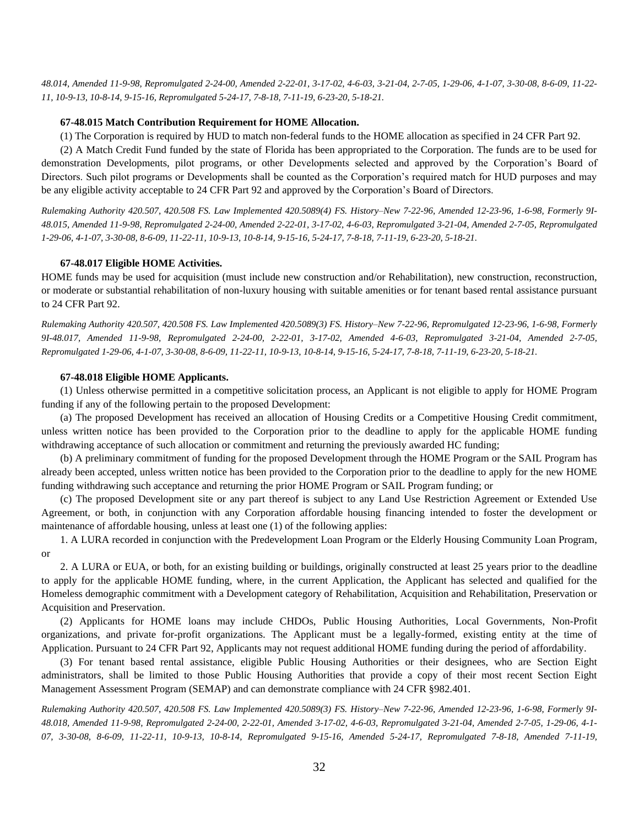*48.014, Amended 11-9-98, Repromulgated 2-24-00, Amended 2-22-01, 3-17-02, 4-6-03, 3-21-04, 2-7-05, 1-29-06, 4-1-07, 3-30-08, 8-6-09, 11-22- 11, 10-9-13, 10-8-14, 9-15-16, Repromulgated 5-24-17, 7-8-18, 7-11-19, 6-23-20, 5-18-21.*

#### **67-48.015 Match Contribution Requirement for HOME Allocation.**

(1) The Corporation is required by HUD to match non-federal funds to the HOME allocation as specified in 24 CFR Part 92.

(2) A Match Credit Fund funded by the state of Florida has been appropriated to the Corporation. The funds are to be used for demonstration Developments, pilot programs, or other Developments selected and approved by the Corporation's Board of Directors. Such pilot programs or Developments shall be counted as the Corporation's required match for HUD purposes and may be any eligible activity acceptable to 24 CFR Part 92 and approved by the Corporation's Board of Directors.

*Rulemaking Authority 420.507, 420.508 FS. Law Implemented 420.5089(4) FS. History–New 7-22-96, Amended 12-23-96, 1-6-98, Formerly 9I-48.015, Amended 11-9-98, Repromulgated 2-24-00, Amended 2-22-01, 3-17-02, 4-6-03, Repromulgated 3-21-04, Amended 2-7-05, Repromulgated 1-29-06, 4-1-07, 3-30-08, 8-6-09, 11-22-11, 10-9-13, 10-8-14, 9-15-16, 5-24-17, 7-8-18, 7-11-19, 6-23-20, 5-18-21.*

#### **67-48.017 Eligible HOME Activities.**

HOME funds may be used for acquisition (must include new construction and/or Rehabilitation), new construction, reconstruction, or moderate or substantial rehabilitation of non-luxury housing with suitable amenities or for tenant based rental assistance pursuant to 24 CFR Part 92.

*Rulemaking Authority 420.507, 420.508 FS. Law Implemented 420.5089(3) FS. History–New 7-22-96, Repromulgated 12-23-96, 1-6-98, Formerly 9I-48.017, Amended 11-9-98, Repromulgated 2-24-00, 2-22-01, 3-17-02, Amended 4-6-03, Repromulgated 3-21-04, Amended 2-7-05, Repromulgated 1-29-06, 4-1-07, 3-30-08, 8-6-09, 11-22-11, 10-9-13, 10-8-14, 9-15-16, 5-24-17, 7-8-18, 7-11-19, 6-23-20, 5-18-21.*

## **67-48.018 Eligible HOME Applicants.**

(1) Unless otherwise permitted in a competitive solicitation process, an Applicant is not eligible to apply for HOME Program funding if any of the following pertain to the proposed Development:

(a) The proposed Development has received an allocation of Housing Credits or a Competitive Housing Credit commitment, unless written notice has been provided to the Corporation prior to the deadline to apply for the applicable HOME funding withdrawing acceptance of such allocation or commitment and returning the previously awarded HC funding;

(b) A preliminary commitment of funding for the proposed Development through the HOME Program or the SAIL Program has already been accepted, unless written notice has been provided to the Corporation prior to the deadline to apply for the new HOME funding withdrawing such acceptance and returning the prior HOME Program or SAIL Program funding; or

(c) The proposed Development site or any part thereof is subject to any Land Use Restriction Agreement or Extended Use Agreement, or both, in conjunction with any Corporation affordable housing financing intended to foster the development or maintenance of affordable housing, unless at least one (1) of the following applies:

1. A LURA recorded in conjunction with the Predevelopment Loan Program or the Elderly Housing Community Loan Program, or

2. A LURA or EUA, or both, for an existing building or buildings, originally constructed at least 25 years prior to the deadline to apply for the applicable HOME funding, where, in the current Application, the Applicant has selected and qualified for the Homeless demographic commitment with a Development category of Rehabilitation, Acquisition and Rehabilitation, Preservation or Acquisition and Preservation.

(2) Applicants for HOME loans may include CHDOs, Public Housing Authorities, Local Governments, Non-Profit organizations, and private for-profit organizations. The Applicant must be a legally-formed, existing entity at the time of Application. Pursuant to 24 CFR Part 92, Applicants may not request additional HOME funding during the period of affordability.

(3) For tenant based rental assistance, eligible Public Housing Authorities or their designees, who are Section Eight administrators, shall be limited to those Public Housing Authorities that provide a copy of their most recent Section Eight Management Assessment Program (SEMAP) and can demonstrate compliance with 24 CFR §982.401.

*Rulemaking Authority 420.507, 420.508 FS. Law Implemented 420.5089(3) FS. History–New 7-22-96, Amended 12-23-96, 1-6-98, Formerly 9I-48.018, Amended 11-9-98, Repromulgated 2-24-00, 2-22-01, Amended 3-17-02, 4-6-03, Repromulgated 3-21-04, Amended 2-7-05, 1-29-06, 4-1- 07, 3-30-08, 8-6-09, 11-22-11, 10-9-13, 10-8-14, Repromulgated 9-15-16, Amended 5-24-17, Repromulgated 7-8-18, Amended 7-11-19,*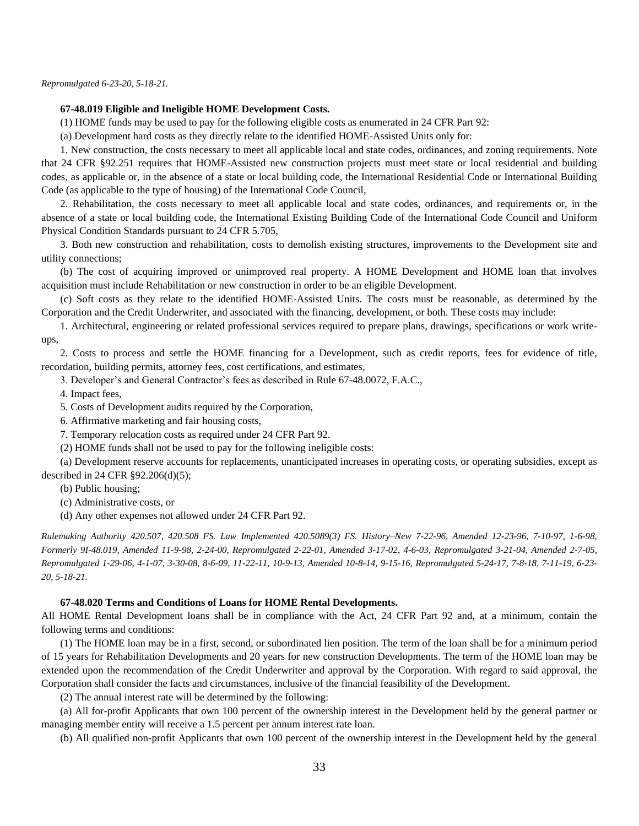*Repromulgated 6-23-20, 5-18-21.*

## **67-48.019 Eligible and Ineligible HOME Development Costs.**

(1) HOME funds may be used to pay for the following eligible costs as enumerated in 24 CFR Part 92:

(a) Development hard costs as they directly relate to the identified HOME-Assisted Units only for:

1. New construction, the costs necessary to meet all applicable local and state codes, ordinances, and zoning requirements. Note that 24 CFR §92.251 requires that HOME-Assisted new construction projects must meet state or local residential and building codes, as applicable or, in the absence of a state or local building code, the International Residential Code or International Building Code (as applicable to the type of housing) of the International Code Council,

2. Rehabilitation, the costs necessary to meet all applicable local and state codes, ordinances, and requirements or, in the absence of a state or local building code, the International Existing Building Code of the International Code Council and Uniform Physical Condition Standards pursuant to 24 CFR 5.705,

3. Both new construction and rehabilitation, costs to demolish existing structures, improvements to the Development site and utility connections;

(b) The cost of acquiring improved or unimproved real property. A HOME Development and HOME loan that involves acquisition must include Rehabilitation or new construction in order to be an eligible Development.

(c) Soft costs as they relate to the identified HOME-Assisted Units. The costs must be reasonable, as determined by the Corporation and the Credit Underwriter, and associated with the financing, development, or both. These costs may include:

1. Architectural, engineering or related professional services required to prepare plans, drawings, specifications or work writeups,

2. Costs to process and settle the HOME financing for a Development, such as credit reports, fees for evidence of title, recordation, building permits, attorney fees, cost certifications, and estimates,

3. Developer's and General Contractor's fees as described in Rule 67-48.0072, F.A.C.,

4. Impact fees,

5. Costs of Development audits required by the Corporation,

6. Affirmative marketing and fair housing costs,

7. Temporary relocation costs as required under 24 CFR Part 92.

(2) HOME funds shall not be used to pay for the following ineligible costs:

(a) Development reserve accounts for replacements, unanticipated increases in operating costs, or operating subsidies, except as described in 24 CFR §92.206(d)(5);

(b) Public housing;

(c) Administrative costs, or

(d) Any other expenses not allowed under 24 CFR Part 92.

*Rulemaking Authority 420.507, 420.508 FS. Law Implemented 420.5089(3) FS. History–New 7-22-96, Amended 12-23-96, 7-10-97, 1-6-98, Formerly 9I-48.019, Amended 11-9-98, 2-24-00, Repromulgated 2-22-01, Amended 3-17-02, 4-6-03, Repromulgated 3-21-04, Amended 2-7-05, Repromulgated 1-29-06, 4-1-07, 3-30-08, 8-6-09, 11-22-11, 10-9-13, Amended 10-8-14, 9-15-16, Repromulgated 5-24-17, 7-8-18, 7-11-19, 6-23- 20, 5-18-21.*

#### **67-48.020 Terms and Conditions of Loans for HOME Rental Developments.**

All HOME Rental Development loans shall be in compliance with the Act, 24 CFR Part 92 and, at a minimum, contain the following terms and conditions:

(1) The HOME loan may be in a first, second, or subordinated lien position. The term of the loan shall be for a minimum period of 15 years for Rehabilitation Developments and 20 years for new construction Developments. The term of the HOME loan may be extended upon the recommendation of the Credit Underwriter and approval by the Corporation. With regard to said approval, the Corporation shall consider the facts and circumstances, inclusive of the financial feasibility of the Development.

(2) The annual interest rate will be determined by the following:

(a) All for-profit Applicants that own 100 percent of the ownership interest in the Development held by the general partner or managing member entity will receive a 1.5 percent per annum interest rate loan.

(b) All qualified non-profit Applicants that own 100 percent of the ownership interest in the Development held by the general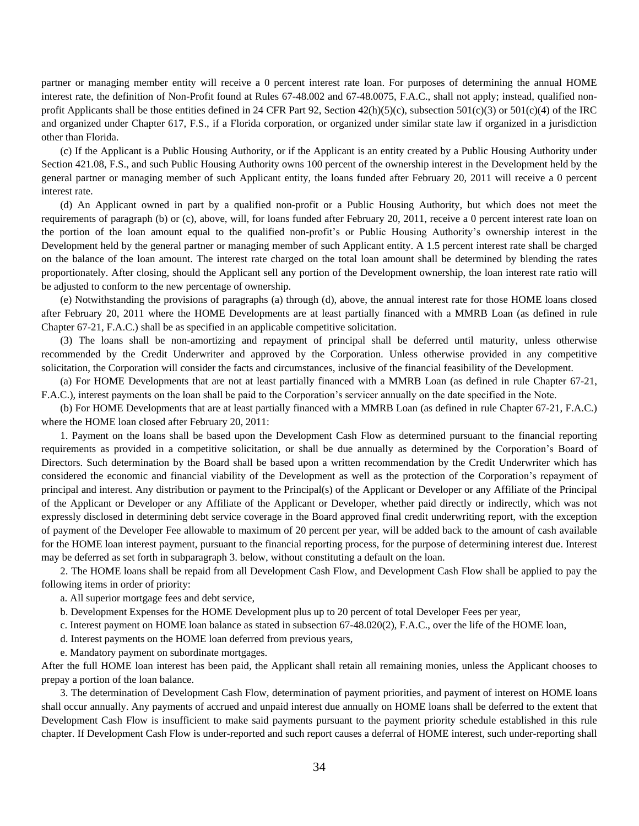partner or managing member entity will receive a 0 percent interest rate loan. For purposes of determining the annual HOME interest rate, the definition of Non-Profit found at Rules 67-48.002 and 67-48.0075, F.A.C., shall not apply; instead, qualified nonprofit Applicants shall be those entities defined in 24 CFR Part 92, Section  $42(h)(5)(c)$ , subsection  $501(c)(3)$  or  $501(c)(4)$  of the IRC and organized under Chapter 617, F.S., if a Florida corporation, or organized under similar state law if organized in a jurisdiction other than Florida.

(c) If the Applicant is a Public Housing Authority, or if the Applicant is an entity created by a Public Housing Authority under Section 421.08, F.S., and such Public Housing Authority owns 100 percent of the ownership interest in the Development held by the general partner or managing member of such Applicant entity, the loans funded after February 20, 2011 will receive a 0 percent interest rate.

(d) An Applicant owned in part by a qualified non-profit or a Public Housing Authority, but which does not meet the requirements of paragraph (b) or (c), above, will, for loans funded after February 20, 2011, receive a 0 percent interest rate loan on the portion of the loan amount equal to the qualified non-profit's or Public Housing Authority's ownership interest in the Development held by the general partner or managing member of such Applicant entity. A 1.5 percent interest rate shall be charged on the balance of the loan amount. The interest rate charged on the total loan amount shall be determined by blending the rates proportionately. After closing, should the Applicant sell any portion of the Development ownership, the loan interest rate ratio will be adjusted to conform to the new percentage of ownership.

(e) Notwithstanding the provisions of paragraphs (a) through (d), above, the annual interest rate for those HOME loans closed after February 20, 2011 where the HOME Developments are at least partially financed with a MMRB Loan (as defined in rule Chapter 67-21, F.A.C.) shall be as specified in an applicable competitive solicitation.

(3) The loans shall be non-amortizing and repayment of principal shall be deferred until maturity, unless otherwise recommended by the Credit Underwriter and approved by the Corporation. Unless otherwise provided in any competitive solicitation, the Corporation will consider the facts and circumstances, inclusive of the financial feasibility of the Development.

(a) For HOME Developments that are not at least partially financed with a MMRB Loan (as defined in rule Chapter 67-21, F.A.C.), interest payments on the loan shall be paid to the Corporation's servicer annually on the date specified in the Note.

(b) For HOME Developments that are at least partially financed with a MMRB Loan (as defined in rule Chapter 67-21, F.A.C.) where the HOME loan closed after February 20, 2011:

1. Payment on the loans shall be based upon the Development Cash Flow as determined pursuant to the financial reporting requirements as provided in a competitive solicitation, or shall be due annually as determined by the Corporation's Board of Directors. Such determination by the Board shall be based upon a written recommendation by the Credit Underwriter which has considered the economic and financial viability of the Development as well as the protection of the Corporation's repayment of principal and interest. Any distribution or payment to the Principal(s) of the Applicant or Developer or any Affiliate of the Principal of the Applicant or Developer or any Affiliate of the Applicant or Developer, whether paid directly or indirectly, which was not expressly disclosed in determining debt service coverage in the Board approved final credit underwriting report, with the exception of payment of the Developer Fee allowable to maximum of 20 percent per year, will be added back to the amount of cash available for the HOME loan interest payment, pursuant to the financial reporting process, for the purpose of determining interest due. Interest may be deferred as set forth in subparagraph 3. below, without constituting a default on the loan.

2. The HOME loans shall be repaid from all Development Cash Flow, and Development Cash Flow shall be applied to pay the following items in order of priority:

a. All superior mortgage fees and debt service,

b. Development Expenses for the HOME Development plus up to 20 percent of total Developer Fees per year,

c. Interest payment on HOME loan balance as stated in subsection 67-48.020(2), F.A.C., over the life of the HOME loan,

d. Interest payments on the HOME loan deferred from previous years,

e. Mandatory payment on subordinate mortgages.

After the full HOME loan interest has been paid, the Applicant shall retain all remaining monies, unless the Applicant chooses to prepay a portion of the loan balance.

3. The determination of Development Cash Flow, determination of payment priorities, and payment of interest on HOME loans shall occur annually. Any payments of accrued and unpaid interest due annually on HOME loans shall be deferred to the extent that Development Cash Flow is insufficient to make said payments pursuant to the payment priority schedule established in this rule chapter. If Development Cash Flow is under-reported and such report causes a deferral of HOME interest, such under-reporting shall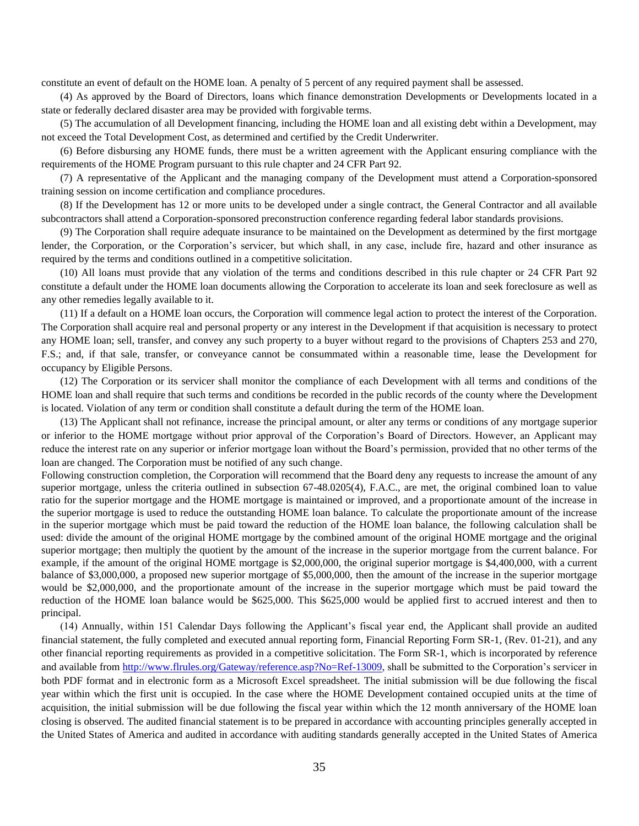constitute an event of default on the HOME loan. A penalty of 5 percent of any required payment shall be assessed.

(4) As approved by the Board of Directors, loans which finance demonstration Developments or Developments located in a state or federally declared disaster area may be provided with forgivable terms.

(5) The accumulation of all Development financing, including the HOME loan and all existing debt within a Development, may not exceed the Total Development Cost, as determined and certified by the Credit Underwriter.

(6) Before disbursing any HOME funds, there must be a written agreement with the Applicant ensuring compliance with the requirements of the HOME Program pursuant to this rule chapter and 24 CFR Part 92.

(7) A representative of the Applicant and the managing company of the Development must attend a Corporation-sponsored training session on income certification and compliance procedures.

(8) If the Development has 12 or more units to be developed under a single contract, the General Contractor and all available subcontractors shall attend a Corporation-sponsored preconstruction conference regarding federal labor standards provisions.

(9) The Corporation shall require adequate insurance to be maintained on the Development as determined by the first mortgage lender, the Corporation, or the Corporation's servicer, but which shall, in any case, include fire, hazard and other insurance as required by the terms and conditions outlined in a competitive solicitation.

(10) All loans must provide that any violation of the terms and conditions described in this rule chapter or 24 CFR Part 92 constitute a default under the HOME loan documents allowing the Corporation to accelerate its loan and seek foreclosure as well as any other remedies legally available to it.

(11) If a default on a HOME loan occurs, the Corporation will commence legal action to protect the interest of the Corporation. The Corporation shall acquire real and personal property or any interest in the Development if that acquisition is necessary to protect any HOME loan; sell, transfer, and convey any such property to a buyer without regard to the provisions of Chapters 253 and 270, F.S.; and, if that sale, transfer, or conveyance cannot be consummated within a reasonable time, lease the Development for occupancy by Eligible Persons.

(12) The Corporation or its servicer shall monitor the compliance of each Development with all terms and conditions of the HOME loan and shall require that such terms and conditions be recorded in the public records of the county where the Development is located. Violation of any term or condition shall constitute a default during the term of the HOME loan.

(13) The Applicant shall not refinance, increase the principal amount, or alter any terms or conditions of any mortgage superior or inferior to the HOME mortgage without prior approval of the Corporation's Board of Directors. However, an Applicant may reduce the interest rate on any superior or inferior mortgage loan without the Board's permission, provided that no other terms of the loan are changed. The Corporation must be notified of any such change.

Following construction completion, the Corporation will recommend that the Board deny any requests to increase the amount of any superior mortgage, unless the criteria outlined in subsection 67-48.0205(4), F.A.C., are met, the original combined loan to value ratio for the superior mortgage and the HOME mortgage is maintained or improved, and a proportionate amount of the increase in the superior mortgage is used to reduce the outstanding HOME loan balance. To calculate the proportionate amount of the increase in the superior mortgage which must be paid toward the reduction of the HOME loan balance, the following calculation shall be used: divide the amount of the original HOME mortgage by the combined amount of the original HOME mortgage and the original superior mortgage; then multiply the quotient by the amount of the increase in the superior mortgage from the current balance. For example, if the amount of the original HOME mortgage is \$2,000,000, the original superior mortgage is \$4,400,000, with a current balance of \$3,000,000, a proposed new superior mortgage of \$5,000,000, then the amount of the increase in the superior mortgage would be \$2,000,000, and the proportionate amount of the increase in the superior mortgage which must be paid toward the reduction of the HOME loan balance would be \$625,000. This \$625,000 would be applied first to accrued interest and then to principal.

(14) Annually, within 151 Calendar Days following the Applicant's fiscal year end, the Applicant shall provide an audited financial statement, the fully completed and executed annual reporting form, Financial Reporting Form SR-1, (Rev. 01-21), and any other financial reporting requirements as provided in a competitive solicitation. The Form SR-1, which is incorporated by reference and available from [http://www.flrules.org/Gateway/reference.asp?No=Ref-13009,](http://www.flrules.org/Gateway/reference.asp?No=Ref-13009) shall be submitted to the Corporation's servicer in both PDF format and in electronic form as a Microsoft Excel spreadsheet. The initial submission will be due following the fiscal year within which the first unit is occupied. In the case where the HOME Development contained occupied units at the time of acquisition, the initial submission will be due following the fiscal year within which the 12 month anniversary of the HOME loan closing is observed. The audited financial statement is to be prepared in accordance with accounting principles generally accepted in the United States of America and audited in accordance with auditing standards generally accepted in the United States of America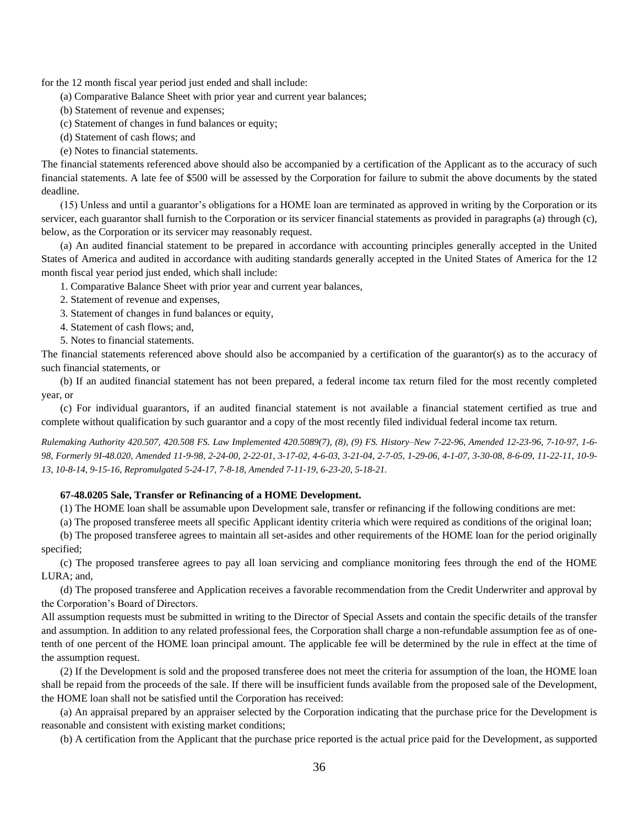for the 12 month fiscal year period just ended and shall include:

- (a) Comparative Balance Sheet with prior year and current year balances;
- (b) Statement of revenue and expenses;
- (c) Statement of changes in fund balances or equity;
- (d) Statement of cash flows; and
- (e) Notes to financial statements.

The financial statements referenced above should also be accompanied by a certification of the Applicant as to the accuracy of such financial statements. A late fee of \$500 will be assessed by the Corporation for failure to submit the above documents by the stated deadline.

(15) Unless and until a guarantor's obligations for a HOME loan are terminated as approved in writing by the Corporation or its servicer, each guarantor shall furnish to the Corporation or its servicer financial statements as provided in paragraphs (a) through (c), below, as the Corporation or its servicer may reasonably request.

(a) An audited financial statement to be prepared in accordance with accounting principles generally accepted in the United States of America and audited in accordance with auditing standards generally accepted in the United States of America for the 12 month fiscal year period just ended, which shall include:

1. Comparative Balance Sheet with prior year and current year balances,

- 2. Statement of revenue and expenses,
- 3. Statement of changes in fund balances or equity,
- 4. Statement of cash flows; and,
- 5. Notes to financial statements.

The financial statements referenced above should also be accompanied by a certification of the guarantor(s) as to the accuracy of such financial statements, or

(b) If an audited financial statement has not been prepared, a federal income tax return filed for the most recently completed year, or

(c) For individual guarantors, if an audited financial statement is not available a financial statement certified as true and complete without qualification by such guarantor and a copy of the most recently filed individual federal income tax return.

*Rulemaking Authority 420.507, 420.508 FS. Law Implemented 420.5089(7), (8), (9) FS. History–New 7-22-96, Amended 12-23-96, 7-10-97, 1-6- 98, Formerly 9I-48.020, Amended 11-9-98, 2-24-00, 2-22-01, 3-17-02, 4-6-03, 3-21-04, 2-7-05, 1-29-06, 4-1-07, 3-30-08, 8-6-09, 11-22-11, 10-9- 13, 10-8-14, 9-15-16, Repromulgated 5-24-17, 7-8-18, Amended 7-11-19, 6-23-20, 5-18-21.*

## **67-48.0205 Sale, Transfer or Refinancing of a HOME Development.**

(1) The HOME loan shall be assumable upon Development sale, transfer or refinancing if the following conditions are met:

(a) The proposed transferee meets all specific Applicant identity criteria which were required as conditions of the original loan;

(b) The proposed transferee agrees to maintain all set-asides and other requirements of the HOME loan for the period originally specified;

(c) The proposed transferee agrees to pay all loan servicing and compliance monitoring fees through the end of the HOME LURA; and,

(d) The proposed transferee and Application receives a favorable recommendation from the Credit Underwriter and approval by the Corporation's Board of Directors.

All assumption requests must be submitted in writing to the Director of Special Assets and contain the specific details of the transfer and assumption. In addition to any related professional fees, the Corporation shall charge a non-refundable assumption fee as of onetenth of one percent of the HOME loan principal amount. The applicable fee will be determined by the rule in effect at the time of the assumption request.

(2) If the Development is sold and the proposed transferee does not meet the criteria for assumption of the loan, the HOME loan shall be repaid from the proceeds of the sale. If there will be insufficient funds available from the proposed sale of the Development, the HOME loan shall not be satisfied until the Corporation has received:

(a) An appraisal prepared by an appraiser selected by the Corporation indicating that the purchase price for the Development is reasonable and consistent with existing market conditions;

(b) A certification from the Applicant that the purchase price reported is the actual price paid for the Development, as supported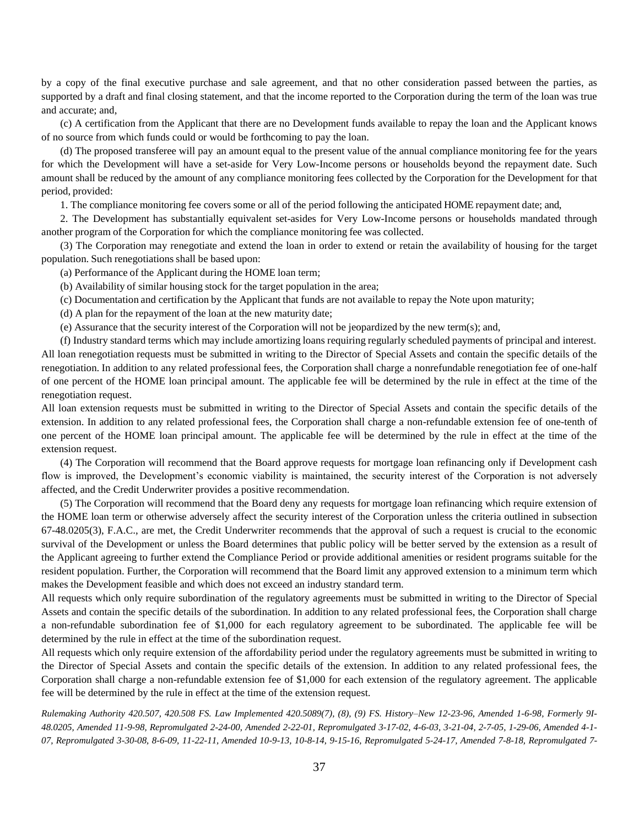by a copy of the final executive purchase and sale agreement, and that no other consideration passed between the parties, as supported by a draft and final closing statement, and that the income reported to the Corporation during the term of the loan was true and accurate; and,

(c) A certification from the Applicant that there are no Development funds available to repay the loan and the Applicant knows of no source from which funds could or would be forthcoming to pay the loan.

(d) The proposed transferee will pay an amount equal to the present value of the annual compliance monitoring fee for the years for which the Development will have a set-aside for Very Low-Income persons or households beyond the repayment date. Such amount shall be reduced by the amount of any compliance monitoring fees collected by the Corporation for the Development for that period, provided:

1. The compliance monitoring fee covers some or all of the period following the anticipated HOME repayment date; and,

2. The Development has substantially equivalent set-asides for Very Low-Income persons or households mandated through another program of the Corporation for which the compliance monitoring fee was collected.

(3) The Corporation may renegotiate and extend the loan in order to extend or retain the availability of housing for the target population. Such renegotiations shall be based upon:

(a) Performance of the Applicant during the HOME loan term;

(b) Availability of similar housing stock for the target population in the area;

(c) Documentation and certification by the Applicant that funds are not available to repay the Note upon maturity;

(d) A plan for the repayment of the loan at the new maturity date;

(e) Assurance that the security interest of the Corporation will not be jeopardized by the new term(s); and,

(f) Industry standard terms which may include amortizing loans requiring regularly scheduled payments of principal and interest. All loan renegotiation requests must be submitted in writing to the Director of Special Assets and contain the specific details of the renegotiation. In addition to any related professional fees, the Corporation shall charge a nonrefundable renegotiation fee of one-half of one percent of the HOME loan principal amount. The applicable fee will be determined by the rule in effect at the time of the renegotiation request.

All loan extension requests must be submitted in writing to the Director of Special Assets and contain the specific details of the extension. In addition to any related professional fees, the Corporation shall charge a non-refundable extension fee of one-tenth of one percent of the HOME loan principal amount. The applicable fee will be determined by the rule in effect at the time of the extension request.

(4) The Corporation will recommend that the Board approve requests for mortgage loan refinancing only if Development cash flow is improved, the Development's economic viability is maintained, the security interest of the Corporation is not adversely affected, and the Credit Underwriter provides a positive recommendation.

(5) The Corporation will recommend that the Board deny any requests for mortgage loan refinancing which require extension of the HOME loan term or otherwise adversely affect the security interest of the Corporation unless the criteria outlined in subsection 67-48.0205(3), F.A.C., are met, the Credit Underwriter recommends that the approval of such a request is crucial to the economic survival of the Development or unless the Board determines that public policy will be better served by the extension as a result of the Applicant agreeing to further extend the Compliance Period or provide additional amenities or resident programs suitable for the resident population. Further, the Corporation will recommend that the Board limit any approved extension to a minimum term which makes the Development feasible and which does not exceed an industry standard term.

All requests which only require subordination of the regulatory agreements must be submitted in writing to the Director of Special Assets and contain the specific details of the subordination. In addition to any related professional fees, the Corporation shall charge a non-refundable subordination fee of \$1,000 for each regulatory agreement to be subordinated. The applicable fee will be determined by the rule in effect at the time of the subordination request.

All requests which only require extension of the affordability period under the regulatory agreements must be submitted in writing to the Director of Special Assets and contain the specific details of the extension. In addition to any related professional fees, the Corporation shall charge a non-refundable extension fee of \$1,000 for each extension of the regulatory agreement. The applicable fee will be determined by the rule in effect at the time of the extension request.

*Rulemaking Authority 420.507, 420.508 FS. Law Implemented 420.5089(7), (8), (9) FS. History–New 12-23-96, Amended 1-6-98, Formerly 9I-48.0205, Amended 11-9-98, Repromulgated 2-24-00, Amended 2-22-01, Repromulgated 3-17-02, 4-6-03, 3-21-04, 2-7-05, 1-29-06, Amended 4-1- 07, Repromulgated 3-30-08, 8-6-09, 11-22-11, Amended 10-9-13, 10-8-14, 9-15-16, Repromulgated 5-24-17, Amended 7-8-18, Repromulgated 7-*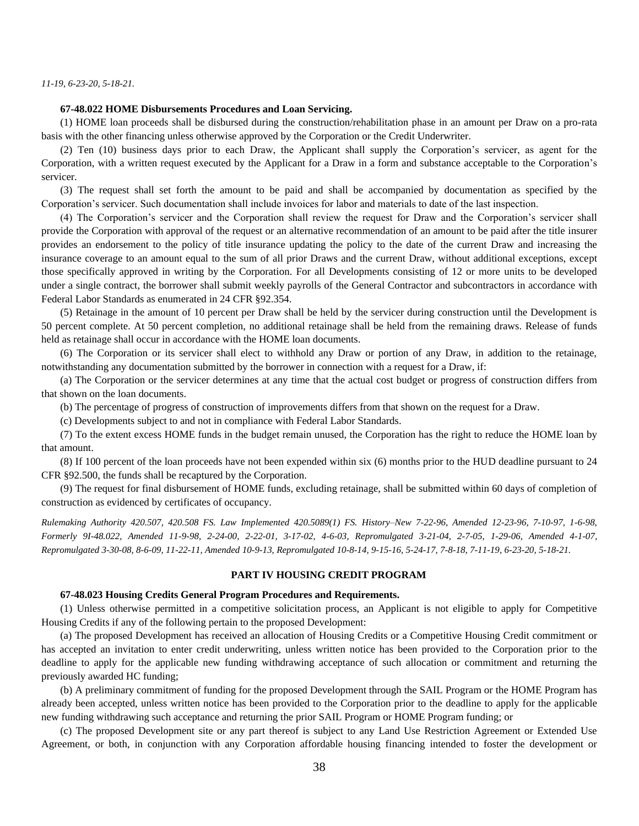*11-19, 6-23-20, 5-18-21.*

## **67-48.022 HOME Disbursements Procedures and Loan Servicing.**

(1) HOME loan proceeds shall be disbursed during the construction/rehabilitation phase in an amount per Draw on a pro-rata basis with the other financing unless otherwise approved by the Corporation or the Credit Underwriter.

(2) Ten (10) business days prior to each Draw, the Applicant shall supply the Corporation's servicer, as agent for the Corporation, with a written request executed by the Applicant for a Draw in a form and substance acceptable to the Corporation's servicer.

(3) The request shall set forth the amount to be paid and shall be accompanied by documentation as specified by the Corporation's servicer. Such documentation shall include invoices for labor and materials to date of the last inspection.

(4) The Corporation's servicer and the Corporation shall review the request for Draw and the Corporation's servicer shall provide the Corporation with approval of the request or an alternative recommendation of an amount to be paid after the title insurer provides an endorsement to the policy of title insurance updating the policy to the date of the current Draw and increasing the insurance coverage to an amount equal to the sum of all prior Draws and the current Draw, without additional exceptions, except those specifically approved in writing by the Corporation. For all Developments consisting of 12 or more units to be developed under a single contract, the borrower shall submit weekly payrolls of the General Contractor and subcontractors in accordance with Federal Labor Standards as enumerated in 24 CFR §92.354.

(5) Retainage in the amount of 10 percent per Draw shall be held by the servicer during construction until the Development is 50 percent complete. At 50 percent completion, no additional retainage shall be held from the remaining draws. Release of funds held as retainage shall occur in accordance with the HOME loan documents.

(6) The Corporation or its servicer shall elect to withhold any Draw or portion of any Draw, in addition to the retainage, notwithstanding any documentation submitted by the borrower in connection with a request for a Draw, if:

(a) The Corporation or the servicer determines at any time that the actual cost budget or progress of construction differs from that shown on the loan documents.

(b) The percentage of progress of construction of improvements differs from that shown on the request for a Draw.

(c) Developments subject to and not in compliance with Federal Labor Standards.

(7) To the extent excess HOME funds in the budget remain unused, the Corporation has the right to reduce the HOME loan by that amount.

(8) If 100 percent of the loan proceeds have not been expended within six (6) months prior to the HUD deadline pursuant to 24 CFR §92.500, the funds shall be recaptured by the Corporation.

(9) The request for final disbursement of HOME funds, excluding retainage, shall be submitted within 60 days of completion of construction as evidenced by certificates of occupancy.

*Rulemaking Authority 420.507, 420.508 FS. Law Implemented 420.5089(1) FS. History–New 7-22-96, Amended 12-23-96, 7-10-97, 1-6-98, Formerly 9I-48.022, Amended 11-9-98, 2-24-00, 2-22-01, 3-17-02, 4-6-03, Repromulgated 3-21-04, 2-7-05, 1-29-06, Amended 4-1-07, Repromulgated 3-30-08, 8-6-09, 11-22-11, Amended 10-9-13, Repromulgated 10-8-14, 9-15-16, 5-24-17, 7-8-18, 7-11-19, 6-23-20, 5-18-21.*

#### **PART IV HOUSING CREDIT PROGRAM**

### **67-48.023 Housing Credits General Program Procedures and Requirements.**

(1) Unless otherwise permitted in a competitive solicitation process, an Applicant is not eligible to apply for Competitive Housing Credits if any of the following pertain to the proposed Development:

(a) The proposed Development has received an allocation of Housing Credits or a Competitive Housing Credit commitment or has accepted an invitation to enter credit underwriting, unless written notice has been provided to the Corporation prior to the deadline to apply for the applicable new funding withdrawing acceptance of such allocation or commitment and returning the previously awarded HC funding;

(b) A preliminary commitment of funding for the proposed Development through the SAIL Program or the HOME Program has already been accepted, unless written notice has been provided to the Corporation prior to the deadline to apply for the applicable new funding withdrawing such acceptance and returning the prior SAIL Program or HOME Program funding; or

(c) The proposed Development site or any part thereof is subject to any Land Use Restriction Agreement or Extended Use Agreement, or both, in conjunction with any Corporation affordable housing financing intended to foster the development or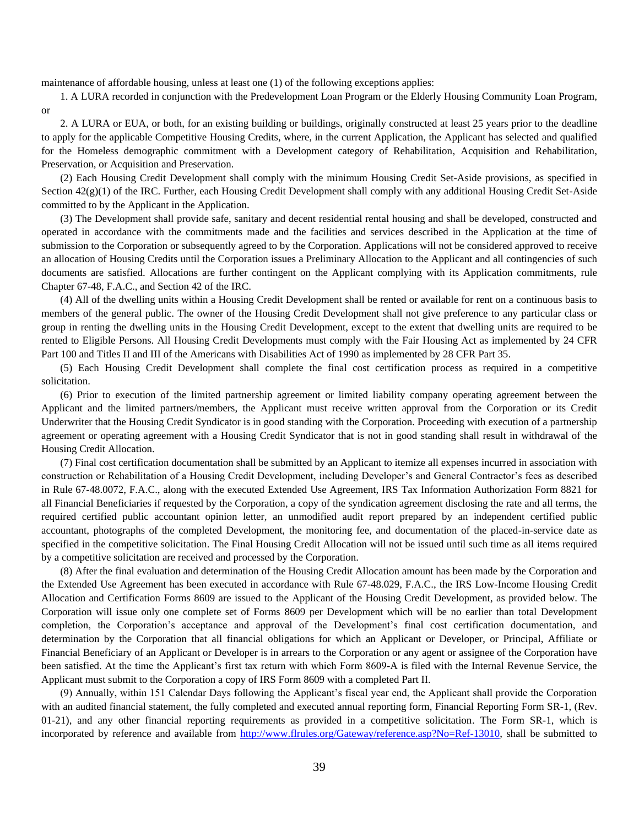maintenance of affordable housing, unless at least one (1) of the following exceptions applies:

1. A LURA recorded in conjunction with the Predevelopment Loan Program or the Elderly Housing Community Loan Program, or

2. A LURA or EUA, or both, for an existing building or buildings, originally constructed at least 25 years prior to the deadline to apply for the applicable Competitive Housing Credits, where, in the current Application, the Applicant has selected and qualified for the Homeless demographic commitment with a Development category of Rehabilitation, Acquisition and Rehabilitation, Preservation, or Acquisition and Preservation.

(2) Each Housing Credit Development shall comply with the minimum Housing Credit Set-Aside provisions, as specified in Section  $42(g)(1)$  of the IRC. Further, each Housing Credit Development shall comply with any additional Housing Credit Set-Aside committed to by the Applicant in the Application.

(3) The Development shall provide safe, sanitary and decent residential rental housing and shall be developed, constructed and operated in accordance with the commitments made and the facilities and services described in the Application at the time of submission to the Corporation or subsequently agreed to by the Corporation. Applications will not be considered approved to receive an allocation of Housing Credits until the Corporation issues a Preliminary Allocation to the Applicant and all contingencies of such documents are satisfied. Allocations are further contingent on the Applicant complying with its Application commitments, rule Chapter 67-48, F.A.C., and Section 42 of the IRC.

(4) All of the dwelling units within a Housing Credit Development shall be rented or available for rent on a continuous basis to members of the general public. The owner of the Housing Credit Development shall not give preference to any particular class or group in renting the dwelling units in the Housing Credit Development, except to the extent that dwelling units are required to be rented to Eligible Persons. All Housing Credit Developments must comply with the Fair Housing Act as implemented by 24 CFR Part 100 and Titles II and III of the Americans with Disabilities Act of 1990 as implemented by 28 CFR Part 35.

(5) Each Housing Credit Development shall complete the final cost certification process as required in a competitive solicitation.

(6) Prior to execution of the limited partnership agreement or limited liability company operating agreement between the Applicant and the limited partners/members, the Applicant must receive written approval from the Corporation or its Credit Underwriter that the Housing Credit Syndicator is in good standing with the Corporation. Proceeding with execution of a partnership agreement or operating agreement with a Housing Credit Syndicator that is not in good standing shall result in withdrawal of the Housing Credit Allocation.

(7) Final cost certification documentation shall be submitted by an Applicant to itemize all expenses incurred in association with construction or Rehabilitation of a Housing Credit Development, including Developer's and General Contractor's fees as described in Rule 67-48.0072, F.A.C., along with the executed Extended Use Agreement, IRS Tax Information Authorization Form 8821 for all Financial Beneficiaries if requested by the Corporation, a copy of the syndication agreement disclosing the rate and all terms, the required certified public accountant opinion letter, an unmodified audit report prepared by an independent certified public accountant, photographs of the completed Development, the monitoring fee, and documentation of the placed-in-service date as specified in the competitive solicitation. The Final Housing Credit Allocation will not be issued until such time as all items required by a competitive solicitation are received and processed by the Corporation.

(8) After the final evaluation and determination of the Housing Credit Allocation amount has been made by the Corporation and the Extended Use Agreement has been executed in accordance with Rule 67-48.029, F.A.C., the IRS Low-Income Housing Credit Allocation and Certification Forms 8609 are issued to the Applicant of the Housing Credit Development, as provided below. The Corporation will issue only one complete set of Forms 8609 per Development which will be no earlier than total Development completion, the Corporation's acceptance and approval of the Development's final cost certification documentation, and determination by the Corporation that all financial obligations for which an Applicant or Developer, or Principal, Affiliate or Financial Beneficiary of an Applicant or Developer is in arrears to the Corporation or any agent or assignee of the Corporation have been satisfied. At the time the Applicant's first tax return with which Form 8609-A is filed with the Internal Revenue Service, the Applicant must submit to the Corporation a copy of IRS Form 8609 with a completed Part II.

(9) Annually, within 151 Calendar Days following the Applicant's fiscal year end, the Applicant shall provide the Corporation with an audited financial statement, the fully completed and executed annual reporting form, Financial Reporting Form SR-1, (Rev. 01-21), and any other financial reporting requirements as provided in a competitive solicitation. The Form SR-1, which is incorporated by reference and available from [http://www.flrules.org/Gateway/reference.asp?No=Ref-13010,](http://www.flrules.org/Gateway/reference.asp?No=Ref-13010) shall be submitted to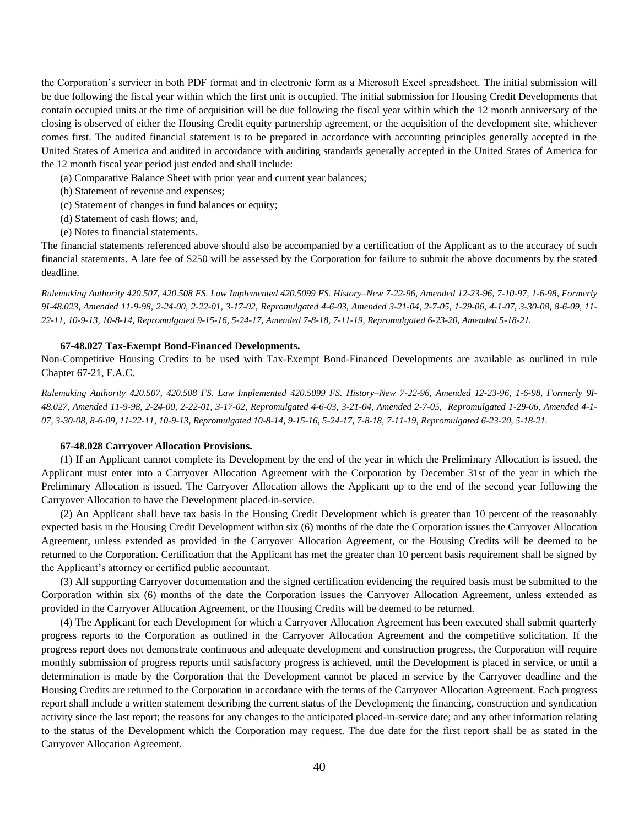the Corporation's servicer in both PDF format and in electronic form as a Microsoft Excel spreadsheet. The initial submission will be due following the fiscal year within which the first unit is occupied. The initial submission for Housing Credit Developments that contain occupied units at the time of acquisition will be due following the fiscal year within which the 12 month anniversary of the closing is observed of either the Housing Credit equity partnership agreement, or the acquisition of the development site, whichever comes first. The audited financial statement is to be prepared in accordance with accounting principles generally accepted in the United States of America and audited in accordance with auditing standards generally accepted in the United States of America for the 12 month fiscal year period just ended and shall include:

- (a) Comparative Balance Sheet with prior year and current year balances;
- (b) Statement of revenue and expenses;
- (c) Statement of changes in fund balances or equity;
- (d) Statement of cash flows; and,
- (e) Notes to financial statements.

The financial statements referenced above should also be accompanied by a certification of the Applicant as to the accuracy of such financial statements. A late fee of \$250 will be assessed by the Corporation for failure to submit the above documents by the stated deadline.

*Rulemaking Authority 420.507, 420.508 FS. Law Implemented 420.5099 FS. History–New 7-22-96, Amended 12-23-96, 7-10-97, 1-6-98, Formerly 9I-48.023, Amended 11-9-98, 2-24-00, 2-22-01, 3-17-02, Repromulgated 4-6-03, Amended 3-21-04, 2-7-05, 1-29-06, 4-1-07, 3-30-08, 8-6-09, 11- 22-11, 10-9-13, 10-8-14, Repromulgated 9-15-16, 5-24-17, Amended 7-8-18, 7-11-19, Repromulgated 6-23-20, Amended 5-18-21.*

#### **67-48.027 Tax-Exempt Bond-Financed Developments.**

Non-Competitive Housing Credits to be used with Tax-Exempt Bond-Financed Developments are available as outlined in rule Chapter 67-21, F.A.C.

*Rulemaking Authority 420.507, 420.508 FS. Law Implemented 420.5099 FS. History–New 7-22-96, Amended 12-23-96, 1-6-98, Formerly 9I-48.027, Amended 11-9-98, 2-24-00, 2-22-01, 3-17-02, Repromulgated 4-6-03, 3-21-04, Amended 2-7-05, Repromulgated 1-29-06, Amended 4-1- 07, 3-30-08, 8-6-09, 11-22-11, 10-9-13, Repromulgated 10-8-14, 9-15-16, 5-24-17, 7-8-18, 7-11-19, Repromulgated 6-23-20, 5-18-21.*

## **67-48.028 Carryover Allocation Provisions.**

(1) If an Applicant cannot complete its Development by the end of the year in which the Preliminary Allocation is issued, the Applicant must enter into a Carryover Allocation Agreement with the Corporation by December 31st of the year in which the Preliminary Allocation is issued. The Carryover Allocation allows the Applicant up to the end of the second year following the Carryover Allocation to have the Development placed-in-service.

(2) An Applicant shall have tax basis in the Housing Credit Development which is greater than 10 percent of the reasonably expected basis in the Housing Credit Development within six (6) months of the date the Corporation issues the Carryover Allocation Agreement, unless extended as provided in the Carryover Allocation Agreement, or the Housing Credits will be deemed to be returned to the Corporation. Certification that the Applicant has met the greater than 10 percent basis requirement shall be signed by the Applicant's attorney or certified public accountant.

(3) All supporting Carryover documentation and the signed certification evidencing the required basis must be submitted to the Corporation within six (6) months of the date the Corporation issues the Carryover Allocation Agreement, unless extended as provided in the Carryover Allocation Agreement, or the Housing Credits will be deemed to be returned.

(4) The Applicant for each Development for which a Carryover Allocation Agreement has been executed shall submit quarterly progress reports to the Corporation as outlined in the Carryover Allocation Agreement and the competitive solicitation. If the progress report does not demonstrate continuous and adequate development and construction progress, the Corporation will require monthly submission of progress reports until satisfactory progress is achieved, until the Development is placed in service, or until a determination is made by the Corporation that the Development cannot be placed in service by the Carryover deadline and the Housing Credits are returned to the Corporation in accordance with the terms of the Carryover Allocation Agreement. Each progress report shall include a written statement describing the current status of the Development; the financing, construction and syndication activity since the last report; the reasons for any changes to the anticipated placed-in-service date; and any other information relating to the status of the Development which the Corporation may request. The due date for the first report shall be as stated in the Carryover Allocation Agreement.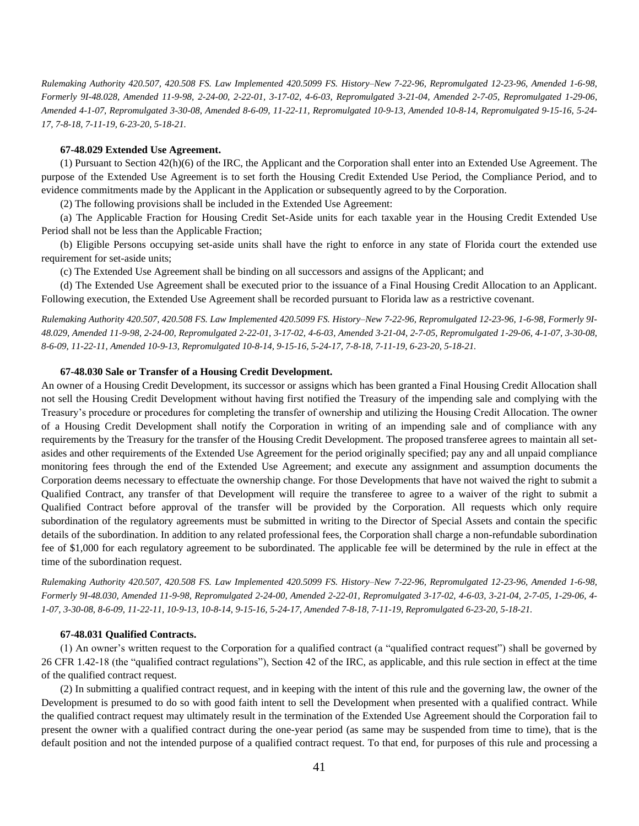*Rulemaking Authority 420.507, 420.508 FS. Law Implemented 420.5099 FS. History–New 7-22-96, Repromulgated 12-23-96, Amended 1-6-98, Formerly 9I-48.028, Amended 11-9-98, 2-24-00, 2-22-01, 3-17-02, 4-6-03, Repromulgated 3-21-04, Amended 2-7-05, Repromulgated 1-29-06, Amended 4-1-07, Repromulgated 3-30-08, Amended 8-6-09, 11-22-11, Repromulgated 10-9-13, Amended 10-8-14, Repromulgated 9-15-16, 5-24- 17, 7-8-18, 7-11-19, 6-23-20, 5-18-21.*

## **67-48.029 Extended Use Agreement.**

(1) Pursuant to Section 42(h)(6) of the IRC, the Applicant and the Corporation shall enter into an Extended Use Agreement. The purpose of the Extended Use Agreement is to set forth the Housing Credit Extended Use Period, the Compliance Period, and to evidence commitments made by the Applicant in the Application or subsequently agreed to by the Corporation.

(2) The following provisions shall be included in the Extended Use Agreement:

(a) The Applicable Fraction for Housing Credit Set-Aside units for each taxable year in the Housing Credit Extended Use Period shall not be less than the Applicable Fraction;

(b) Eligible Persons occupying set-aside units shall have the right to enforce in any state of Florida court the extended use requirement for set-aside units;

(c) The Extended Use Agreement shall be binding on all successors and assigns of the Applicant; and

(d) The Extended Use Agreement shall be executed prior to the issuance of a Final Housing Credit Allocation to an Applicant. Following execution, the Extended Use Agreement shall be recorded pursuant to Florida law as a restrictive covenant.

*Rulemaking Authority 420.507, 420.508 FS. Law Implemented 420.5099 FS. History–New 7-22-96, Repromulgated 12-23-96, 1-6-98, Formerly 9I-48.029, Amended 11-9-98, 2-24-00, Repromulgated 2-22-01, 3-17-02, 4-6-03, Amended 3-21-04, 2-7-05, Repromulgated 1-29-06, 4-1-07, 3-30-08, 8-6-09, 11-22-11, Amended 10-9-13, Repromulgated 10-8-14, 9-15-16, 5-24-17, 7-8-18, 7-11-19, 6-23-20, 5-18-21.*

## **67-48.030 Sale or Transfer of a Housing Credit Development.**

An owner of a Housing Credit Development, its successor or assigns which has been granted a Final Housing Credit Allocation shall not sell the Housing Credit Development without having first notified the Treasury of the impending sale and complying with the Treasury's procedure or procedures for completing the transfer of ownership and utilizing the Housing Credit Allocation. The owner of a Housing Credit Development shall notify the Corporation in writing of an impending sale and of compliance with any requirements by the Treasury for the transfer of the Housing Credit Development. The proposed transferee agrees to maintain all setasides and other requirements of the Extended Use Agreement for the period originally specified; pay any and all unpaid compliance monitoring fees through the end of the Extended Use Agreement; and execute any assignment and assumption documents the Corporation deems necessary to effectuate the ownership change. For those Developments that have not waived the right to submit a Qualified Contract, any transfer of that Development will require the transferee to agree to a waiver of the right to submit a Qualified Contract before approval of the transfer will be provided by the Corporation. All requests which only require subordination of the regulatory agreements must be submitted in writing to the Director of Special Assets and contain the specific details of the subordination. In addition to any related professional fees, the Corporation shall charge a non-refundable subordination fee of \$1,000 for each regulatory agreement to be subordinated. The applicable fee will be determined by the rule in effect at the time of the subordination request.

*Rulemaking Authority 420.507, 420.508 FS. Law Implemented 420.5099 FS. History–New 7-22-96, Repromulgated 12-23-96, Amended 1-6-98, Formerly 9I-48.030, Amended 11-9-98, Repromulgated 2-24-00, Amended 2-22-01, Repromulgated 3-17-02, 4-6-03, 3-21-04, 2-7-05, 1-29-06, 4- 1-07, 3-30-08, 8-6-09, 11-22-11, 10-9-13, 10-8-14, 9-15-16, 5-24-17, Amended 7-8-18, 7-11-19, Repromulgated 6-23-20, 5-18-21.*

#### **67-48.031 Qualified Contracts.**

(1) An owner's written request to the Corporation for a qualified contract (a "qualified contract request") shall be governed by 26 CFR 1.42-18 (the "qualified contract regulations"), Section 42 of the IRC, as applicable, and this rule section in effect at the time of the qualified contract request.

(2) In submitting a qualified contract request, and in keeping with the intent of this rule and the governing law, the owner of the Development is presumed to do so with good faith intent to sell the Development when presented with a qualified contract. While the qualified contract request may ultimately result in the termination of the Extended Use Agreement should the Corporation fail to present the owner with a qualified contract during the one-year period (as same may be suspended from time to time), that is the default position and not the intended purpose of a qualified contract request. To that end, for purposes of this rule and processing a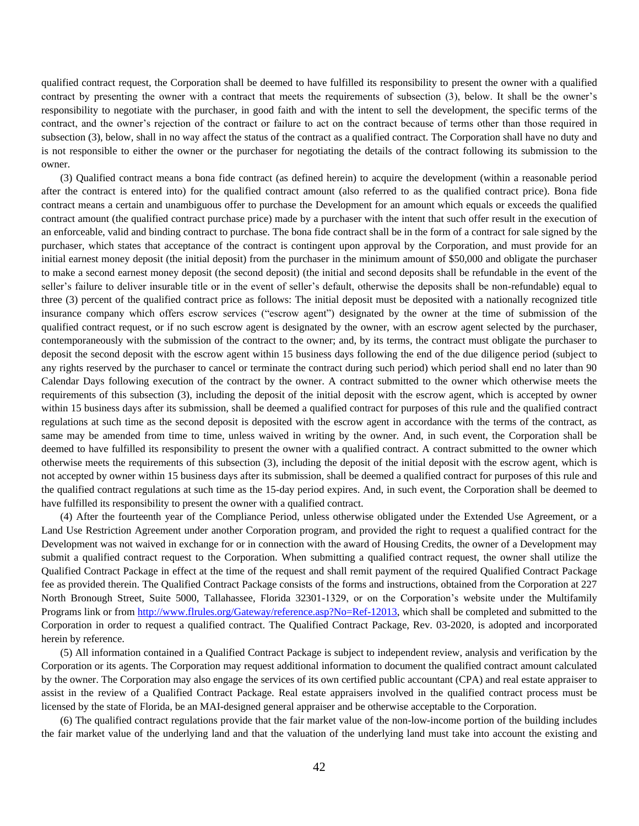qualified contract request, the Corporation shall be deemed to have fulfilled its responsibility to present the owner with a qualified contract by presenting the owner with a contract that meets the requirements of subsection (3), below. It shall be the owner's responsibility to negotiate with the purchaser, in good faith and with the intent to sell the development, the specific terms of the contract, and the owner's rejection of the contract or failure to act on the contract because of terms other than those required in subsection (3), below, shall in no way affect the status of the contract as a qualified contract. The Corporation shall have no duty and is not responsible to either the owner or the purchaser for negotiating the details of the contract following its submission to the owner.

(3) Qualified contract means a bona fide contract (as defined herein) to acquire the development (within a reasonable period after the contract is entered into) for the qualified contract amount (also referred to as the qualified contract price). Bona fide contract means a certain and unambiguous offer to purchase the Development for an amount which equals or exceeds the qualified contract amount (the qualified contract purchase price) made by a purchaser with the intent that such offer result in the execution of an enforceable, valid and binding contract to purchase. The bona fide contract shall be in the form of a contract for sale signed by the purchaser, which states that acceptance of the contract is contingent upon approval by the Corporation, and must provide for an initial earnest money deposit (the initial deposit) from the purchaser in the minimum amount of \$50,000 and obligate the purchaser to make a second earnest money deposit (the second deposit) (the initial and second deposits shall be refundable in the event of the seller's failure to deliver insurable title or in the event of seller's default, otherwise the deposits shall be non-refundable) equal to three (3) percent of the qualified contract price as follows: The initial deposit must be deposited with a nationally recognized title insurance company which offers escrow services ("escrow agent") designated by the owner at the time of submission of the qualified contract request, or if no such escrow agent is designated by the owner, with an escrow agent selected by the purchaser, contemporaneously with the submission of the contract to the owner; and, by its terms, the contract must obligate the purchaser to deposit the second deposit with the escrow agent within 15 business days following the end of the due diligence period (subject to any rights reserved by the purchaser to cancel or terminate the contract during such period) which period shall end no later than 90 Calendar Days following execution of the contract by the owner. A contract submitted to the owner which otherwise meets the requirements of this subsection (3), including the deposit of the initial deposit with the escrow agent, which is accepted by owner within 15 business days after its submission, shall be deemed a qualified contract for purposes of this rule and the qualified contract regulations at such time as the second deposit is deposited with the escrow agent in accordance with the terms of the contract, as same may be amended from time to time, unless waived in writing by the owner. And, in such event, the Corporation shall be deemed to have fulfilled its responsibility to present the owner with a qualified contract. A contract submitted to the owner which otherwise meets the requirements of this subsection (3), including the deposit of the initial deposit with the escrow agent, which is not accepted by owner within 15 business days after its submission, shall be deemed a qualified contract for purposes of this rule and the qualified contract regulations at such time as the 15-day period expires. And, in such event, the Corporation shall be deemed to have fulfilled its responsibility to present the owner with a qualified contract.

(4) After the fourteenth year of the Compliance Period, unless otherwise obligated under the Extended Use Agreement, or a Land Use Restriction Agreement under another Corporation program, and provided the right to request a qualified contract for the Development was not waived in exchange for or in connection with the award of Housing Credits, the owner of a Development may submit a qualified contract request to the Corporation. When submitting a qualified contract request, the owner shall utilize the Qualified Contract Package in effect at the time of the request and shall remit payment of the required Qualified Contract Package fee as provided therein. The Qualified Contract Package consists of the forms and instructions, obtained from the Corporation at 227 North Bronough Street, Suite 5000, Tallahassee, Florida 32301-1329, or on the Corporation's website under the Multifamily Programs link or from [http://www.flrules.org/Gateway/reference.asp?No=Ref-12013,](http://www.flrules.org/Gateway/reference.asp?No=Ref-12013) which shall be completed and submitted to the Corporation in order to request a qualified contract. The Qualified Contract Package, Rev. 03-2020, is adopted and incorporated herein by reference.

(5) All information contained in a Qualified Contract Package is subject to independent review, analysis and verification by the Corporation or its agents. The Corporation may request additional information to document the qualified contract amount calculated by the owner. The Corporation may also engage the services of its own certified public accountant (CPA) and real estate appraiser to assist in the review of a Qualified Contract Package. Real estate appraisers involved in the qualified contract process must be licensed by the state of Florida, be an MAI-designed general appraiser and be otherwise acceptable to the Corporation.

(6) The qualified contract regulations provide that the fair market value of the non-low-income portion of the building includes the fair market value of the underlying land and that the valuation of the underlying land must take into account the existing and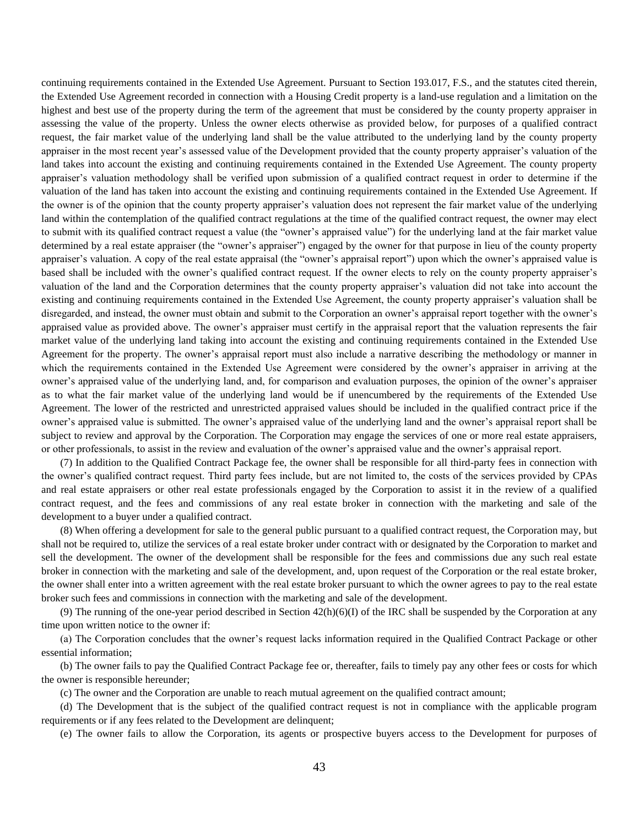continuing requirements contained in the Extended Use Agreement. Pursuant to Section 193.017, F.S., and the statutes cited therein, the Extended Use Agreement recorded in connection with a Housing Credit property is a land-use regulation and a limitation on the highest and best use of the property during the term of the agreement that must be considered by the county property appraiser in assessing the value of the property. Unless the owner elects otherwise as provided below, for purposes of a qualified contract request, the fair market value of the underlying land shall be the value attributed to the underlying land by the county property appraiser in the most recent year's assessed value of the Development provided that the county property appraiser's valuation of the land takes into account the existing and continuing requirements contained in the Extended Use Agreement. The county property appraiser's valuation methodology shall be verified upon submission of a qualified contract request in order to determine if the valuation of the land has taken into account the existing and continuing requirements contained in the Extended Use Agreement. If the owner is of the opinion that the county property appraiser's valuation does not represent the fair market value of the underlying land within the contemplation of the qualified contract regulations at the time of the qualified contract request, the owner may elect to submit with its qualified contract request a value (the "owner's appraised value") for the underlying land at the fair market value determined by a real estate appraiser (the "owner's appraiser") engaged by the owner for that purpose in lieu of the county property appraiser's valuation. A copy of the real estate appraisal (the "owner's appraisal report") upon which the owner's appraised value is based shall be included with the owner's qualified contract request. If the owner elects to rely on the county property appraiser's valuation of the land and the Corporation determines that the county property appraiser's valuation did not take into account the existing and continuing requirements contained in the Extended Use Agreement, the county property appraiser's valuation shall be disregarded, and instead, the owner must obtain and submit to the Corporation an owner's appraisal report together with the owner's appraised value as provided above. The owner's appraiser must certify in the appraisal report that the valuation represents the fair market value of the underlying land taking into account the existing and continuing requirements contained in the Extended Use Agreement for the property. The owner's appraisal report must also include a narrative describing the methodology or manner in which the requirements contained in the Extended Use Agreement were considered by the owner's appraiser in arriving at the owner's appraised value of the underlying land, and, for comparison and evaluation purposes, the opinion of the owner's appraiser as to what the fair market value of the underlying land would be if unencumbered by the requirements of the Extended Use Agreement. The lower of the restricted and unrestricted appraised values should be included in the qualified contract price if the owner's appraised value is submitted. The owner's appraised value of the underlying land and the owner's appraisal report shall be subject to review and approval by the Corporation. The Corporation may engage the services of one or more real estate appraisers, or other professionals, to assist in the review and evaluation of the owner's appraised value and the owner's appraisal report.

(7) In addition to the Qualified Contract Package fee, the owner shall be responsible for all third-party fees in connection with the owner's qualified contract request. Third party fees include, but are not limited to, the costs of the services provided by CPAs and real estate appraisers or other real estate professionals engaged by the Corporation to assist it in the review of a qualified contract request, and the fees and commissions of any real estate broker in connection with the marketing and sale of the development to a buyer under a qualified contract.

(8) When offering a development for sale to the general public pursuant to a qualified contract request, the Corporation may, but shall not be required to, utilize the services of a real estate broker under contract with or designated by the Corporation to market and sell the development. The owner of the development shall be responsible for the fees and commissions due any such real estate broker in connection with the marketing and sale of the development, and, upon request of the Corporation or the real estate broker, the owner shall enter into a written agreement with the real estate broker pursuant to which the owner agrees to pay to the real estate broker such fees and commissions in connection with the marketing and sale of the development.

(9) The running of the one-year period described in Section  $42(h)(6)(I)$  of the IRC shall be suspended by the Corporation at any time upon written notice to the owner if:

(a) The Corporation concludes that the owner's request lacks information required in the Qualified Contract Package or other essential information;

(b) The owner fails to pay the Qualified Contract Package fee or, thereafter, fails to timely pay any other fees or costs for which the owner is responsible hereunder;

(c) The owner and the Corporation are unable to reach mutual agreement on the qualified contract amount;

(d) The Development that is the subject of the qualified contract request is not in compliance with the applicable program requirements or if any fees related to the Development are delinquent;

(e) The owner fails to allow the Corporation, its agents or prospective buyers access to the Development for purposes of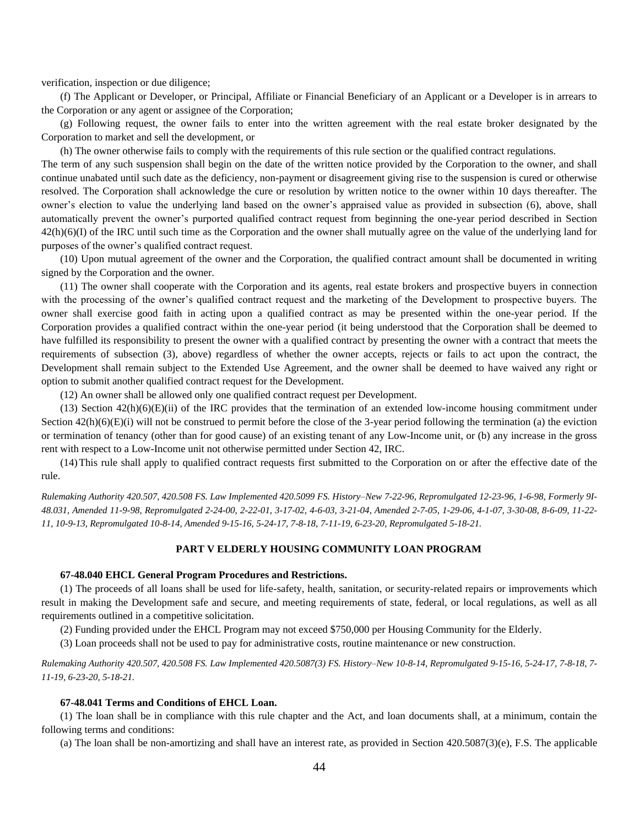verification, inspection or due diligence;

(f) The Applicant or Developer, or Principal, Affiliate or Financial Beneficiary of an Applicant or a Developer is in arrears to the Corporation or any agent or assignee of the Corporation;

(g) Following request, the owner fails to enter into the written agreement with the real estate broker designated by the Corporation to market and sell the development, or

(h) The owner otherwise fails to comply with the requirements of this rule section or the qualified contract regulations.

The term of any such suspension shall begin on the date of the written notice provided by the Corporation to the owner, and shall continue unabated until such date as the deficiency, non-payment or disagreement giving rise to the suspension is cured or otherwise resolved. The Corporation shall acknowledge the cure or resolution by written notice to the owner within 10 days thereafter. The owner's election to value the underlying land based on the owner's appraised value as provided in subsection (6), above, shall automatically prevent the owner's purported qualified contract request from beginning the one-year period described in Section 42(h)(6)(I) of the IRC until such time as the Corporation and the owner shall mutually agree on the value of the underlying land for purposes of the owner's qualified contract request.

(10) Upon mutual agreement of the owner and the Corporation, the qualified contract amount shall be documented in writing signed by the Corporation and the owner.

(11) The owner shall cooperate with the Corporation and its agents, real estate brokers and prospective buyers in connection with the processing of the owner's qualified contract request and the marketing of the Development to prospective buyers. The owner shall exercise good faith in acting upon a qualified contract as may be presented within the one-year period. If the Corporation provides a qualified contract within the one-year period (it being understood that the Corporation shall be deemed to have fulfilled its responsibility to present the owner with a qualified contract by presenting the owner with a contract that meets the requirements of subsection (3), above) regardless of whether the owner accepts, rejects or fails to act upon the contract, the Development shall remain subject to the Extended Use Agreement, and the owner shall be deemed to have waived any right or option to submit another qualified contract request for the Development.

(12) An owner shall be allowed only one qualified contract request per Development.

 $(13)$  Section  $42(h)(6)(E)(ii)$  of the IRC provides that the termination of an extended low-income housing commitment under Section  $42(h)(6)(E)(i)$  will not be construed to permit before the close of the 3-year period following the termination (a) the eviction or termination of tenancy (other than for good cause) of an existing tenant of any Low-Income unit, or (b) any increase in the gross rent with respect to a Low-Income unit not otherwise permitted under Section 42, IRC.

(14)This rule shall apply to qualified contract requests first submitted to the Corporation on or after the effective date of the rule.

*Rulemaking Authority 420.507, 420.508 FS. Law Implemented 420.5099 FS. History–New 7-22-96, Repromulgated 12-23-96, 1-6-98, Formerly 9I-48.031, Amended 11-9-98, Repromulgated 2-24-00, 2-22-01, 3-17-02, 4-6-03, 3-21-04, Amended 2-7-05, 1-29-06, 4-1-07, 3-30-08, 8-6-09, 11-22- 11, 10-9-13, Repromulgated 10-8-14, Amended 9-15-16, 5-24-17, 7-8-18, 7-11-19, 6-23-20, Repromulgated 5-18-21.*

# **PART V ELDERLY HOUSING COMMUNITY LOAN PROGRAM**

#### **67-48.040 EHCL General Program Procedures and Restrictions.**

(1) The proceeds of all loans shall be used for life-safety, health, sanitation, or security-related repairs or improvements which result in making the Development safe and secure, and meeting requirements of state, federal, or local regulations, as well as all requirements outlined in a competitive solicitation.

(2) Funding provided under the EHCL Program may not exceed \$750,000 per Housing Community for the Elderly.

(3) Loan proceeds shall not be used to pay for administrative costs, routine maintenance or new construction.

*Rulemaking Authority 420.507, 420.508 FS. Law Implemented 420.5087(3) FS. History–New 10-8-14, Repromulgated 9-15-16, 5-24-17, 7-8-18, 7- 11-19, 6-23-20, 5-18-21.*

#### **67-48.041 Terms and Conditions of EHCL Loan.**

(1) The loan shall be in compliance with this rule chapter and the Act, and loan documents shall, at a minimum, contain the following terms and conditions:

(a) The loan shall be non-amortizing and shall have an interest rate, as provided in Section 420.5087(3)(e), F.S. The applicable